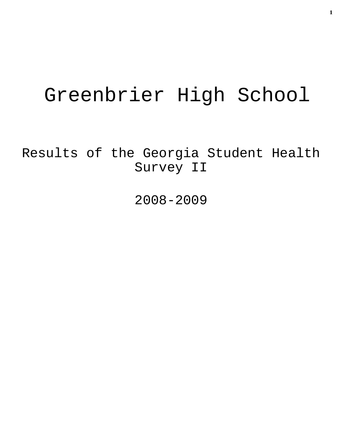# Greenbrier High School

Results of the Georgia Student Health Survey II

2008-2009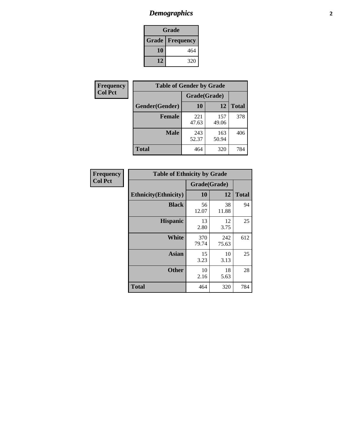# *Demographics* **2**

| Grade                    |     |  |  |  |
|--------------------------|-----|--|--|--|
| <b>Grade   Frequency</b> |     |  |  |  |
| 10                       | 464 |  |  |  |
| 12                       | 320 |  |  |  |

| Frequency      | <b>Table of Gender by Grade</b> |              |              |              |  |  |
|----------------|---------------------------------|--------------|--------------|--------------|--|--|
| <b>Col Pct</b> |                                 | Grade(Grade) |              |              |  |  |
|                | Gender(Gender)                  | 10           | 12           | <b>Total</b> |  |  |
|                | <b>Female</b>                   | 221<br>47.63 | 157<br>49.06 | 378          |  |  |
|                | <b>Male</b>                     | 243<br>52.37 | 163<br>50.94 | 406          |  |  |
|                | <b>Total</b>                    | 464          | 320          | 784          |  |  |

| Frequency      |
|----------------|
| <b>Col Pct</b> |

| <b>Table of Ethnicity by Grade</b> |              |              |              |  |  |  |
|------------------------------------|--------------|--------------|--------------|--|--|--|
|                                    | Grade(Grade) |              |              |  |  |  |
| <b>Ethnicity</b> (Ethnicity)       | 10           | 12           | <b>Total</b> |  |  |  |
| <b>Black</b>                       | 56<br>12.07  | 38<br>11.88  | 94           |  |  |  |
| <b>Hispanic</b>                    | 13<br>2.80   | 12<br>3.75   | 25           |  |  |  |
| White                              | 370<br>79.74 | 242<br>75.63 | 612          |  |  |  |
| <b>Asian</b>                       | 15<br>3.23   | 10<br>3.13   | 25           |  |  |  |
| <b>Other</b>                       | 10<br>2.16   | 18<br>5.63   | 28           |  |  |  |
| <b>Total</b>                       | 464          | 320          | 784          |  |  |  |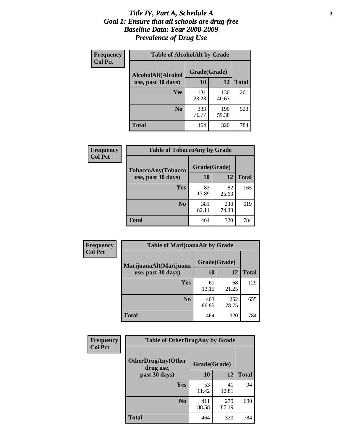#### *Title IV, Part A, Schedule A* **3** *Goal 1: Ensure that all schools are drug-free Baseline Data: Year 2008-2009 Prevalence of Drug Use*

| Frequency<br><b>Col Pct</b> | <b>Table of AlcoholAlt by Grade</b> |              |              |              |  |
|-----------------------------|-------------------------------------|--------------|--------------|--------------|--|
|                             | AlcoholAlt(Alcohol                  | Grade(Grade) |              |              |  |
|                             | use, past 30 days)                  | <b>10</b>    | 12           | <b>Total</b> |  |
|                             | <b>Yes</b>                          | 131<br>28.23 | 130<br>40.63 | 261          |  |
|                             | N <sub>0</sub>                      | 333<br>71.77 | 190<br>59.38 | 523          |  |
|                             | Total                               | 464          | 320          | 784          |  |

| Frequency      | <b>Table of TobaccoAny by Grade</b> |              |              |              |  |
|----------------|-------------------------------------|--------------|--------------|--------------|--|
| <b>Col Pct</b> | TobaccoAny(Tobacco                  | Grade(Grade) |              |              |  |
|                | use, past 30 days)                  | <b>10</b>    | 12           | <b>Total</b> |  |
|                | <b>Yes</b>                          | 83<br>17.89  | 82<br>25.63  | 165          |  |
|                | N <sub>0</sub>                      | 381<br>82.11 | 238<br>74.38 | 619          |  |
|                | <b>Total</b>                        | 464          | 320          | 784          |  |

| Frequency<br><b>Col Pct</b> | <b>Table of MarijuanaAlt by Grade</b> |              |              |              |  |  |
|-----------------------------|---------------------------------------|--------------|--------------|--------------|--|--|
|                             | MarijuanaAlt(Marijuana                | Grade(Grade) |              |              |  |  |
|                             | use, past 30 days)                    | <b>10</b>    | 12           | <b>Total</b> |  |  |
|                             | <b>Yes</b>                            | 61<br>13.15  | 68<br>21.25  | 129          |  |  |
|                             | N <sub>0</sub>                        | 403<br>86.85 | 252<br>78.75 | 655          |  |  |
|                             | <b>Total</b>                          | 464          | 320          | 784          |  |  |

| Frequency<br><b>Col Pct</b> | <b>Table of OtherDrugAny by Grade</b>  |              |              |              |  |  |
|-----------------------------|----------------------------------------|--------------|--------------|--------------|--|--|
|                             | <b>OtherDrugAny(Other</b><br>drug use, | Grade(Grade) |              |              |  |  |
|                             | past 30 days)                          | 10           | 12           | <b>Total</b> |  |  |
|                             | Yes                                    | 53<br>11.42  | 41<br>12.81  | 94           |  |  |
|                             | N <sub>0</sub>                         | 411<br>88.58 | 279<br>87.19 | 690          |  |  |
|                             | <b>Total</b>                           | 464          | 320          | 784          |  |  |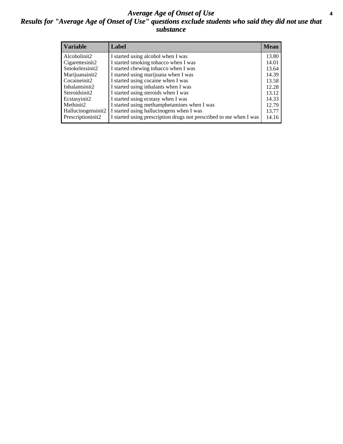#### *Average Age of Onset of Use* **4** *Results for "Average Age of Onset of Use" questions exclude students who said they did not use that substance*

| <b>Variable</b>       | Label                                                              | <b>Mean</b> |
|-----------------------|--------------------------------------------------------------------|-------------|
| Alcoholinit2          | I started using alcohol when I was                                 | 13.80       |
| Cigarettesinit2       | I started smoking tobacco when I was                               | 14.01       |
| Smokelessinit2        | I started chewing tobacco when I was                               | 13.64       |
| Marijuanainit2        | I started using marijuana when I was                               | 14.39       |
| Cocaineinit2          | I started using cocaine when I was                                 | 13.58       |
| Inhalantsinit2        | I started using inhalants when I was                               | 12.28       |
| Steroidsinit2         | I started using steroids when I was                                | 13.12       |
| Ecstasyinit2          | I started using ecstasy when I was                                 | 14.33       |
| Methinit <sub>2</sub> | I started using methamphetamines when I was                        | 12.79       |
| Hallucinogensinit2    | I started using hallucinogens when I was                           | 13.77       |
| Prescriptioninit2     | I started using prescription drugs not prescribed to me when I was | 14.16       |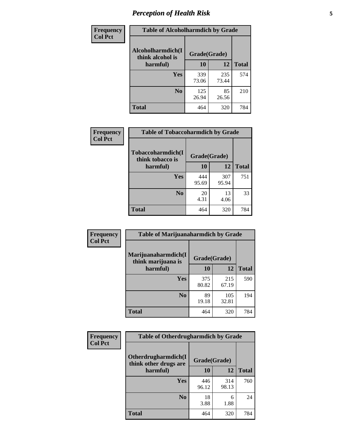# *Perception of Health Risk* **5**

| Frequency      | <b>Table of Alcoholharmdich by Grade</b> |              |              |              |  |
|----------------|------------------------------------------|--------------|--------------|--------------|--|
| <b>Col Pct</b> | Alcoholharmdich(I<br>think alcohol is    | Grade(Grade) |              |              |  |
|                | harmful)                                 | 10           | 12           | <b>Total</b> |  |
|                | Yes                                      | 339<br>73.06 | 235<br>73.44 | 574          |  |
|                | N <sub>0</sub>                           | 125<br>26.94 | 85<br>26.56  | 210          |  |
|                | <b>Total</b>                             | 464          | 320          | 784          |  |

| Frequency      | <b>Table of Tobaccoharmdich by Grade</b>          |              |              |              |  |
|----------------|---------------------------------------------------|--------------|--------------|--------------|--|
| <b>Col Pct</b> | Tobaccoharmdich(I<br>think tobacco is<br>harmful) | Grade(Grade) |              |              |  |
|                |                                                   | 10           | 12           | <b>Total</b> |  |
|                | <b>Yes</b>                                        | 444<br>95.69 | 307<br>95.94 | 751          |  |
|                | N <sub>0</sub>                                    | 20<br>4.31   | 13<br>4.06   | 33           |  |
|                | <b>Total</b>                                      | 464          | 320          | 784          |  |

| Frequency      | <b>Table of Marijuanaharmdich by Grade</b> |              |              |              |  |  |
|----------------|--------------------------------------------|--------------|--------------|--------------|--|--|
| <b>Col Pct</b> | Marijuanaharmdich(I<br>think marijuana is  | Grade(Grade) |              |              |  |  |
|                | harmful)                                   | 10           | 12           | <b>Total</b> |  |  |
|                | Yes                                        | 375<br>80.82 | 215<br>67.19 | 590          |  |  |
|                | N <sub>0</sub>                             | 89<br>19.18  | 105<br>32.81 | 194          |  |  |
|                | <b>Total</b>                               | 464          | 320          | 784          |  |  |

| Frequency      | <b>Table of Otherdrugharmdich by Grade</b>                   |              |              |              |  |
|----------------|--------------------------------------------------------------|--------------|--------------|--------------|--|
| <b>Col Pct</b> | Otherdrugharmdich(I<br>Grade(Grade)<br>think other drugs are |              |              |              |  |
|                | harmful)                                                     | <b>10</b>    | 12           | <b>Total</b> |  |
|                | <b>Yes</b>                                                   | 446<br>96.12 | 314<br>98.13 | 760          |  |
|                | N <sub>0</sub>                                               | 18<br>3.88   | 6<br>1.88    | 24           |  |
|                | <b>Total</b>                                                 | 464          | 320          | 784          |  |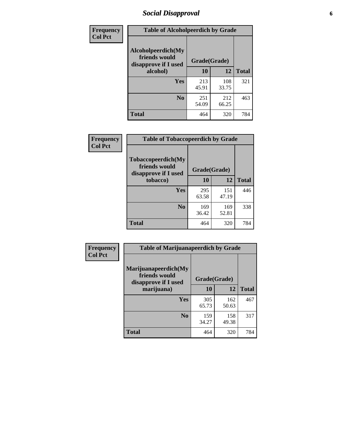# *Social Disapproval* **6**

| Frequency      | <b>Table of Alcoholpeerdich by Grade</b>                    |              |              |              |
|----------------|-------------------------------------------------------------|--------------|--------------|--------------|
| <b>Col Pct</b> | Alcoholpeerdich(My<br>friends would<br>disapprove if I used | Grade(Grade) |              |              |
|                | alcohol)                                                    | 10           | 12           | <b>Total</b> |
|                | <b>Yes</b>                                                  | 213<br>45.91 | 108<br>33.75 | 321          |
|                | N <sub>0</sub>                                              | 251<br>54.09 | 212<br>66.25 | 463          |
|                | <b>Total</b>                                                | 464          | 320          | 784          |

| <b>Frequency</b> |
|------------------|
| <b>Col Pct</b>   |

| <b>Table of Tobaccopeerdich by Grade</b>                           |              |              |              |  |  |
|--------------------------------------------------------------------|--------------|--------------|--------------|--|--|
| <b>Tobaccopeerdich(My</b><br>friends would<br>disapprove if I used | Grade(Grade) |              |              |  |  |
| tobacco)                                                           | 10           | 12           | <b>Total</b> |  |  |
| Yes                                                                | 295<br>63.58 | 151<br>47.19 | 446          |  |  |
| N <sub>0</sub>                                                     | 169<br>36.42 | 169<br>52.81 | 338          |  |  |
| <b>Total</b>                                                       | 464          | 320          | 784          |  |  |

| Frequency      | <b>Table of Marijuanapeerdich by Grade</b>                    |              |              |              |  |
|----------------|---------------------------------------------------------------|--------------|--------------|--------------|--|
| <b>Col Pct</b> | Marijuanapeerdich(My<br>friends would<br>disapprove if I used | Grade(Grade) |              |              |  |
|                | marijuana)                                                    | 10           | 12           | <b>Total</b> |  |
|                | <b>Yes</b>                                                    | 305<br>65.73 | 162<br>50.63 | 467          |  |
|                | N <sub>0</sub>                                                | 159<br>34.27 | 158<br>49.38 | 317          |  |
|                | <b>Total</b>                                                  | 464          | 320          | 784          |  |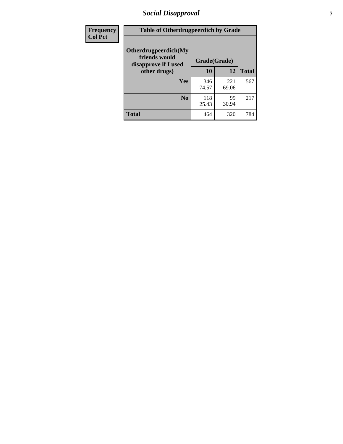# *Social Disapproval* **7**

| Frequency      | <b>Table of Otherdrugpeerdich by Grade</b>                    |              |              |              |  |
|----------------|---------------------------------------------------------------|--------------|--------------|--------------|--|
| <b>Col Pct</b> | Otherdrugpeerdich(My<br>friends would<br>disapprove if I used | Grade(Grade) |              |              |  |
|                | other drugs)                                                  | 10           | 12           | <b>Total</b> |  |
|                | Yes                                                           | 346<br>74.57 | 221<br>69.06 | 567          |  |
|                | N <sub>0</sub>                                                | 118<br>25.43 | 99<br>30.94  | 217          |  |
|                | <b>Total</b>                                                  | 464          | 320          | 784          |  |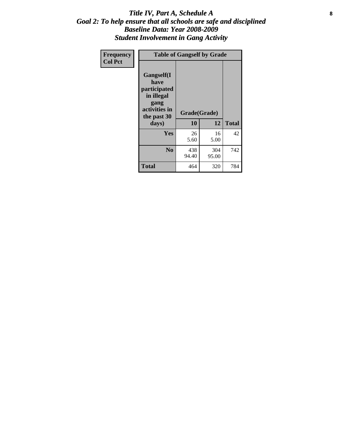#### Title IV, Part A, Schedule A **8** *Goal 2: To help ensure that all schools are safe and disciplined Baseline Data: Year 2008-2009 Student Involvement in Gang Activity*

| Frequency      |                                                                                                   | <b>Table of Gangself by Grade</b> |              |              |
|----------------|---------------------------------------------------------------------------------------------------|-----------------------------------|--------------|--------------|
| <b>Col Pct</b> | Gangself(I<br>have<br>participated<br>in illegal<br>gang<br>activities in<br>the past 30<br>days) | Grade(Grade)<br>10                | 12           | <b>Total</b> |
|                | Yes                                                                                               | 26<br>5.60                        | 16<br>5.00   | 42           |
|                | N <sub>0</sub>                                                                                    | 438<br>94.40                      | 304<br>95.00 | 742          |
|                | <b>Total</b>                                                                                      | 464                               | 320          | 784          |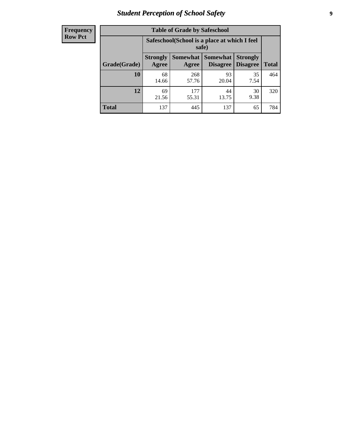### *Student Perception of School Safety* **9**

| <b>Table of Grade by Safeschool</b> |                                                                                                                                                  |                                                        |             |            |     |  |  |
|-------------------------------------|--------------------------------------------------------------------------------------------------------------------------------------------------|--------------------------------------------------------|-------------|------------|-----|--|--|
|                                     |                                                                                                                                                  | Safeschool (School is a place at which I feel<br>safe) |             |            |     |  |  |
| Grade(Grade)                        | <b>Somewhat</b><br><b>Somewhat</b><br><b>Strongly</b><br><b>Strongly</b><br><b>Disagree</b><br>Agree<br><b>Disagree</b><br><b>Total</b><br>Agree |                                                        |             |            |     |  |  |
| 10                                  | 68<br>14.66                                                                                                                                      | 268<br>57.76                                           | 93<br>20.04 | 35<br>7.54 | 464 |  |  |
| 12                                  | 177<br>69<br>30<br>44<br>9.38<br>55.31<br>21.56<br>13.75                                                                                         |                                                        |             |            |     |  |  |
| Total                               | 137                                                                                                                                              | 445                                                    | 137         | 65         | 784 |  |  |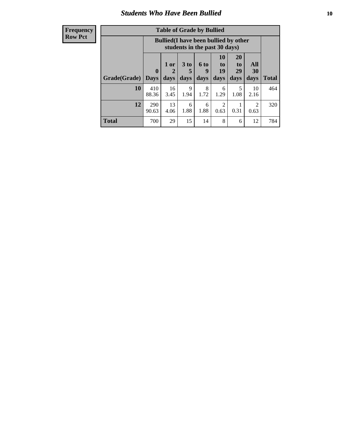### *Students Who Have Been Bullied* **10**

#### **Frequency Row Pct**

| <b>Table of Grade by Bullied</b> |                             |                                                                               |                              |                   |                               |                        |                        |              |
|----------------------------------|-----------------------------|-------------------------------------------------------------------------------|------------------------------|-------------------|-------------------------------|------------------------|------------------------|--------------|
|                                  |                             | <b>Bullied</b> (I have been bullied by other<br>students in the past 30 days) |                              |                   |                               |                        |                        |              |
| Grade(Grade)                     | $\mathbf{0}$<br><b>Days</b> | 1 or<br>2<br>days                                                             | 3 <sub>to</sub><br>5<br>days | 6 to<br>9<br>days | <b>10</b><br>to<br>19<br>days | 20<br>to<br>29<br>days | All<br>30<br>days      | <b>Total</b> |
| 10                               | 410<br>88.36                | 16<br>3.45                                                                    | 9<br>1.94                    | 8<br>1.72         | 6<br>1.29                     | 5<br>1.08              | 10<br>2.16             | 464          |
| 12                               | 290<br>90.63                | 13<br>4.06                                                                    | 6<br>1.88                    | 6<br>1.88         | 2<br>0.63                     | 0.31                   | $\overline{c}$<br>0.63 | 320          |
| <b>Total</b>                     | 700                         | 29                                                                            | 15                           | 14                | 8                             | 6                      | 12                     | 784          |

 $\blacksquare$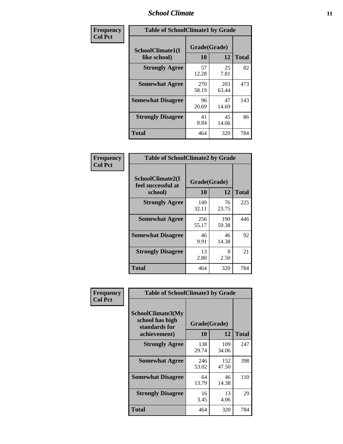### *School Climate* **11**

| Frequency      | <b>Table of SchoolClimate1 by Grade</b> |                    |              |              |  |
|----------------|-----------------------------------------|--------------------|--------------|--------------|--|
| <b>Col Pct</b> | SchoolClimate1(I<br>like school)        | Grade(Grade)<br>10 | 12           | <b>Total</b> |  |
|                | <b>Strongly Agree</b>                   | 57<br>12.28        | 25<br>7.81   | 82           |  |
|                | <b>Somewhat Agree</b>                   | 270<br>58.19       | 203<br>63.44 | 473          |  |
|                | <b>Somewhat Disagree</b>                | 96<br>20.69        | 47<br>14.69  | 143          |  |
|                | <b>Strongly Disagree</b>                | 41<br>8.84         | 45<br>14.06  | 86           |  |
|                | <b>Total</b>                            | 464                | 320          | 784          |  |

| <b>Frequency</b> |  |
|------------------|--|
| <b>Col Pct</b>   |  |

| <b>Table of SchoolClimate2 by Grade</b>           |              |                    |              |  |  |
|---------------------------------------------------|--------------|--------------------|--------------|--|--|
| SchoolClimate2(I<br>feel successful at<br>school) | 10           | Grade(Grade)<br>12 | <b>Total</b> |  |  |
| <b>Strongly Agree</b>                             | 149<br>32.11 | 76<br>23.75        | 225          |  |  |
| <b>Somewhat Agree</b>                             | 256<br>55.17 | 190<br>59.38       | 446          |  |  |
| <b>Somewhat Disagree</b>                          | 46<br>9.91   | 46<br>14.38        | 92           |  |  |
| <b>Strongly Disagree</b>                          | 13<br>2.80   | 8<br>2.50          | 21           |  |  |
| <b>Total</b>                                      | 464          | 320                | 784          |  |  |

| Frequency      | <b>Table of SchoolClimate3 by Grade</b>                      |              |              |              |
|----------------|--------------------------------------------------------------|--------------|--------------|--------------|
| <b>Col Pct</b> | <b>SchoolClimate3(My</b><br>school has high<br>standards for | Grade(Grade) |              |              |
|                | achievement)                                                 | 10           | 12           | <b>Total</b> |
|                | <b>Strongly Agree</b>                                        | 138<br>29.74 | 109<br>34.06 | 247          |
|                | <b>Somewhat Agree</b>                                        | 246<br>53.02 | 152<br>47.50 | 398          |
|                | <b>Somewhat Disagree</b>                                     | 64<br>13.79  | 46<br>14.38  | 110          |
|                | <b>Strongly Disagree</b>                                     | 16<br>3.45   | 13<br>4.06   | 29           |
|                | Total                                                        | 464          | 320          | 784          |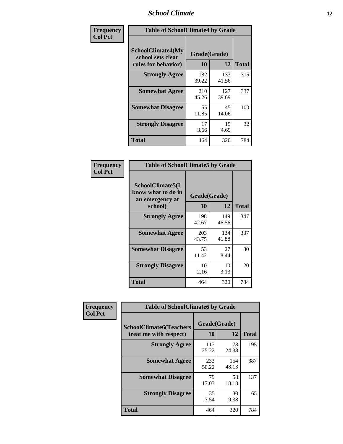### *School Climate* **12**

| Frequency      | <b>Table of SchoolClimate4 by Grade</b>                       |                    |              |              |
|----------------|---------------------------------------------------------------|--------------------|--------------|--------------|
| <b>Col Pct</b> | SchoolClimate4(My<br>school sets clear<br>rules for behavior) | Grade(Grade)<br>10 | 12           | <b>Total</b> |
|                | <b>Strongly Agree</b>                                         | 182<br>39.22       | 133<br>41.56 | 315          |
|                | <b>Somewhat Agree</b>                                         | 210<br>45.26       | 127<br>39.69 | 337          |
|                | <b>Somewhat Disagree</b>                                      | 55<br>11.85        | 45<br>14.06  | 100          |
|                | <b>Strongly Disagree</b>                                      | 17<br>3.66         | 15<br>4.69   | 32           |
|                | Total                                                         | 464                | 320          | 784          |

| <b>Table of SchoolClimate5 by Grade</b>                   |              |              |              |  |
|-----------------------------------------------------------|--------------|--------------|--------------|--|
| SchoolClimate5(I<br>know what to do in<br>an emergency at | Grade(Grade) |              |              |  |
| school)                                                   | 10           | 12           | <b>Total</b> |  |
| <b>Strongly Agree</b>                                     | 198<br>42.67 | 149<br>46.56 | 347          |  |
| <b>Somewhat Agree</b>                                     | 203<br>43.75 | 134<br>41.88 | 337          |  |
| <b>Somewhat Disagree</b>                                  | 53<br>11.42  | 27<br>8.44   | 80           |  |
| <b>Strongly Disagree</b>                                  | 10<br>2.16   | 10<br>3.13   | 20           |  |
| Total                                                     | 464          | 320          | 784          |  |

| Frequency<br><b>Col Pct</b> | <b>Table of SchoolClimate6 by Grade</b>                  |                    |              |              |  |
|-----------------------------|----------------------------------------------------------|--------------------|--------------|--------------|--|
|                             | <b>SchoolClimate6(Teachers</b><br>treat me with respect) | Grade(Grade)<br>10 | 12           | <b>Total</b> |  |
|                             | <b>Strongly Agree</b>                                    | 117<br>25.22       | 78<br>24.38  | 195          |  |
|                             | <b>Somewhat Agree</b>                                    | 233<br>50.22       | 154<br>48.13 | 387          |  |
|                             | <b>Somewhat Disagree</b>                                 | 79<br>17.03        | 58<br>18.13  | 137          |  |
|                             | <b>Strongly Disagree</b>                                 | 35<br>7.54         | 30<br>9.38   | 65           |  |
|                             | <b>Total</b>                                             | 464                | 320          | 784          |  |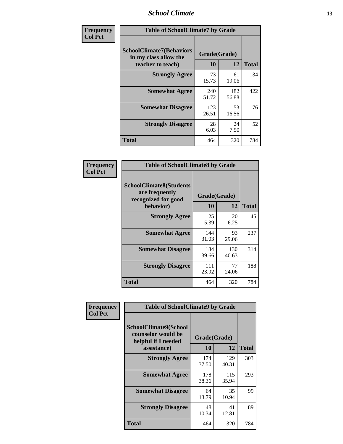### *School Climate* **13**

| Frequency      | <b>Table of SchoolClimate7 by Grade</b>                                       |                           |              |              |
|----------------|-------------------------------------------------------------------------------|---------------------------|--------------|--------------|
| <b>Col Pct</b> | <b>SchoolClimate7(Behaviors</b><br>in my class allow the<br>teacher to teach) | Grade(Grade)<br><b>10</b> | 12           | <b>Total</b> |
|                | <b>Strongly Agree</b>                                                         | 73<br>15.73               | 61<br>19.06  | 134          |
|                | <b>Somewhat Agree</b>                                                         | 240<br>51.72              | 182<br>56.88 | 422          |
|                | <b>Somewhat Disagree</b>                                                      | 123<br>26.51              | 53<br>16.56  | 176          |
|                | <b>Strongly Disagree</b>                                                      | 28<br>6.03                | 24<br>7.50   | 52           |
|                | <b>Total</b>                                                                  | 464                       | 320          | 784          |

| Frequency      | <b>Table of SchoolClimate8 by Grade</b>                                              |                    |              |              |
|----------------|--------------------------------------------------------------------------------------|--------------------|--------------|--------------|
| <b>Col Pct</b> | <b>SchoolClimate8(Students</b><br>are frequently<br>recognized for good<br>behavior) | Grade(Grade)<br>10 | 12           | <b>Total</b> |
|                | <b>Strongly Agree</b>                                                                | 25<br>5.39         | 20<br>6.25   | 45           |
|                | <b>Somewhat Agree</b>                                                                | 144<br>31.03       | 93<br>29.06  | 237          |
|                | <b>Somewhat Disagree</b>                                                             | 184<br>39.66       | 130<br>40.63 | 314          |
|                | <b>Strongly Disagree</b>                                                             | 111<br>23.92       | 77<br>24.06  | 188          |
|                | <b>Total</b>                                                                         | 464                | 320          | 784          |

| Frequency      | <b>Table of SchoolClimate9 by Grade</b>                                           |                    |              |              |
|----------------|-----------------------------------------------------------------------------------|--------------------|--------------|--------------|
| <b>Col Pct</b> | SchoolClimate9(School<br>counselor would be<br>helpful if I needed<br>assistance) | Grade(Grade)<br>10 | 12           | <b>Total</b> |
|                | <b>Strongly Agree</b>                                                             | 174<br>37.50       | 129<br>40.31 | 303          |
|                | <b>Somewhat Agree</b>                                                             | 178<br>38.36       | 115<br>35.94 | 293          |
|                | <b>Somewhat Disagree</b>                                                          | 64<br>13.79        | 35<br>10.94  | 99           |
|                | <b>Strongly Disagree</b>                                                          | 48<br>10.34        | 41<br>12.81  | 89           |
|                | Total                                                                             | 464                | 320          | 784          |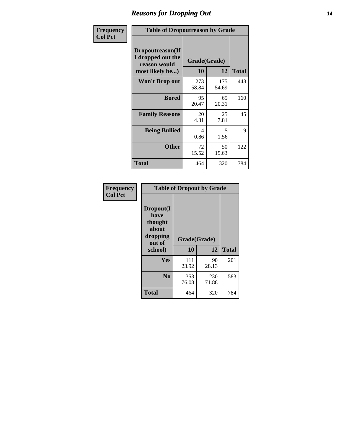### *Reasons for Dropping Out* **14**

| Frequency      | <b>Table of Dropoutreason by Grade</b>                                   |                           |              |              |
|----------------|--------------------------------------------------------------------------|---------------------------|--------------|--------------|
| <b>Col Pct</b> | Dropoutreason(If<br>I dropped out the<br>reason would<br>most likely be) | Grade(Grade)<br><b>10</b> | 12           | <b>Total</b> |
|                | Won't Drop out                                                           | 273<br>58.84              | 175<br>54.69 | 448          |
|                | <b>Bored</b>                                                             | 95<br>20.47               | 65<br>20.31  | 160          |
|                | <b>Family Reasons</b>                                                    | 20<br>4.31                | 25<br>7.81   | 45           |
|                | <b>Being Bullied</b>                                                     | 4<br>0.86                 | 5<br>1.56    | 9            |
|                | <b>Other</b>                                                             | 72<br>15.52               | 50<br>15.63  | 122          |
|                | <b>Total</b>                                                             | 464                       | 320          | 784          |

| Frequency<br><b>Col Pct</b> |                                                                        | <b>Table of Dropout by Grade</b> |              |              |  |  |  |
|-----------------------------|------------------------------------------------------------------------|----------------------------------|--------------|--------------|--|--|--|
|                             | Dropout(I<br>have<br>thought<br>about<br>dropping<br>out of<br>school) | Grade(Grade)<br>10               | 12           | <b>Total</b> |  |  |  |
|                             |                                                                        |                                  |              |              |  |  |  |
|                             | Yes                                                                    | 111<br>23.92                     | 90<br>28.13  | 201          |  |  |  |
|                             | N <sub>0</sub>                                                         | 353<br>76.08                     | 230<br>71.88 | 583          |  |  |  |
|                             | <b>Total</b>                                                           | 464                              | 320          | 784          |  |  |  |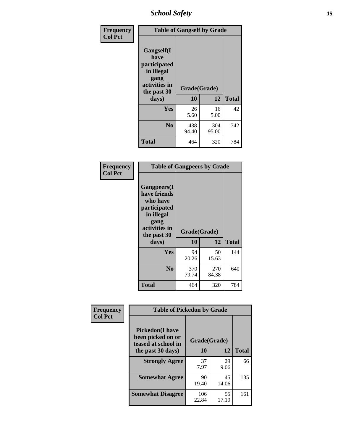*School Safety* **15**

| Frequency      | <b>Table of Gangself by Grade</b>                                                                 |                    |              |              |
|----------------|---------------------------------------------------------------------------------------------------|--------------------|--------------|--------------|
| <b>Col Pct</b> | Gangself(I<br>have<br>participated<br>in illegal<br>gang<br>activities in<br>the past 30<br>days) | Grade(Grade)<br>10 | 12           | <b>Total</b> |
|                | Yes                                                                                               | 26<br>5.60         | 16<br>5.00   | 42           |
|                | N <sub>o</sub>                                                                                    | 438<br>94.40       | 304<br>95.00 | 742          |
|                | Total                                                                                             | 464                | 320          | 784          |

| Frequency<br><b>Col Pct</b> | <b>Table of Gangpeers by Grade</b>                                                                                             |                    |              |              |
|-----------------------------|--------------------------------------------------------------------------------------------------------------------------------|--------------------|--------------|--------------|
|                             | <b>Gangpeers</b> (I<br>have friends<br>who have<br>participated<br>in illegal<br>gang<br>activities in<br>the past 30<br>days) | Grade(Grade)<br>10 | 12           | <b>Total</b> |
|                             | Yes                                                                                                                            | 94<br>20.26        | 50<br>15.63  | 144          |
|                             | N <sub>0</sub>                                                                                                                 | 370<br>79.74       | 270<br>84.38 | 640          |
|                             | <b>Total</b>                                                                                                                   | 464                | 320          | 784          |

| Frequency<br><b>Col Pct</b> | <b>Table of Pickedon by Grade</b>                                  |                          |             |              |
|-----------------------------|--------------------------------------------------------------------|--------------------------|-------------|--------------|
|                             | <b>Pickedon(I have</b><br>been picked on or<br>teased at school in | Grade(Grade)<br>12<br>10 |             | <b>Total</b> |
|                             | the past 30 days)<br><b>Strongly Agree</b>                         | 37                       | 29          | 66           |
|                             |                                                                    | 7.97                     | 9.06        |              |
|                             | <b>Somewhat Agree</b>                                              | 90<br>19.40              | 45<br>14.06 | 135          |
|                             | <b>Somewhat Disagree</b>                                           | 106<br>22.84             | 55<br>17.19 | 161          |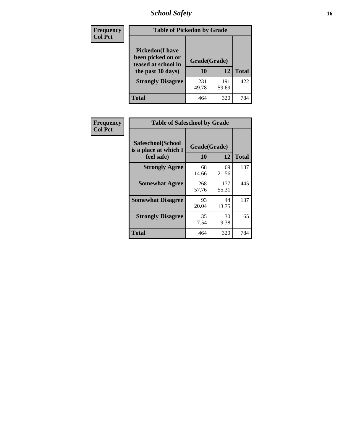# *School Safety* **16**

| <b>Frequency</b> | <b>Table of Pickedon by Grade</b>                                                        |                    |              |              |
|------------------|------------------------------------------------------------------------------------------|--------------------|--------------|--------------|
| <b>Col Pct</b>   | <b>Pickedon</b> (I have<br>been picked on or<br>teased at school in<br>the past 30 days) | Grade(Grade)<br>10 | 12           | <b>Total</b> |
|                  | <b>Strongly Disagree</b>                                                                 | 231<br>49.78       | 191<br>59.69 | 422          |
|                  | Total                                                                                    | 464                | 320          | 784          |

| Frequency      | <b>Table of Safeschool by Grade</b>                      |                    |              |              |  |  |  |  |  |  |
|----------------|----------------------------------------------------------|--------------------|--------------|--------------|--|--|--|--|--|--|
| <b>Col Pct</b> | Safeschool(School<br>is a place at which I<br>feel safe) | Grade(Grade)<br>10 | 12           | <b>Total</b> |  |  |  |  |  |  |
|                | <b>Strongly Agree</b>                                    | 68<br>14.66        | 69<br>21.56  | 137          |  |  |  |  |  |  |
|                | <b>Somewhat Agree</b>                                    | 268<br>57.76       | 177<br>55.31 | 445          |  |  |  |  |  |  |
|                | <b>Somewhat Disagree</b>                                 | 93<br>20.04        | 44<br>13.75  | 137          |  |  |  |  |  |  |
|                | <b>Strongly Disagree</b>                                 | 35<br>7.54         | 30<br>9.38   | 65           |  |  |  |  |  |  |
|                | <b>Total</b>                                             | 464                | 320          | 784          |  |  |  |  |  |  |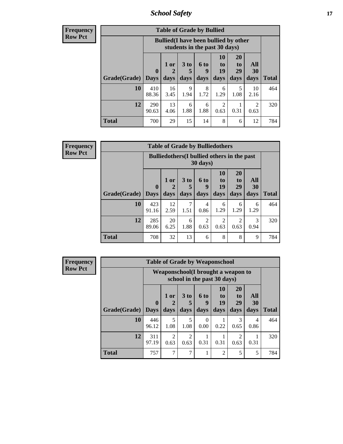*School Safety* **17**

| <b>Table of Grade by Bullied</b> |              |                                                                               |                     |                   |                        |                               |                        |              |  |  |  |  |
|----------------------------------|--------------|-------------------------------------------------------------------------------|---------------------|-------------------|------------------------|-------------------------------|------------------------|--------------|--|--|--|--|
|                                  |              | <b>Bullied</b> (I have been bullied by other<br>students in the past 30 days) |                     |                   |                        |                               |                        |              |  |  |  |  |
| <b>Grade</b> (Grade)   Days      | $\bf{0}$     | $1$ or<br>days                                                                | $3$ to<br>5<br>days | 6 to<br>9<br>days | 10<br>to<br>19<br>days | <b>20</b><br>to<br>29<br>days | All<br>30<br>days      | <b>Total</b> |  |  |  |  |
| 10                               | 410<br>88.36 | 16<br>3.45                                                                    | 9<br>1.94           | 8<br>1.72         | 6<br>1.29              | 5<br>1.08                     | 10<br>2.16             | 464          |  |  |  |  |
| 12                               | 290<br>90.63 | 13<br>4.06                                                                    | 6<br>1.88           | 6<br>1.88         | 2<br>0.63              | 0.31                          | $\mathfrak{D}$<br>0.63 | 320          |  |  |  |  |
| <b>Total</b>                     | 700          | 29                                                                            | 15                  | 14                | 8                      | 6                             | 12                     | 784          |  |  |  |  |

| Frequency      |                     |                                                    |            | <b>Table of Grade by Bulliedothers</b> |                       |                |                        |                  |              |
|----------------|---------------------|----------------------------------------------------|------------|----------------------------------------|-----------------------|----------------|------------------------|------------------|--------------|
| <b>Row Pct</b> |                     | <b>Bulliedothers</b> (I bullied others in the past |            |                                        |                       |                |                        |                  |              |
|                |                     | $\mathbf{0}$                                       | $1$ or     | 3 <sub>to</sub><br>5                   | 6 to<br>9             | 10<br>to<br>19 | <b>20</b><br>to<br>29  | <b>All</b><br>30 |              |
|                | Grade(Grade)   Days |                                                    | days       | days                                   | days                  | days           | days                   | days             | <b>Total</b> |
|                | 10                  | 423<br>91.16                                       | 12<br>2.59 | 7<br>1.51                              | 4<br>0.86             | 6<br>1.29      | 6<br>1.29              | 6<br>1.29        | 464          |
|                | 12                  | 285<br>89.06                                       | 20<br>6.25 | 6<br>1.88                              | $\mathcal{D}$<br>0.63 | 2<br>0.63      | $\mathfrak{D}$<br>0.63 | 3<br>0.94        | 320          |
|                | <b>Total</b>        | 708                                                | 32         | 13                                     | 6                     | 8              | 8                      | 9                | 784          |

| Frequency      |              |              |                                                                    |                        | <b>Table of Grade by Weaponschool</b> |                |                |           |              |  |  |
|----------------|--------------|--------------|--------------------------------------------------------------------|------------------------|---------------------------------------|----------------|----------------|-----------|--------------|--|--|
| <b>Row Pct</b> |              |              | Weaponschool (I brought a weapon to<br>school in the past 30 days) |                        |                                       |                |                |           |              |  |  |
|                |              | $\mathbf 0$  | 1 or                                                               | 3 to                   | <b>6 to</b><br>9                      | 10<br>to<br>19 | 20<br>to<br>29 | All<br>30 |              |  |  |
|                | Grade(Grade) | <b>Days</b>  | days                                                               | days                   | days                                  | days           | days           | days      | <b>Total</b> |  |  |
|                | 10           | 446<br>96.12 | 5<br>1.08                                                          | 5<br>1.08              | $\Omega$<br>0.00                      | 0.22           | 3<br>0.65      | 4<br>0.86 | 464          |  |  |
|                | 12           | 311<br>97.19 | $\mathfrak{D}$<br>0.63                                             | $\mathfrak{D}$<br>0.63 | 0.31                                  | 0.31           | 2<br>0.63      | 0.31      | 320          |  |  |
|                | <b>Total</b> | 757          | 7                                                                  |                        |                                       | $\overline{2}$ | 5              | 5         | 784          |  |  |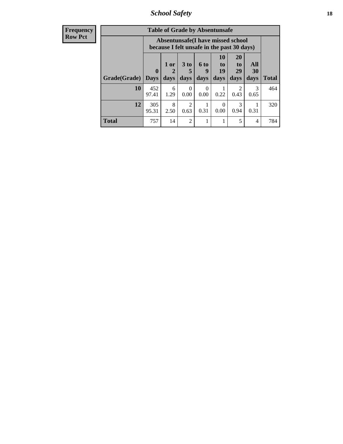*School Safety* **18**

| <b>Frequency</b> |              |                  |             | <b>Table of Grade by Absentunsafe</b>                                           |                  |                          |                        |                |              |
|------------------|--------------|------------------|-------------|---------------------------------------------------------------------------------|------------------|--------------------------|------------------------|----------------|--------------|
| <b>Row Pct</b>   |              |                  |             | Absentunsafe(I have missed school<br>because I felt unsafe in the past 30 days) |                  |                          |                        |                |              |
|                  |              | $\boldsymbol{0}$ | $1$ or<br>2 | 3 <sub>to</sub><br>5                                                            | 6 to<br>9        | 10<br>$\mathbf{t}$<br>19 | <b>20</b><br>to<br>29  | All<br>30      |              |
|                  | Grade(Grade) | <b>Days</b>      | days        | days                                                                            | days             | days                     | days                   | days           | <b>Total</b> |
|                  | 10           | 452<br>97.41     | 6<br>1.29   | $\Omega$<br>0.00                                                                | $\Omega$<br>0.00 | 0.22                     | $\mathfrak{D}$<br>0.43 | 3<br>0.65      | 464          |
|                  | 12           | 305<br>95.31     | 8<br>2.50   | $\overline{2}$<br>0.63                                                          | 0.31             | $\Omega$<br>0.00         | 3<br>0.94              | 0.31           | 320          |
|                  | <b>Total</b> | 757              | 14          | 2                                                                               |                  |                          | 5                      | $\overline{4}$ | 784          |
|                  |              |                  |             |                                                                                 |                  |                          |                        |                |              |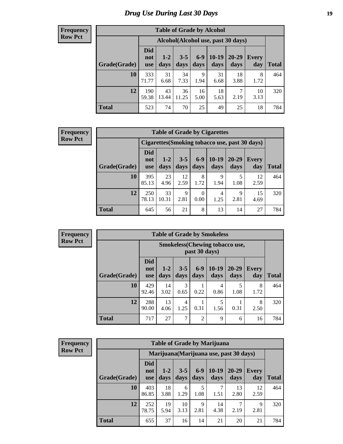# *Drug Use During Last 30 Days* **19**

#### **Frequency Row Pct**

| <b>Table of Grade by Alcohol</b> |                                     |                 |                 |               |               |               |                     |       |  |  |  |  |
|----------------------------------|-------------------------------------|-----------------|-----------------|---------------|---------------|---------------|---------------------|-------|--|--|--|--|
|                                  | Alcohol (Alcohol use, past 30 days) |                 |                 |               |               |               |                     |       |  |  |  |  |
| Grade(Grade)                     | <b>Did</b><br>not<br><b>use</b>     | $1 - 2$<br>days | $3 - 5$<br>days | $6-9$<br>days | 10-19<br>days | 20-29<br>days | <b>Every</b><br>day | Total |  |  |  |  |
| 10                               | 333<br>71.77                        | 31<br>6.68      | 34<br>7.33      | 9<br>1.94     | 31<br>6.68    | 18<br>3.88    | 8<br>1.72           | 464   |  |  |  |  |
| 12                               | 190<br>59.38                        | 43<br>13.44     | 36<br>11.25     | 16<br>5.00    | 18<br>5.63    | 7<br>2.19     | 10<br>3.13          | 320   |  |  |  |  |
| <b>Total</b>                     | 523                                 | 74              | 70              | 25            | 49            | 25            | 18                  | 784   |  |  |  |  |

#### **Frequency Row Pct**

| <b>Table of Grade by Cigarettes</b>            |                                 |                 |                 |                  |                 |               |                     |       |  |  |  |
|------------------------------------------------|---------------------------------|-----------------|-----------------|------------------|-----------------|---------------|---------------------|-------|--|--|--|
| Cigarettes (Smoking tobacco use, past 30 days) |                                 |                 |                 |                  |                 |               |                     |       |  |  |  |
| Grade(Grade)                                   | <b>Did</b><br>not<br><b>use</b> | $1 - 2$<br>days | $3 - 5$<br>days | $6 - 9$<br>days  | $10-19$<br>days | 20-29<br>days | <b>Every</b><br>day | Total |  |  |  |
| 10                                             | 395<br>85.13                    | 23<br>4.96      | 12<br>2.59      | 8<br>1.72        | 9<br>1.94       | 1.08          | 12<br>2.59          | 464   |  |  |  |
| 12                                             | 250<br>78.13                    | 33<br>10.31     | 9<br>2.81       | $\Omega$<br>0.00 | 4<br>1.25       | 9<br>2.81     | 15<br>4.69          | 320   |  |  |  |
| <b>Total</b>                                   | 645                             | 56              | 21              | 8                | 13              | 14            | 27                  | 784   |  |  |  |

**Frequency Row Pct**

| <b>Table of Grade by Smokeless</b> |                                 |                                                         |                 |                |                 |               |                     |              |  |  |  |
|------------------------------------|---------------------------------|---------------------------------------------------------|-----------------|----------------|-----------------|---------------|---------------------|--------------|--|--|--|
|                                    |                                 | <b>Smokeless</b> (Chewing tobacco use,<br>past 30 days) |                 |                |                 |               |                     |              |  |  |  |
| Grade(Grade)                       | <b>Did</b><br>not<br><b>use</b> | $1 - 2$<br>days                                         | $3 - 5$<br>days | $6-9$<br>days  | $10-19$<br>days | 20-29<br>days | <b>Every</b><br>day | <b>Total</b> |  |  |  |
| 10                                 | 429<br>92.46                    | 14<br>3.02                                              | 3<br>0.65       | 0.22           | 4<br>0.86       | 5<br>1.08     | 8<br>1.72           | 464          |  |  |  |
| 12                                 | 288<br>90.00                    | 13<br>4.06                                              | 4<br>1.25       | 0.31           | 5<br>1.56       | 0.31          | 8<br>2.50           | 320          |  |  |  |
| <b>Total</b>                       | 717                             | 27                                                      | 7               | $\overline{2}$ | 9               | 6             | 16                  | 784          |  |  |  |

| <b>Table of Grade by Marijuana</b> |                                         |                 |                 |                 |                 |               |                     |              |  |  |  |
|------------------------------------|-----------------------------------------|-----------------|-----------------|-----------------|-----------------|---------------|---------------------|--------------|--|--|--|
|                                    | Marijuana (Marijuana use, past 30 days) |                 |                 |                 |                 |               |                     |              |  |  |  |
| Grade(Grade)                       | <b>Did</b><br>not<br><b>use</b>         | $1 - 2$<br>days | $3 - 5$<br>days | $6 - 9$<br>days | $10-19$<br>days | 20-29<br>days | <b>Every</b><br>day | <b>Total</b> |  |  |  |
| 10                                 | 403<br>86.85                            | 18<br>3.88      | 6<br>1.29       | 5<br>1.08       | 7<br>1.51       | 13<br>2.80    | 12<br>2.59          | 464          |  |  |  |
| 12                                 | 252<br>78.75                            | 19<br>5.94      | 10<br>3.13      | 9<br>2.81       | 14<br>4.38      | 2.19          | 9<br>2.81           | 320          |  |  |  |
| <b>Total</b>                       | 655                                     | 37              | 16              | 14              | 21              | 20            | 21                  | 784          |  |  |  |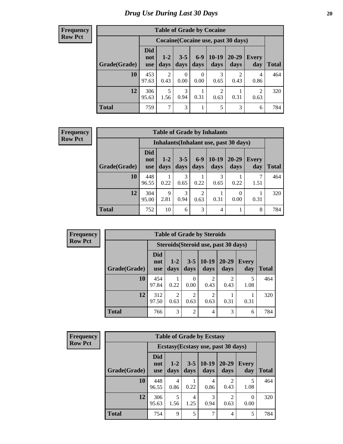#### **Frequency Row Pct**

| <b>Table of Grade by Cocaine</b> |                                     |                        |                  |                  |                        |                        |                        |              |  |  |  |  |
|----------------------------------|-------------------------------------|------------------------|------------------|------------------|------------------------|------------------------|------------------------|--------------|--|--|--|--|
|                                  | Cocaine (Cocaine use, past 30 days) |                        |                  |                  |                        |                        |                        |              |  |  |  |  |
| Grade(Grade)                     | <b>Did</b><br>not<br><b>use</b>     | $1 - 2$<br>days        | $3 - 5$<br>days  | $6 - 9$<br>days  | $10-19$<br>days        | 20-29<br>days          | <b>Every</b><br>day    | <b>Total</b> |  |  |  |  |
| 10                               | 453<br>97.63                        | $\overline{2}$<br>0.43 | $\Omega$<br>0.00 | $\theta$<br>0.00 | 3<br>0.65              | $\overline{2}$<br>0.43 | 4<br>0.86              | 464          |  |  |  |  |
| 12                               | 306<br>95.63                        | 5<br>1.56              | 3<br>0.94        | 1<br>0.31        | $\overline{c}$<br>0.63 | 0.31                   | $\overline{2}$<br>0.63 | 320          |  |  |  |  |
| <b>Total</b>                     | 759                                 | 7                      | 3                | $\mathbf{1}$     | 5                      | 3                      | 6                      | 784          |  |  |  |  |

| <b>Table of Grade by Inhalants</b> |                                        |                     |                 |               |                 |                  |              |       |  |  |  |
|------------------------------------|----------------------------------------|---------------------|-----------------|---------------|-----------------|------------------|--------------|-------|--|--|--|
|                                    | Inhalants (Inhalant use, past 30 days) |                     |                 |               |                 |                  |              |       |  |  |  |
| Grade(Grade)                       | Did<br>not<br><b>use</b>               | $1-2$<br>days       | $3 - 5$<br>days | $6-9$<br>days | $10-19$<br>days | 20-29<br>days    | Every<br>day | Total |  |  |  |
| 10                                 | 448<br>96.55                           | 0.22                | 3<br>0.65       | 0.22          | 3<br>0.65       | 0.22             | 1.51         | 464   |  |  |  |
| 12                                 | 304<br>95.00                           | $\mathbf Q$<br>2.81 | 3<br>0.94       | 2<br>0.63     | 0.31            | $\theta$<br>0.00 | 0.31         | 320   |  |  |  |
| <b>Total</b>                       | 752                                    | 10                  | 6               | 3             | 4               |                  | 8            | 784   |  |  |  |

| <b>Frequency</b> |
|------------------|
| <b>Row Pct</b>   |

| <b>Table of Grade by Steroids</b> |                                      |               |                        |                 |                   |              |       |  |  |  |
|-----------------------------------|--------------------------------------|---------------|------------------------|-----------------|-------------------|--------------|-------|--|--|--|
|                                   | Steroids (Steroid use, past 30 days) |               |                        |                 |                   |              |       |  |  |  |
| Grade(Grade)                      | <b>Did</b><br>not<br><b>use</b>      | $1-2$<br>days | $3 - 5$<br>days        | $10-19$<br>days | $20 - 29$<br>days | Every<br>day | Total |  |  |  |
| 10                                | 454<br>97.84                         | 0.22          | 0<br>0.00              | 0.43            | 0.43              | 5<br>1.08    | 464   |  |  |  |
| 12                                | 312<br>97.50                         | 2<br>0.63     | $\overline{2}$<br>0.63 | 2<br>0.63       | 0.31              | 0.31         | 320   |  |  |  |
| <b>Total</b>                      | 766                                  | 3             | $\overline{2}$         |                 | 3                 | 6            | 784   |  |  |  |

| <b>Frequency</b> |
|------------------|
| <b>Row Pct</b>   |

| <b>Table of Grade by Ecstasy</b> |                                 |                                     |                 |                 |                        |                     |              |  |  |  |
|----------------------------------|---------------------------------|-------------------------------------|-----------------|-----------------|------------------------|---------------------|--------------|--|--|--|
|                                  |                                 | Ecstasy (Ecstasy use, past 30 days) |                 |                 |                        |                     |              |  |  |  |
| Grade(Grade)                     | <b>Did</b><br>not<br><b>use</b> | $1-2$<br>days                       | $3 - 5$<br>days | $10-19$<br>days | 20-29<br>days          | <b>Every</b><br>day | <b>Total</b> |  |  |  |
| 10                               | 448<br>96.55                    | 4<br>0.86                           | 0.22            | 4<br>0.86       | $\mathfrak{D}$<br>0.43 | 5<br>1.08           | 464          |  |  |  |
| 12                               | 306<br>95.63                    | 5<br>1.56                           | 4<br>1.25       | 3<br>0.94       | $\mathfrak{D}$<br>0.63 | 0<br>0.00           | 320          |  |  |  |
| <b>Total</b>                     | 754                             | 9                                   | 5               |                 | 4                      | 5                   | 784          |  |  |  |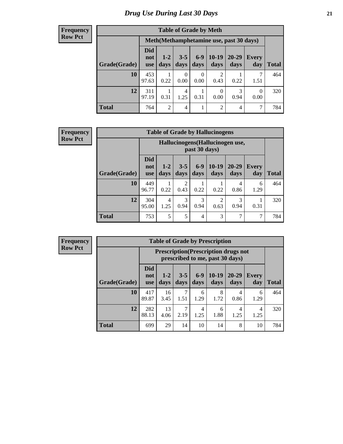#### **Frequency Row Pct**

| <b>Table of Grade by Meth</b> |                                 |                                         |                 |                  |                        |               |              |              |  |  |
|-------------------------------|---------------------------------|-----------------------------------------|-----------------|------------------|------------------------|---------------|--------------|--------------|--|--|
|                               |                                 | Meth(Methamphetamine use, past 30 days) |                 |                  |                        |               |              |              |  |  |
| Grade(Grade)                  | <b>Did</b><br>not<br><b>use</b> | $1 - 2$<br>days                         | $3 - 5$<br>days | $6-9$<br>days    | $10-19$<br>days        | 20-29<br>days | Every<br>day | <b>Total</b> |  |  |
| 10                            | 453<br>97.63                    | 0.22                                    | 0<br>0.00       | $\theta$<br>0.00 | $\overline{c}$<br>0.43 | 0.22          | 7<br>1.51    | 464          |  |  |
| 12                            | 311<br>97.19                    | 0.31                                    | 4<br>1.25       | 0.31             | $\theta$<br>0.00       | 3<br>0.94     | 0<br>0.00    | 320          |  |  |
| <b>Total</b>                  | 764                             | 2                                       | 4               | 1                | $\overline{2}$         | 4             | 7            | 784          |  |  |

#### **Frequency Row Pct**

| <b>Table of Grade by Hallucinogens</b> |                                 |                                                   |                        |                 |                        |               |              |              |  |  |
|----------------------------------------|---------------------------------|---------------------------------------------------|------------------------|-----------------|------------------------|---------------|--------------|--------------|--|--|
|                                        |                                 | Hallucinogens (Hallucinogen use,<br>past 30 days) |                        |                 |                        |               |              |              |  |  |
| Grade(Grade)                           | <b>Did</b><br>not<br><b>use</b> | $1 - 2$<br>days                                   | $3 - 5$<br>days        | $6 - 9$<br>days | $10-19$<br>days        | 20-29<br>days | Every<br>day | <b>Total</b> |  |  |
| 10                                     | 449<br>96.77                    | 0.22                                              | $\mathfrak{D}$<br>0.43 | 0.22            | 0.22                   | 4<br>0.86     | 6<br>1.29    | 464          |  |  |
| 12                                     | 304<br>95.00                    | 4<br>1.25                                         | 3<br>0.94              | 3<br>0.94       | $\overline{c}$<br>0.63 | 3<br>0.94     | 0.31         | 320          |  |  |
| <b>Total</b>                           | 753                             | 5                                                 | 5                      | $\overline{4}$  | 3                      | 7             | 7            | 784          |  |  |

| <b>Table of Grade by Prescription</b> |                                 |                                                                                |                 |                 |                 |               |                     |              |  |  |
|---------------------------------------|---------------------------------|--------------------------------------------------------------------------------|-----------------|-----------------|-----------------|---------------|---------------------|--------------|--|--|
|                                       |                                 | <b>Prescription</b> (Prescription drugs not<br>prescribed to me, past 30 days) |                 |                 |                 |               |                     |              |  |  |
| Grade(Grade)                          | <b>Did</b><br>not<br><b>use</b> | $1 - 2$<br>days                                                                | $3 - 5$<br>days | $6 - 9$<br>days | $10-19$<br>days | 20-29<br>days | <b>Every</b><br>day | <b>Total</b> |  |  |
| 10                                    | 417<br>89.87                    | 16<br>3.45                                                                     | 7<br>1.51       | 6<br>1.29       | 8<br>1.72       | 4<br>0.86     | 6<br>1.29           | 464          |  |  |
| 12                                    | 282<br>88.13                    | 13<br>4.06                                                                     | 7<br>2.19       | 4<br>1.25       | 6<br>1.88       | 4<br>1.25     | 4<br>1.25           | 320          |  |  |
| <b>Total</b>                          | 699                             | 29                                                                             | 14              | 10              | 14              | 8             | 10                  | 784          |  |  |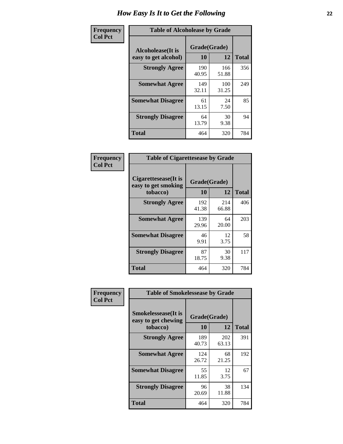| Frequency      | <b>Table of Alcoholease by Grade</b>              |                    |              |     |  |  |  |
|----------------|---------------------------------------------------|--------------------|--------------|-----|--|--|--|
| <b>Col Pct</b> | <b>Alcoholease</b> (It is<br>easy to get alcohol) | Grade(Grade)<br>10 | <b>Total</b> |     |  |  |  |
|                | <b>Strongly Agree</b>                             | 190<br>40.95       | 166<br>51.88 | 356 |  |  |  |
|                | <b>Somewhat Agree</b>                             | 149<br>32.11       | 100<br>31.25 | 249 |  |  |  |
|                | <b>Somewhat Disagree</b>                          | 61<br>13.15        | 24<br>7.50   | 85  |  |  |  |
|                | <b>Strongly Disagree</b>                          | 64<br>13.79        | 30<br>9.38   | 94  |  |  |  |
|                | <b>Total</b>                                      | 464                | 320          | 784 |  |  |  |

| Frequency      | <b>Table of Cigarettesease by Grade</b>                 |                           |              |              |  |  |  |
|----------------|---------------------------------------------------------|---------------------------|--------------|--------------|--|--|--|
| <b>Col Pct</b> | Cigarettesease(It is<br>easy to get smoking<br>tobacco) | Grade(Grade)<br><b>10</b> | 12           | <b>Total</b> |  |  |  |
|                | <b>Strongly Agree</b>                                   | 192<br>41.38              | 214<br>66.88 | 406          |  |  |  |
|                | <b>Somewhat Agree</b>                                   | 139<br>29.96              | 64<br>20.00  | 203          |  |  |  |
|                | <b>Somewhat Disagree</b>                                | 46<br>9.91                | 12<br>3.75   | 58           |  |  |  |
|                | <b>Strongly Disagree</b>                                | 87<br>18.75               | 30<br>9.38   | 117          |  |  |  |
|                | Total                                                   | 464                       | 320          | 784          |  |  |  |

| Frequency      | <b>Table of Smokelessease by Grade</b>             |              |              |              |  |  |  |  |
|----------------|----------------------------------------------------|--------------|--------------|--------------|--|--|--|--|
| <b>Col Pct</b> | <b>Smokelessease</b> (It is<br>easy to get chewing | Grade(Grade) |              |              |  |  |  |  |
|                | tobacco)                                           | 10           | 12           | <b>Total</b> |  |  |  |  |
|                | <b>Strongly Agree</b>                              | 189<br>40.73 | 202<br>63.13 | 391          |  |  |  |  |
|                | <b>Somewhat Agree</b>                              | 124<br>26.72 | 68<br>21.25  | 192          |  |  |  |  |
|                | <b>Somewhat Disagree</b>                           | 55<br>11.85  | 12<br>3.75   | 67           |  |  |  |  |
|                | <b>Strongly Disagree</b>                           | 96<br>20.69  | 38<br>11.88  | 134          |  |  |  |  |
|                | <b>Total</b>                                       | 464          | 320          | 784          |  |  |  |  |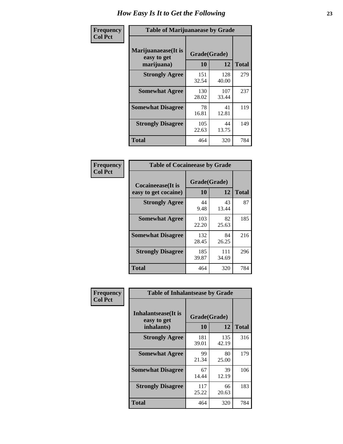| Frequency      | <b>Table of Marijuanaease by Grade</b>           |                    |              |              |  |  |  |
|----------------|--------------------------------------------------|--------------------|--------------|--------------|--|--|--|
| <b>Col Pct</b> | Marijuanaease(It is<br>easy to get<br>marijuana) | Grade(Grade)<br>10 | 12           | <b>Total</b> |  |  |  |
|                | <b>Strongly Agree</b>                            | 151<br>32.54       | 128<br>40.00 | 279          |  |  |  |
|                | <b>Somewhat Agree</b>                            | 130<br>28.02       | 107<br>33.44 | 237          |  |  |  |
|                | <b>Somewhat Disagree</b>                         | 78<br>16.81        | 41<br>12.81  | 119          |  |  |  |
|                | <b>Strongly Disagree</b>                         | 105<br>22.63       | 44<br>13.75  | 149          |  |  |  |
|                | <b>Total</b>                                     | 464                | 320          | 784          |  |  |  |

| <b>Table of Cocaineease by Grade</b>              |                    |                   |     |  |  |  |  |  |
|---------------------------------------------------|--------------------|-------------------|-----|--|--|--|--|--|
| <b>Cocaineease</b> (It is<br>easy to get cocaine) | Grade(Grade)<br>10 | <b>Total</b>      |     |  |  |  |  |  |
| <b>Strongly Agree</b>                             | 44<br>9.48         | 12<br>43<br>13.44 | 87  |  |  |  |  |  |
| <b>Somewhat Agree</b>                             | 103<br>22.20       | 82<br>25.63       | 185 |  |  |  |  |  |
| <b>Somewhat Disagree</b>                          | 132<br>28.45       | 84<br>26.25       | 216 |  |  |  |  |  |
| <b>Strongly Disagree</b>                          | 185<br>39.87       | 111<br>34.69      | 296 |  |  |  |  |  |
| <b>Total</b>                                      | 464                | 320               | 784 |  |  |  |  |  |

| Frequency      | <b>Table of Inhalantsease by Grade</b>     |              |              |              |  |  |  |  |  |  |
|----------------|--------------------------------------------|--------------|--------------|--------------|--|--|--|--|--|--|
| <b>Col Pct</b> | <b>Inhalantsease</b> (It is<br>easy to get | Grade(Grade) |              |              |  |  |  |  |  |  |
|                | inhalants)                                 | 10           | 12           | <b>Total</b> |  |  |  |  |  |  |
|                | <b>Strongly Agree</b>                      | 181<br>39.01 | 135<br>42.19 | 316          |  |  |  |  |  |  |
|                | <b>Somewhat Agree</b>                      | 99<br>21.34  | 80<br>25.00  | 179          |  |  |  |  |  |  |
|                | <b>Somewhat Disagree</b>                   | 67<br>14.44  | 39<br>12.19  | 106          |  |  |  |  |  |  |
|                | <b>Strongly Disagree</b>                   | 117<br>25.22 | 66<br>20.63  | 183          |  |  |  |  |  |  |
|                | Total                                      | 464          | 320          | 784          |  |  |  |  |  |  |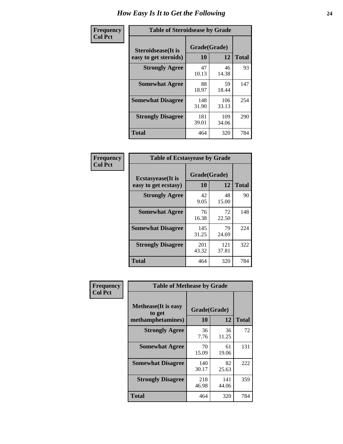| Frequency      | <b>Table of Steroidsease by Grade</b>               |                    |              |     |  |  |  |  |  |  |
|----------------|-----------------------------------------------------|--------------------|--------------|-----|--|--|--|--|--|--|
| <b>Col Pct</b> | <b>Steroidsease</b> (It is<br>easy to get steroids) | Grade(Grade)<br>10 | <b>Total</b> |     |  |  |  |  |  |  |
|                | <b>Strongly Agree</b>                               | 47<br>10.13        | 46<br>14.38  | 93  |  |  |  |  |  |  |
|                | <b>Somewhat Agree</b>                               | 88<br>18.97        | 59<br>18.44  | 147 |  |  |  |  |  |  |
|                | <b>Somewhat Disagree</b>                            | 148<br>31.90       | 106<br>33.13 | 254 |  |  |  |  |  |  |
|                | <b>Strongly Disagree</b>                            | 181<br>39.01       | 109<br>34.06 | 290 |  |  |  |  |  |  |
|                | <b>Total</b>                                        | 464                | 320          | 784 |  |  |  |  |  |  |

| Frequency<br>Col Pct |  |
|----------------------|--|

| <b>Table of Ecstasyease by Grade</b>              |                    |              |     |  |  |  |  |  |  |
|---------------------------------------------------|--------------------|--------------|-----|--|--|--|--|--|--|
| <b>Ecstasyease</b> (It is<br>easy to get ecstasy) | Grade(Grade)<br>10 | <b>Total</b> |     |  |  |  |  |  |  |
| <b>Strongly Agree</b>                             | 42<br>9.05         | 48<br>15.00  | 90  |  |  |  |  |  |  |
| <b>Somewhat Agree</b>                             | 76<br>16.38        | 72<br>22.50  | 148 |  |  |  |  |  |  |
| <b>Somewhat Disagree</b>                          | 145<br>31.25       | 79<br>24.69  | 224 |  |  |  |  |  |  |
| <b>Strongly Disagree</b>                          | 201<br>43.32       | 121<br>37.81 | 322 |  |  |  |  |  |  |
| <b>Total</b>                                      | 464                | 320          | 784 |  |  |  |  |  |  |

| <b>Frequency</b> |  |
|------------------|--|
| Col Pct          |  |

| <b>Table of Methease by Grade</b>                          |                    |              |              |  |  |  |  |  |  |  |  |
|------------------------------------------------------------|--------------------|--------------|--------------|--|--|--|--|--|--|--|--|
| <b>Methease</b> (It is easy<br>to get<br>methamphetamines) | Grade(Grade)<br>10 | 12           | <b>Total</b> |  |  |  |  |  |  |  |  |
| <b>Strongly Agree</b>                                      | 36<br>7.76         | 36<br>11.25  | 72           |  |  |  |  |  |  |  |  |
| <b>Somewhat Agree</b>                                      | 70<br>15.09        | 61<br>19.06  | 131          |  |  |  |  |  |  |  |  |
| <b>Somewhat Disagree</b>                                   | 140<br>30.17       | 82<br>25.63  | 222          |  |  |  |  |  |  |  |  |
| <b>Strongly Disagree</b>                                   | 218<br>46.98       | 141<br>44.06 | 359          |  |  |  |  |  |  |  |  |
| Total                                                      | 464                | 320          | 784          |  |  |  |  |  |  |  |  |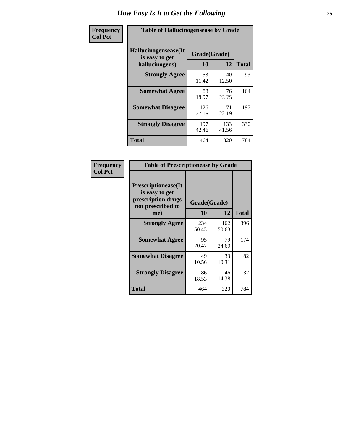| <b>Frequency</b> | <b>Table of Hallucinogensease by Grade</b>               |                    |              |              |  |  |  |  |  |
|------------------|----------------------------------------------------------|--------------------|--------------|--------------|--|--|--|--|--|
| <b>Col Pct</b>   | Hallucinogensease(It<br>is easy to get<br>hallucinogens) | Grade(Grade)<br>10 | 12           | <b>Total</b> |  |  |  |  |  |
|                  | <b>Strongly Agree</b>                                    | 53<br>11.42        | 40<br>12.50  | 93           |  |  |  |  |  |
|                  | <b>Somewhat Agree</b>                                    | 88<br>18.97        | 76<br>23.75  | 164          |  |  |  |  |  |
|                  | <b>Somewhat Disagree</b>                                 | 126<br>27.16       | 71<br>22.19  | 197          |  |  |  |  |  |
|                  | <b>Strongly Disagree</b>                                 | 197<br>42.46       | 133<br>41.56 | 330          |  |  |  |  |  |
|                  | <b>Total</b>                                             | 464                | 320          | 784          |  |  |  |  |  |

| Frequency<br>Col Pct |
|----------------------|
|                      |

| <b>Table of Prescriptionease by Grade</b>                                                |              |              |              |  |  |  |  |  |  |
|------------------------------------------------------------------------------------------|--------------|--------------|--------------|--|--|--|--|--|--|
| <b>Prescriptionease</b> (It<br>is easy to get<br>prescription drugs<br>not prescribed to | Grade(Grade) |              |              |  |  |  |  |  |  |
| me)                                                                                      | 10           | 12           | <b>Total</b> |  |  |  |  |  |  |
| <b>Strongly Agree</b>                                                                    | 234<br>50.43 | 162<br>50.63 | 396          |  |  |  |  |  |  |
| <b>Somewhat Agree</b>                                                                    | 95<br>20.47  | 79<br>24.69  | 174          |  |  |  |  |  |  |
| <b>Somewhat Disagree</b>                                                                 | 49<br>10.56  | 33<br>10.31  | 82           |  |  |  |  |  |  |
| <b>Strongly Disagree</b>                                                                 | 86<br>18.53  | 46<br>14.38  | 132          |  |  |  |  |  |  |
| Total                                                                                    | 464          | 320          | 784          |  |  |  |  |  |  |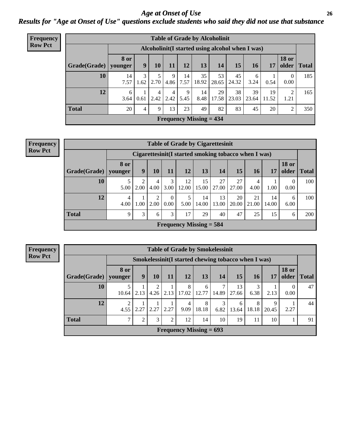*Age at Onset of Use* **26** *Results for "Age at Onset of Use" questions exclude students who said they did not use that substance*

| <b>Frequency</b> | <b>Table of Grade by Alcoholinit</b> |                                                  |                |           |           |            |                           |             |             |             |             |                        |              |
|------------------|--------------------------------------|--------------------------------------------------|----------------|-----------|-----------|------------|---------------------------|-------------|-------------|-------------|-------------|------------------------|--------------|
| <b>Row Pct</b>   |                                      | Alcoholinit (I started using alcohol when I was) |                |           |           |            |                           |             |             |             |             |                        |              |
|                  | Grade(Grade)                         | <b>8 or</b><br>younger                           | 9              | 10        | 11        | 12         | 13                        | 14          | 15          | 16          | 17          | <b>18 or</b><br>older  | <b>Total</b> |
|                  | 10                                   | 14<br>7.57                                       | 3<br>.62       | 2.70      | 9<br>4.86 | 14<br>7.57 | 35<br>18.92               | 53<br>28.65 | 45<br>24.32 | 6<br>3.24   | 0.54        | $\theta$<br>0.00       | 185          |
|                  | 12                                   | 6<br>3.64                                        | 0.61           | 4<br>2.42 | 4<br>2.42 | 9<br>5.45  | 14<br>8.48                | 29<br>17.58 | 38<br>23.03 | 39<br>23.64 | 19<br>11.52 | $\overline{2}$<br>1.21 | 165          |
|                  | <b>Total</b>                         | 20                                               | $\overline{4}$ | 9         | 13        | 23         | 49                        | 82          | 83          | 45          | 20          | 2                      | 350          |
|                  |                                      |                                                  |                |           |           |            | Frequency Missing $= 434$ |             |             |             |             |                        |              |

| <b>Frequency</b> |  |
|------------------|--|
| <b>Row Pct</b>   |  |

| <b>Table of Grade by Cigarettesinit</b> |                                                      |      |           |           |                           |             |             |             |             |             |                       |              |
|-----------------------------------------|------------------------------------------------------|------|-----------|-----------|---------------------------|-------------|-------------|-------------|-------------|-------------|-----------------------|--------------|
|                                         | Cigarettesinit(I started smoking tobacco when I was) |      |           |           |                           |             |             |             |             |             |                       |              |
| Grade(Grade)                            | 8 or<br>younger                                      | 9    | 10        | 11        | 12                        | 13          | 14          | 15          | 16          | 17          | <b>18 or</b><br>older | <b>Total</b> |
| 10                                      | 5.00                                                 | 2.00 | 4<br>4.00 | 3<br>3.00 | 12<br>12.00               | 15<br>15.00 | 27<br>27.00 | 27<br>27.00 | 4<br>4.00   | 1.00        | $\theta$<br>0.00      | 100          |
| 12                                      | 4<br>4.00                                            | 1.00 | 2.00      | 0<br>0.00 | 5<br>5.00                 | 14<br>14.00 | 13<br>13.00 | 20<br>20.00 | 21<br>21.00 | 14<br>14.00 | 6<br>6.00             | 100          |
| <b>Total</b>                            | $\mathbf Q$                                          | 3    | 6         | 3         | 17                        | 29          | 40          | 47          | 25          | 15          | 6                     | <b>200</b>   |
|                                         |                                                      |      |           |           | Frequency Missing $=$ 584 |             |             |             |             |             |                       |              |

| <b>Table of Grade by Smokelessinit</b>                                             |                 |                                                                                                       |      |      |                                                     |            |           |            |            |            |      |    |  |  |  |
|------------------------------------------------------------------------------------|-----------------|-------------------------------------------------------------------------------------------------------|------|------|-----------------------------------------------------|------------|-----------|------------|------------|------------|------|----|--|--|--|
|                                                                                    |                 |                                                                                                       |      |      | Smokelessinit(I started chewing tobacco when I was) |            |           |            |            |            |      |    |  |  |  |
| Grade(Grade)                                                                       | 8 or<br>younger | <b>18 or</b><br>9<br>13<br>15<br><b>12</b><br>older<br>10<br>11<br>14<br>17<br>16<br><b>Total</b>     |      |      |                                                     |            |           |            |            |            |      |    |  |  |  |
| 10                                                                                 | 10.64           | 8<br>13<br>6<br>0<br>17.02<br>2.13<br>12.77<br>14.89<br>2.13<br>2.13<br>4.26<br>0.00<br>6.38<br>27.66 |      |      |                                                     |            |           |            |            |            |      |    |  |  |  |
| 12                                                                                 | 2<br>4.55       | 2.27                                                                                                  | 2.27 | 2.27 | 4<br>9.09                                           | 8<br>18.18 | 3<br>6.82 | 6<br>13.64 | 8<br>18.18 | 9<br>20.45 | 2.27 | 44 |  |  |  |
| <b>Total</b><br>3<br>$\overline{2}$<br>14<br>91<br>∍<br>12<br>10<br>19<br>10<br>11 |                 |                                                                                                       |      |      |                                                     |            |           |            |            |            |      |    |  |  |  |
| <b>Frequency Missing = 693</b>                                                     |                 |                                                                                                       |      |      |                                                     |            |           |            |            |            |      |    |  |  |  |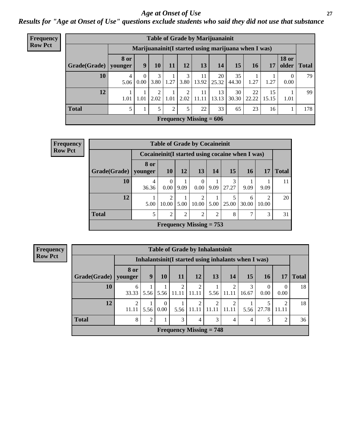#### *Age at Onset of Use* **27**

*Results for "Age at Onset of Use" questions exclude students who said they did not use that substance*

| <b>Frequency</b> |              |                        |                                                   |           |      |           |                           | <b>Table of Grade by Marijuanainit</b>               |                  |             |             |                                |              |  |
|------------------|--------------|------------------------|---------------------------------------------------|-----------|------|-----------|---------------------------|------------------------------------------------------|------------------|-------------|-------------|--------------------------------|--------------|--|
| <b>Row Pct</b>   |              |                        |                                                   |           |      |           |                           | Marijuanainit (I started using marijuana when I was) |                  |             |             |                                |              |  |
|                  | Grade(Grade) | <b>8 or</b><br>younger | 9                                                 | 10        | 11   | 12        | 13 <sup>1</sup>           | 14                                                   | 15 <sup>15</sup> | 16          | 17          | <b>18 or</b><br>$\Omega$ older | <b>Total</b> |  |
|                  | 10           | 4<br>5.06              | 0<br>0.00                                         | 3<br>3.80 | 1.27 | 3<br>3.80 | 11<br>13.92               | 20<br>25.32                                          | 35<br>44.30      | 1.27        | 1.27        | $\left($<br>0.00               | 79           |  |
|                  | 12           | 1.01                   | 1.01                                              | 2.02      | 1.01 | ◠<br>2.02 | 11<br>11.11               | 13<br>13.13                                          | 30<br>30.30      | 22<br>22.22 | 15<br>15.15 | 1.01                           | 99           |  |
|                  | <b>Total</b> | 5                      | 33<br>23<br>5<br>22<br>65<br>$\overline{2}$<br>16 |           |      |           |                           |                                                      |                  |             |             |                                |              |  |
|                  |              |                        |                                                   |           |      |           | Frequency Missing $= 606$ |                                                      |                  |             |             |                                |              |  |

| Frequency      | <b>Table of Grade by Cocaineinit</b> |                                                  |                                                           |      |                      |      |       |            |                        |              |  |  |
|----------------|--------------------------------------|--------------------------------------------------|-----------------------------------------------------------|------|----------------------|------|-------|------------|------------------------|--------------|--|--|
| <b>Row Pct</b> |                                      | Cocaineinit (I started using cocaine when I was) |                                                           |      |                      |      |       |            |                        |              |  |  |
|                | Grade(Grade)   younger               | 8 or                                             | <b>10</b>                                                 | 12   | <b>13</b>            | 14   | 15    | <b>16</b>  | 17                     | <b>Total</b> |  |  |
|                | 10                                   | 4<br>36.36                                       | $\theta$<br>$0.00^{\circ}$                                | 9.09 | $\theta$<br>$0.00\,$ | 9.09 | 27.27 | 9.09       | 9.09                   | 11           |  |  |
|                | 12                                   | 5.00                                             | 2<br>10.00                                                | 5.00 | 2<br>10.00           | 5.00 | 25.00 | 6<br>30.00 | $\mathcal{D}$<br>10.00 | 20           |  |  |
|                | <b>Total</b>                         | 5                                                | 7<br>$\overline{2}$<br>2<br>2<br>3<br>$\mathfrak{D}$<br>8 |      |                      |      |       |            |                        |              |  |  |
|                |                                      |                                                  | Frequency Missing $= 753$                                 |      |                      |      |       |            |                        |              |  |  |

| <b>Table of Grade by Inhalantsinit</b>                                                           |                         |                                                                          |                      |                                                      |            |            |       |            |           |                  |    |  |  |
|--------------------------------------------------------------------------------------------------|-------------------------|--------------------------------------------------------------------------|----------------------|------------------------------------------------------|------------|------------|-------|------------|-----------|------------------|----|--|--|
|                                                                                                  |                         |                                                                          |                      | Inhalantsinit (I started using inhalants when I was) |            |            |       |            |           |                  |    |  |  |
| Grade(Grade)   younger                                                                           | 8 or                    | 15<br>9<br><b>11</b><br>12<br>13<br>16<br>10<br>14<br>17<br><b>Total</b> |                      |                                                      |            |            |       |            |           |                  |    |  |  |
| 10                                                                                               | 6<br>33.33              | 5.56                                                                     | 5.56                 | 2<br>11.11                                           | 2<br>11.11 | 5.56       | 11.11 | 3<br>16.67 | 0<br>0.00 | $\Omega$<br>0.00 | 18 |  |  |
| 12                                                                                               | $\overline{2}$<br>11.11 | 5.56                                                                     | $\theta$<br>$0.00\,$ | 5.56                                                 | 2<br>11.11 | 2<br>11.11 | 11.11 | 5.56       | 27.78     | റ<br>11.11       | 18 |  |  |
| <b>Total</b><br>3<br>$\overline{2}$<br>3<br>8<br>5<br>$\overline{2}$<br>$\overline{4}$<br>4<br>4 |                         |                                                                          |                      |                                                      |            |            |       |            |           |                  | 36 |  |  |
| Frequency Missing $= 748$                                                                        |                         |                                                                          |                      |                                                      |            |            |       |            |           |                  |    |  |  |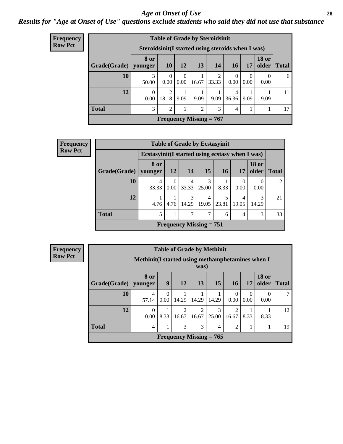#### *Age at Onset of Use* **28**

### *Results for "Age at Onset of Use" questions exclude students who said they did not use that substance*

| <b>Frequency</b>          |              |                                                    |                         |                  | <b>Table of Grade by Steroidsinit</b> |            |                |                  |                       |              |  |  |
|---------------------------|--------------|----------------------------------------------------|-------------------------|------------------|---------------------------------------|------------|----------------|------------------|-----------------------|--------------|--|--|
| <b>Row Pct</b>            |              | Steroidsinit (I started using steroids when I was) |                         |                  |                                       |            |                |                  |                       |              |  |  |
|                           | Grade(Grade) | 8 or<br>younger                                    | <b>10</b>               | 12               | 13                                    | 14         | 16             | 17               | <b>18 or</b><br>older | <b>Total</b> |  |  |
|                           | 10           | 3<br>50.00                                         | $\Omega$<br>0.00        | $\Omega$<br>0.00 | 16.67                                 | 2<br>33.33 | $0.00^{\circ}$ | $\Omega$<br>0.00 | 0<br>0.00             | 6            |  |  |
|                           | 12           | 0.00                                               | $\overline{2}$<br>18.18 | 9.09             | 9.09                                  | 9.09       | 4<br>36.36     | 9.09             | 9.09                  | 11           |  |  |
|                           | <b>Total</b> | 3<br>$\mathfrak{D}$<br>$\overline{2}$<br>3<br>4    |                         |                  |                                       |            |                |                  |                       |              |  |  |
| Frequency Missing $= 767$ |              |                                                    |                         |                  |                                       |            |                |                  |                       |              |  |  |

| <b>Frequency</b> |              |                                                  |                                                                 | <b>Table of Grade by Ecstasyinit</b>        |                      |           |            |                       |              |  |  |  |  |
|------------------|--------------|--------------------------------------------------|-----------------------------------------------------------------|---------------------------------------------|----------------------|-----------|------------|-----------------------|--------------|--|--|--|--|
| <b>Row Pct</b>   |              | Ecstasyinit (I started using ecstasy when I was) |                                                                 |                                             |                      |           |            |                       |              |  |  |  |  |
|                  | Grade(Grade) | 8 or<br>younger                                  | <b>12</b>                                                       | <b>14</b>                                   | 15                   | <b>16</b> | 17         | <b>18</b> or<br>older | <b>Total</b> |  |  |  |  |
|                  | 10           | 4<br>33.33                                       | $\Omega$<br>4<br>0.00<br>33.33<br>8.33<br>0.00<br>0.00<br>25.00 |                                             |                      |           |            |                       |              |  |  |  |  |
|                  | 12           | 4.76                                             | 4.76                                                            | 3<br>14.29                                  | 4<br>$19.05$   23.81 | 5         | 4<br>19.05 | 3<br>14.29            | 21           |  |  |  |  |
|                  | <b>Total</b> | 5                                                | 7<br>7<br>3<br>4<br>6                                           |                                             |                      |           |            |                       |              |  |  |  |  |
|                  |              |                                                  |                                                                 | <b>Frequency Missing = <math>751</math></b> |                      |           |            |                       |              |  |  |  |  |

| <b>Frequency</b> | <b>Table of Grade by Methinit</b> |                                                   |                                            |                        |                         |                           |                        |                  |                       |              |  |  |  |
|------------------|-----------------------------------|---------------------------------------------------|--------------------------------------------|------------------------|-------------------------|---------------------------|------------------------|------------------|-----------------------|--------------|--|--|--|
| <b>Row Pct</b>   |                                   | Methinit (I started using methamphetamines when I |                                            |                        | was)                    |                           |                        |                  |                       |              |  |  |  |
|                  | Grade(Grade)                      | 8 or<br>younger                                   | 9                                          | 12                     | 13                      | 15                        | <b>16</b>              | 17               | <b>18 or</b><br>older | <b>Total</b> |  |  |  |
|                  | 10                                | 4<br>57.14                                        | $\Omega$<br>0.00                           | 14.29                  | 14.29                   | 14.29                     | 0.00                   | $\Omega$<br>0.00 | 0<br>0.00             |              |  |  |  |
|                  | 12                                | $\Omega$<br>0.00                                  | 8.33                                       | $\mathcal{D}$<br>16.67 | $\overline{2}$<br>16.67 | 3<br>25.00                | $\mathcal{D}$<br>16.67 | 8.33             | 8.33                  | 12           |  |  |  |
|                  | <b>Total</b>                      | 4                                                 | 3<br>3<br>$\overline{2}$<br>$\overline{4}$ |                        |                         |                           |                        |                  |                       |              |  |  |  |
|                  |                                   |                                                   |                                            |                        |                         | Frequency Missing $= 765$ |                        |                  |                       |              |  |  |  |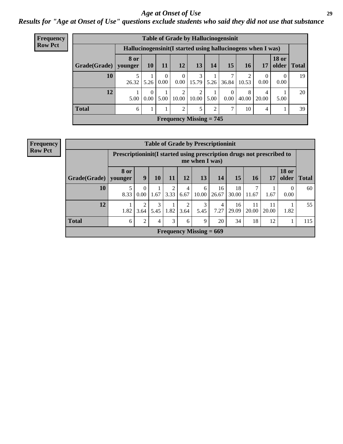#### *Age at Onset of Use* **29**

### *Results for "Age at Onset of Use" questions exclude students who said they did not use that substance*

| <b>Frequency</b>                                              |                           |                                                              |                 |                  |                        |            |      | <b>Table of Grade by Hallucinogensinit</b> |            |            |                               |    |
|---------------------------------------------------------------|---------------------------|--------------------------------------------------------------|-----------------|------------------|------------------------|------------|------|--------------------------------------------|------------|------------|-------------------------------|----|
| <b>Row Pct</b>                                                |                           | Hallucinogensinit (I started using hallucinogens when I was) |                 |                  |                        |            |      |                                            |            |            |                               |    |
|                                                               | Grade(Grade)   younger    | <b>8 or</b>                                                  | 10 <sup>1</sup> | 11               | 12                     | 13         | 14   | 15 <sup>°</sup>                            | <b>16</b>  | 17         | <b>18 or</b><br>older   Total |    |
|                                                               | 10                        | 26.32                                                        | 5.26            | $\Omega$<br>0.00 | $\overline{0}$<br>0.00 | 3<br>15.79 | 5.26 | 36.84                                      | 10.53      | 0.00       | 0.00                          | 19 |
|                                                               | 12                        | 5.00                                                         | 0.00            | 5.00             | 2<br>10.00             | ↑<br>10.00 | 5.00 | 0.00                                       | 8<br>40.00 | 4<br>20.00 | 5.00                          | 20 |
| <b>Total</b><br>$\overline{2}$<br>5<br>2<br>7<br>10<br>4<br>6 |                           |                                                              |                 |                  |                        |            |      |                                            |            |            |                               | 39 |
|                                                               | Frequency Missing $= 745$ |                                                              |                 |                  |                        |            |      |                                            |            |            |                               |    |

| <b>Frequency</b> |              |                                                                          |                           |           |      |           |                | <b>Table of Grade by Prescriptioninit</b> |             |             |             |                       |              |  |
|------------------|--------------|--------------------------------------------------------------------------|---------------------------|-----------|------|-----------|----------------|-------------------------------------------|-------------|-------------|-------------|-----------------------|--------------|--|
| <b>Row Pct</b>   |              | Prescription in it (I started using prescription drugs not prescribed to |                           |           |      |           | me when I was) |                                           |             |             |             |                       |              |  |
|                  | Grade(Grade) | <b>8 or</b><br>vounger                                                   | 9                         | 10        | 11   | 12        | 13             | 14                                        | 15          | 16          | 17          | <b>18 or</b><br>older | <b>Total</b> |  |
|                  | 10           | 5<br>8.33                                                                | $\mathbf{0}$<br>0.00      | 1.67      | 3.33 | 4<br>6.67 | 6<br>10.00     | 16<br>26.67                               | 18<br>30.00 | 11.67       | 1.67        | $\theta$<br>0.00      | 60           |  |
|                  | 12           | 1.82                                                                     | $\overline{2}$<br>3.64    | 3<br>5.45 | 1.82 | 2<br>3.64 | 3<br>5.45      | $\overline{4}$<br>7.27                    | 16<br>29.09 | 11<br>20.00 | 11<br>20.00 | 1.82                  | 55           |  |
|                  | <b>Total</b> | $\overline{2}$<br>3<br>20<br>34<br>18<br>12<br>9<br>6<br>4<br>6          |                           |           |      |           |                |                                           |             |             |             |                       |              |  |
|                  |              |                                                                          | Frequency Missing $= 669$ |           |      |           |                |                                           |             |             |             |                       |              |  |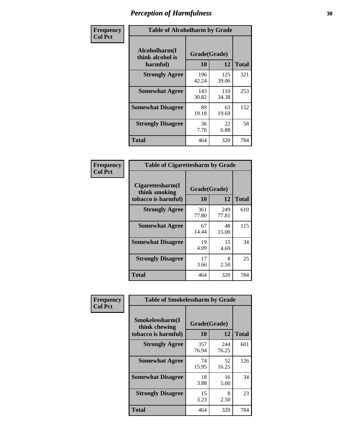| Frequency      | <b>Table of Alcoholharm by Grade</b>          |                    |              |              |  |  |  |  |  |
|----------------|-----------------------------------------------|--------------------|--------------|--------------|--|--|--|--|--|
| <b>Col Pct</b> | Alcoholharm(I<br>think alcohol is<br>harmful) | Grade(Grade)<br>10 | 12           | <b>Total</b> |  |  |  |  |  |
|                | <b>Strongly Agree</b>                         | 196<br>42.24       | 125<br>39.06 | 321          |  |  |  |  |  |
|                | <b>Somewhat Agree</b>                         | 143<br>30.82       | 110<br>34.38 | 253          |  |  |  |  |  |
|                | <b>Somewhat Disagree</b>                      | 89<br>19.18        | 63<br>19.69  | 152          |  |  |  |  |  |
|                | <b>Strongly Disagree</b>                      | 36<br>7.76         | 22<br>6.88   | 58           |  |  |  |  |  |
|                | <b>Total</b>                                  | 464                | 320          | 784          |  |  |  |  |  |

| <b>Table of Cigarettesharm by Grade</b>                  |                    |              |              |  |  |  |  |  |  |  |
|----------------------------------------------------------|--------------------|--------------|--------------|--|--|--|--|--|--|--|
| Cigarettesharm(I<br>think smoking<br>tobacco is harmful) | Grade(Grade)<br>10 | 12           | <b>Total</b> |  |  |  |  |  |  |  |
| <b>Strongly Agree</b>                                    | 361<br>77.80       | 249<br>77.81 | 610          |  |  |  |  |  |  |  |
| <b>Somewhat Agree</b>                                    | 67<br>14.44        | 48<br>15.00  | 115          |  |  |  |  |  |  |  |
| <b>Somewhat Disagree</b>                                 | 19<br>4.09         | 15<br>4.69   | 34           |  |  |  |  |  |  |  |
| <b>Strongly Disagree</b>                                 | 17<br>3.66         | 8<br>2.50    | 25           |  |  |  |  |  |  |  |
| <b>Total</b>                                             | 464                | 320          | 784          |  |  |  |  |  |  |  |

| Frequency      | <b>Table of Smokelessharm by Grade</b>                  |                    |              |              |  |  |  |  |
|----------------|---------------------------------------------------------|--------------------|--------------|--------------|--|--|--|--|
| <b>Col Pct</b> | Smokelessharm(I<br>think chewing<br>tobacco is harmful) | Grade(Grade)<br>10 | 12           | <b>Total</b> |  |  |  |  |
|                | <b>Strongly Agree</b>                                   | 357<br>76.94       | 244<br>76.25 | 601          |  |  |  |  |
|                | <b>Somewhat Agree</b>                                   | 74<br>15.95        | 52<br>16.25  | 126          |  |  |  |  |
|                | <b>Somewhat Disagree</b>                                | 18<br>3.88         | 16<br>5.00   | 34           |  |  |  |  |
|                | <b>Strongly Disagree</b>                                | 15<br>3.23         | 8<br>2.50    | 23           |  |  |  |  |
|                | <b>Total</b>                                            | 464                | 320          | 784          |  |  |  |  |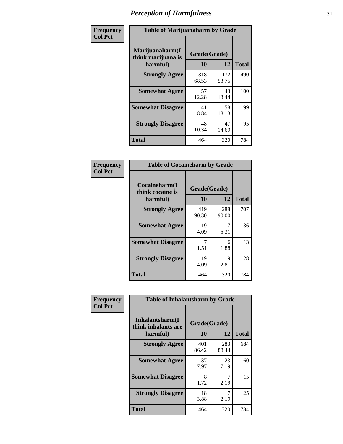| Frequency      | <b>Table of Marijuanaharm by Grade</b>            |                    |              |              |
|----------------|---------------------------------------------------|--------------------|--------------|--------------|
| <b>Col Pct</b> | Marijuanaharm(I<br>think marijuana is<br>harmful) | Grade(Grade)<br>10 | 12           | <b>Total</b> |
|                | <b>Strongly Agree</b>                             | 318<br>68.53       | 172<br>53.75 | 490          |
|                | <b>Somewhat Agree</b>                             | 57<br>12.28        | 43<br>13.44  | 100          |
|                | <b>Somewhat Disagree</b>                          | 41<br>8.84         | 58<br>18.13  | 99           |
|                | <b>Strongly Disagree</b>                          | 48<br>10.34        | 47<br>14.69  | 95           |
|                | <b>Total</b>                                      | 464                | 320          | 784          |

| <b>Table of Cocaineharm by Grade</b>          |                    |              |              |  |
|-----------------------------------------------|--------------------|--------------|--------------|--|
| Cocaineharm(I<br>think cocaine is<br>harmful) | Grade(Grade)<br>10 | 12           | <b>Total</b> |  |
| <b>Strongly Agree</b>                         | 419<br>90.30       | 288<br>90.00 | 707          |  |
| <b>Somewhat Agree</b>                         | 19<br>4.09         | 17<br>5.31   | 36           |  |
| <b>Somewhat Disagree</b>                      | 7<br>1.51          | 6<br>1.88    | 13           |  |
| <b>Strongly Disagree</b>                      | 19<br>4.09         | 9<br>2.81    | 28           |  |
| <b>Total</b>                                  | 464                | 320          | 784          |  |

| Frequency      | <b>Table of Inhalantsharm by Grade</b>  |              |              |              |
|----------------|-----------------------------------------|--------------|--------------|--------------|
| <b>Col Pct</b> | Inhalantsharm(I)<br>think inhalants are | Grade(Grade) |              |              |
|                | harmful)                                | 10           | 12           | <b>Total</b> |
|                | <b>Strongly Agree</b>                   | 401<br>86.42 | 283<br>88.44 | 684          |
|                | <b>Somewhat Agree</b>                   | 37<br>7.97   | 23<br>7.19   | 60           |
|                | <b>Somewhat Disagree</b>                | 8<br>1.72    | 2.19         | 15           |
|                | <b>Strongly Disagree</b>                | 18<br>3.88   | 2.19         | 25           |
|                | Total                                   | 464          | 320          | 784          |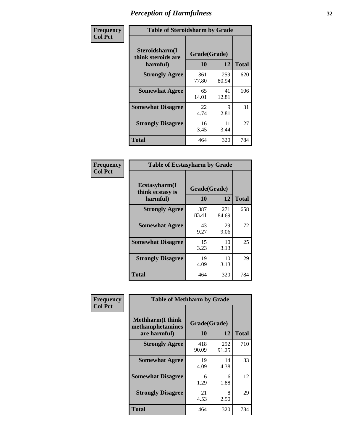| Frequency      | <b>Table of Steroidsharm by Grade</b>            |                    |              |              |
|----------------|--------------------------------------------------|--------------------|--------------|--------------|
| <b>Col Pct</b> | Steroidsharm(I<br>think steroids are<br>harmful) | Grade(Grade)<br>10 | 12           | <b>Total</b> |
|                | <b>Strongly Agree</b>                            | 361<br>77.80       | 259<br>80.94 | 620          |
|                | <b>Somewhat Agree</b>                            | 65<br>14.01        | 41<br>12.81  | 106          |
|                | <b>Somewhat Disagree</b>                         | 22<br>4.74         | 9<br>2.81    | 31           |
|                | <b>Strongly Disagree</b>                         | 16<br>3.45         | 11<br>3.44   | 27           |
|                | <b>Total</b>                                     | 464                | 320          | 784          |

| <b>Table of Ecstasyharm by Grade</b>                |                    |              |              |  |
|-----------------------------------------------------|--------------------|--------------|--------------|--|
| $E$ cstasyharm $(I$<br>think ecstasy is<br>harmful) | Grade(Grade)<br>10 | 12           | <b>Total</b> |  |
| <b>Strongly Agree</b>                               | 387<br>83.41       | 271<br>84.69 | 658          |  |
| <b>Somewhat Agree</b>                               | 43<br>9.27         | 29<br>9.06   | 72           |  |
| <b>Somewhat Disagree</b>                            | 15<br>3.23         | 10<br>3.13   | 25           |  |
| <b>Strongly Disagree</b>                            | 19<br>4.09         | 10<br>3.13   | 29           |  |
| Total                                               | 464                | 320          | 784          |  |

| Frequency      | <b>Table of Methharm by Grade</b>                            |                           |              |              |
|----------------|--------------------------------------------------------------|---------------------------|--------------|--------------|
| <b>Col Pct</b> | <b>Methharm</b> (I think<br>methamphetamines<br>are harmful) | Grade(Grade)<br><b>10</b> | 12           | <b>Total</b> |
|                | <b>Strongly Agree</b>                                        | 418<br>90.09              | 292<br>91.25 | 710          |
|                | <b>Somewhat Agree</b>                                        | 19<br>4.09                | 14<br>4.38   | 33           |
|                | <b>Somewhat Disagree</b>                                     | 6<br>1.29                 | 6<br>1.88    | 12           |
|                | <b>Strongly Disagree</b>                                     | 21<br>4.53                | 8<br>2.50    | 29           |
|                | <b>Total</b>                                                 | 464                       | 320          | 784          |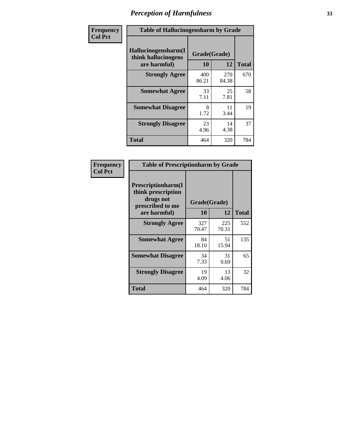| Frequency      | <b>Table of Hallucinogensharm by Grade</b>                 |                    |              |              |
|----------------|------------------------------------------------------------|--------------------|--------------|--------------|
| <b>Col Pct</b> | Hallucinogensharm(I<br>think hallucinogens<br>are harmful) | Grade(Grade)<br>10 | 12           | <b>Total</b> |
|                | <b>Strongly Agree</b>                                      | 400<br>86.21       | 270<br>84.38 | 670          |
|                | <b>Somewhat Agree</b>                                      | 33<br>7.11         | 25<br>7.81   | 58           |
|                | <b>Somewhat Disagree</b>                                   | 8<br>1.72          | 11<br>3.44   | 19           |
|                | <b>Strongly Disagree</b>                                   | 23<br>4.96         | 14<br>4.38   | 37           |
|                | <b>Total</b>                                               | 464                | 320          | 784          |

| <b>Table of Prescriptionharm by Grade</b>                                         |              |              |              |  |
|-----------------------------------------------------------------------------------|--------------|--------------|--------------|--|
| <b>Prescriptionharm</b> (I<br>think prescription<br>drugs not<br>prescribed to me |              | Grade(Grade) |              |  |
| are harmful)                                                                      | 10           | 12           | <b>Total</b> |  |
| <b>Strongly Agree</b>                                                             | 327<br>70.47 | 225<br>70.31 | 552          |  |
| <b>Somewhat Agree</b>                                                             | 84<br>18.10  | 51<br>15.94  | 135          |  |
| <b>Somewhat Disagree</b>                                                          | 34<br>7.33   | 31<br>9.69   | 65           |  |
| <b>Strongly Disagree</b>                                                          | 19<br>4.09   | 13<br>4.06   | 32           |  |
| <b>Total</b>                                                                      | 464          | 320          | 784          |  |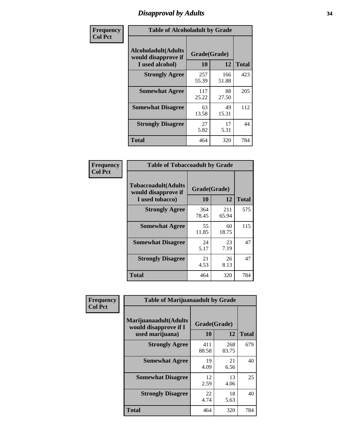# *Disapproval by Adults* **34**

| Frequency      | <b>Table of Alcoholadult by Grade</b>                                 |                    |              |              |
|----------------|-----------------------------------------------------------------------|--------------------|--------------|--------------|
| <b>Col Pct</b> | <b>Alcoholadult</b> (Adults<br>would disapprove if<br>I used alcohol) | Grade(Grade)<br>10 | 12           | <b>Total</b> |
|                | <b>Strongly Agree</b>                                                 | 257<br>55.39       | 166<br>51.88 | 423          |
|                | <b>Somewhat Agree</b>                                                 | 117<br>25.22       | 88<br>27.50  | 205          |
|                | <b>Somewhat Disagree</b>                                              | 63<br>13.58        | 49<br>15.31  | 112          |
|                | <b>Strongly Disagree</b>                                              | 27<br>5.82         | 17<br>5.31   | 44           |
|                | <b>Total</b>                                                          | 464                | 320          | 784          |

| <b>Table of Tobaccoadult by Grade</b>                                 |                    |              |              |  |
|-----------------------------------------------------------------------|--------------------|--------------|--------------|--|
| <b>Tobaccoadult</b> (Adults<br>would disapprove if<br>I used tobacco) | Grade(Grade)<br>10 | 12           | <b>Total</b> |  |
| <b>Strongly Agree</b>                                                 | 364<br>78.45       | 211<br>65.94 | 575          |  |
| <b>Somewhat Agree</b>                                                 | 55<br>11.85        | 60<br>18.75  | 115          |  |
| <b>Somewhat Disagree</b>                                              | 24<br>5.17         | 23<br>7.19   | 47           |  |
| <b>Strongly Disagree</b>                                              | 21<br>4.53         | 26<br>8.13   | 47           |  |
| <b>Total</b>                                                          | 464                | 320          | 784          |  |

| Frequency<br><b>Col Pct</b> | <b>Table of Marijuanaadult by Grade</b>                           |                    |              |              |
|-----------------------------|-------------------------------------------------------------------|--------------------|--------------|--------------|
|                             | Marijuanaadult(Adults<br>would disapprove if I<br>used marijuana) | Grade(Grade)<br>10 | 12           | <b>Total</b> |
|                             | <b>Strongly Agree</b>                                             | 411<br>88.58       | 268<br>83.75 | 679          |
|                             | <b>Somewhat Agree</b>                                             | 19<br>4.09         | 21<br>6.56   | 40           |
|                             | <b>Somewhat Disagree</b>                                          | 12<br>2.59         | 13<br>4.06   | 25           |
|                             | <b>Strongly Disagree</b>                                          | 22<br>4.74         | 18<br>5.63   | 40           |
|                             | <b>Total</b>                                                      | 464                | 320          | 784          |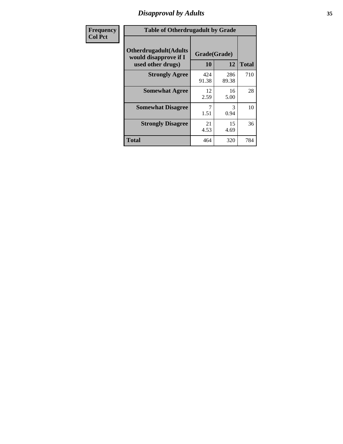# *Disapproval by Adults* **35**

| <b>Frequency</b> | <b>Table of Otherdrugadult by Grade</b>                                     |                    |              |              |
|------------------|-----------------------------------------------------------------------------|--------------------|--------------|--------------|
| <b>Col Pct</b>   | <b>Otherdrugadult</b> (Adults<br>would disapprove if I<br>used other drugs) | Grade(Grade)<br>10 | 12           | <b>Total</b> |
|                  | <b>Strongly Agree</b>                                                       | 424<br>91.38       | 286<br>89.38 | 710          |
|                  | <b>Somewhat Agree</b>                                                       | 12<br>2.59         | 16<br>5.00   | 28           |
|                  | <b>Somewhat Disagree</b>                                                    | 1.51               | 3<br>0.94    | 10           |
|                  | <b>Strongly Disagree</b>                                                    | 21<br>4.53         | 15<br>4.69   | 36           |
|                  | <b>Total</b>                                                                | 464                | 320          | 784          |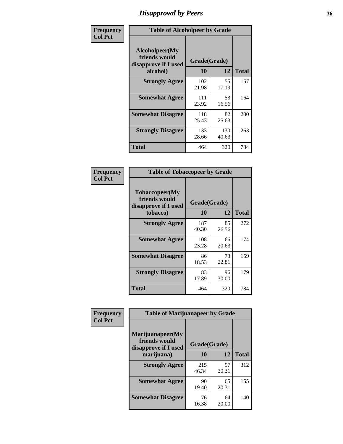# *Disapproval by Peers* **36**

| Frequency      | <b>Table of Alcoholpeer by Grade</b>                    |              |              |              |  |
|----------------|---------------------------------------------------------|--------------|--------------|--------------|--|
| <b>Col Pct</b> | Alcoholpeer(My<br>friends would<br>disapprove if I used | Grade(Grade) |              |              |  |
|                | alcohol)                                                | 10           | 12           | <b>Total</b> |  |
|                | <b>Strongly Agree</b>                                   | 102<br>21.98 | 55<br>17.19  | 157          |  |
|                | <b>Somewhat Agree</b>                                   | 111<br>23.92 | 53<br>16.56  | 164          |  |
|                | <b>Somewhat Disagree</b>                                | 118<br>25.43 | 82<br>25.63  | 200          |  |
|                | <b>Strongly Disagree</b>                                | 133<br>28.66 | 130<br>40.63 | 263          |  |
|                | Total                                                   | 464          | 320          | 784          |  |

| Frequency      | <b>Table of Tobaccopeer by Grade</b>                                |                    |             |              |  |
|----------------|---------------------------------------------------------------------|--------------------|-------------|--------------|--|
| <b>Col Pct</b> | Tobaccopeer(My<br>friends would<br>disapprove if I used<br>tobacco) | Grade(Grade)<br>10 | 12          | <b>Total</b> |  |
|                | <b>Strongly Agree</b>                                               | 187                | 85          | 272          |  |
|                |                                                                     | 40.30              | 26.56       |              |  |
|                | <b>Somewhat Agree</b>                                               | 108<br>23.28       | 66<br>20.63 | 174          |  |
|                | <b>Somewhat Disagree</b>                                            | 86<br>18.53        | 73<br>22.81 | 159          |  |
|                | <b>Strongly Disagree</b>                                            | 83<br>17.89        | 96<br>30.00 | 179          |  |
|                | Total                                                               | 464                | 320         | 784          |  |

| Frequency      | <b>Table of Marijuanapeer by Grade</b>                    |              |             |              |  |
|----------------|-----------------------------------------------------------|--------------|-------------|--------------|--|
| <b>Col Pct</b> | Marijuanapeer(My<br>friends would<br>disapprove if I used | Grade(Grade) |             |              |  |
|                | marijuana)                                                | <b>10</b>    | 12          | <b>Total</b> |  |
|                | <b>Strongly Agree</b>                                     | 215<br>46.34 | 97<br>30.31 | 312          |  |
|                | <b>Somewhat Agree</b>                                     | 90<br>19.40  | 65<br>20.31 | 155          |  |
|                | <b>Somewhat Disagree</b>                                  | 76<br>16.38  | 64<br>20.00 | 140          |  |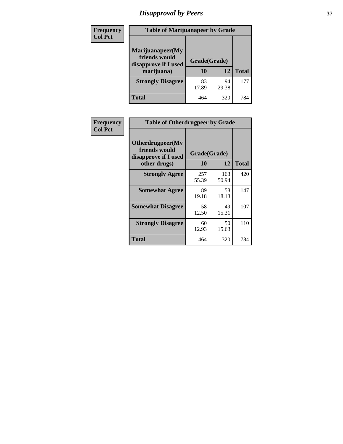# *Disapproval by Peers* **37**

| Frequency<br><b>Col Pct</b> | <b>Table of Marijuanapeer by Grade</b>                                  |                    |             |              |
|-----------------------------|-------------------------------------------------------------------------|--------------------|-------------|--------------|
|                             | Marijuanapeer(My<br>friends would<br>disapprove if I used<br>marijuana) | Grade(Grade)<br>10 | 12          | <b>Total</b> |
|                             | <b>Strongly Disagree</b>                                                | 83<br>17.89        | 94<br>29.38 | 177          |
|                             | Total                                                                   | 464                | 320         | 784          |

| Frequency      | <b>Table of Otherdrugpeer by Grade</b>                                    |                    |              |              |  |
|----------------|---------------------------------------------------------------------------|--------------------|--------------|--------------|--|
| <b>Col Pct</b> | Otherdrugpeer(My<br>friends would<br>disapprove if I used<br>other drugs) | Grade(Grade)<br>10 | 12           | <b>Total</b> |  |
|                | <b>Strongly Agree</b>                                                     | 257<br>55.39       | 163<br>50.94 | 420          |  |
|                | <b>Somewhat Agree</b>                                                     | 89<br>19.18        | 58<br>18.13  | 147          |  |
|                | <b>Somewhat Disagree</b>                                                  | 58<br>12.50        | 49<br>15.31  | 107          |  |
|                | <b>Strongly Disagree</b>                                                  | 60<br>12.93        | 50<br>15.63  | 110          |  |
|                | Total                                                                     | 464                | 320          | 784          |  |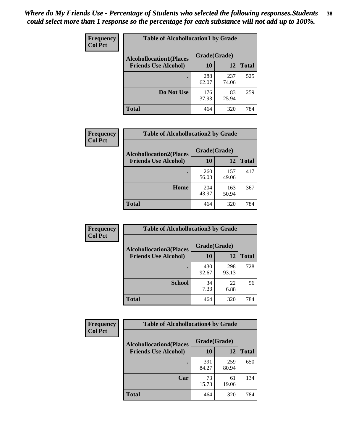| Frequency      | <b>Table of Alcohollocation1 by Grade</b> |              |              |              |
|----------------|-------------------------------------------|--------------|--------------|--------------|
| <b>Col Pct</b> | <b>Alcohollocation1(Places</b>            | Grade(Grade) |              |              |
|                | <b>Friends Use Alcohol)</b>               | 10           | 12           | <b>Total</b> |
|                |                                           | 288<br>62.07 | 237<br>74.06 | 525          |
|                | Do Not Use                                | 176<br>37.93 | 83<br>25.94  | 259          |
|                | <b>Total</b>                              | 464          | 320          | 784          |

| Frequency      | <b>Table of Alcohollocation2 by Grade</b>                     |                    |              |              |
|----------------|---------------------------------------------------------------|--------------------|--------------|--------------|
| <b>Col Pct</b> | <b>Alcohollocation2(Places</b><br><b>Friends Use Alcohol)</b> | Grade(Grade)<br>10 | <b>12</b>    | <b>Total</b> |
|                |                                                               | 260<br>56.03       | 157<br>49.06 | 417          |
|                | Home                                                          | 204<br>43.97       | 163<br>50.94 | 367          |
|                | <b>Total</b>                                                  | 464                | 320          | 784          |

| Frequency<br><b>Col Pct</b> | <b>Table of Alcohollocation 3 by Grade</b>                    |                    |              |              |
|-----------------------------|---------------------------------------------------------------|--------------------|--------------|--------------|
|                             | <b>Alcohollocation3(Places</b><br><b>Friends Use Alcohol)</b> | Grade(Grade)<br>10 | 12           | <b>Total</b> |
|                             |                                                               | 430<br>92.67       | 298<br>93.13 | 728          |
|                             | <b>School</b>                                                 | 34<br>7.33         | 22<br>6.88   | 56           |
|                             | Total                                                         | 464                | 320          | 784          |

| <b>Frequency</b> | <b>Table of Alcohollocation4 by Grade</b> |              |              |              |
|------------------|-------------------------------------------|--------------|--------------|--------------|
| <b>Col Pct</b>   | <b>Alcohollocation4(Places</b>            | Grade(Grade) |              |              |
|                  | <b>Friends Use Alcohol)</b>               | 10           | 12           | <b>Total</b> |
|                  |                                           | 391<br>84.27 | 259<br>80.94 | 650          |
|                  | Car                                       | 73<br>15.73  | 61<br>19.06  | 134          |
|                  | <b>Total</b>                              | 464          | 320          | 784          |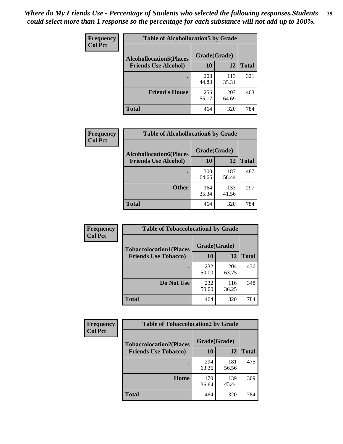| <b>Frequency</b><br><b>Col Pct</b> | <b>Table of Alcohollocation5 by Grade</b> |              |              |              |
|------------------------------------|-------------------------------------------|--------------|--------------|--------------|
|                                    | <b>Alcohollocation5(Places</b>            | Grade(Grade) |              |              |
|                                    | <b>Friends Use Alcohol)</b>               | 10           | 12           | <b>Total</b> |
|                                    |                                           | 208<br>44.83 | 113<br>35.31 | 321          |
|                                    | <b>Friend's House</b>                     | 256<br>55.17 | 207<br>64.69 | 463          |
|                                    | Total                                     | 464          | 320          | 784          |

| <b>Frequency</b> | <b>Table of Alcohollocation6 by Grade</b> |              |              |              |
|------------------|-------------------------------------------|--------------|--------------|--------------|
| <b>Col Pct</b>   | <b>Alcohollocation6(Places</b>            | Grade(Grade) |              |              |
|                  | <b>Friends Use Alcohol)</b>               | 10           | 12           | <b>Total</b> |
|                  |                                           | 300<br>64.66 | 187<br>58.44 | 487          |
|                  | <b>Other</b>                              | 164<br>35.34 | 133<br>41.56 | 297          |
|                  | <b>Total</b>                              | 464          | 320          | 784          |

| Frequency      | <b>Table of Tobaccolocation1 by Grade</b>                     |                    |              |              |
|----------------|---------------------------------------------------------------|--------------------|--------------|--------------|
| <b>Col Pct</b> | <b>Tobaccolocation1(Places</b><br><b>Friends Use Tobacco)</b> | Grade(Grade)<br>10 | 12           | <b>Total</b> |
|                |                                                               | 232<br>50.00       | 204<br>63.75 | 436          |
|                | Do Not Use                                                    | 232<br>50.00       | 116<br>36.25 | 348          |
|                | <b>Total</b>                                                  | 464                | 320          | 784          |

| Frequency      | <b>Table of Tobaccolocation2 by Grade</b> |              |              |              |
|----------------|-------------------------------------------|--------------|--------------|--------------|
| <b>Col Pct</b> | <b>Tobaccolocation2(Places</b>            | Grade(Grade) |              |              |
|                | <b>Friends Use Tobacco)</b>               | 10           | 12           | <b>Total</b> |
|                |                                           | 294<br>63.36 | 181<br>56.56 | 475          |
|                | Home                                      | 170<br>36.64 | 139<br>43.44 | 309          |
|                | <b>Total</b>                              | 464          | 320          | 784          |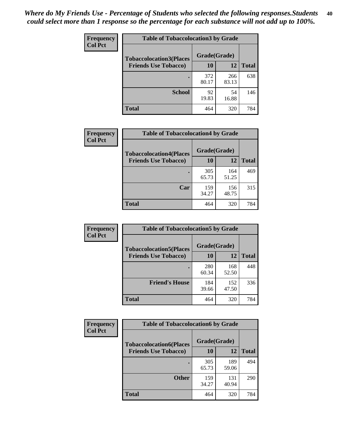| Frequency<br><b>Col Pct</b> | <b>Table of Tobaccolocation 3 by Grade</b> |              |              |              |
|-----------------------------|--------------------------------------------|--------------|--------------|--------------|
|                             | <b>Tobaccolocation3(Places</b>             | Grade(Grade) |              |              |
|                             | <b>Friends Use Tobacco)</b>                | 10           | 12           | <b>Total</b> |
|                             |                                            | 372<br>80.17 | 266<br>83.13 | 638          |
|                             | <b>School</b>                              | 92<br>19.83  | 54<br>16.88  | 146          |
|                             | <b>Total</b>                               | 464          | 320          | 784          |

| Frequency      | <b>Table of Tobaccolocation4 by Grade</b> |              |              |              |
|----------------|-------------------------------------------|--------------|--------------|--------------|
| <b>Col Pct</b> | <b>Tobaccolocation4(Places</b>            | Grade(Grade) |              |              |
|                | <b>Friends Use Tobacco)</b>               | 10           | <b>12</b>    | <b>Total</b> |
|                |                                           | 305<br>65.73 | 164<br>51.25 | 469          |
|                | Car                                       | 159<br>34.27 | 156<br>48.75 | 315          |
|                | <b>Total</b>                              | 464          | 320          | 784          |

| Frequency<br><b>Col Pct</b> | <b>Table of Tobaccolocation5 by Grade</b>                     |                    |              |              |
|-----------------------------|---------------------------------------------------------------|--------------------|--------------|--------------|
|                             | <b>Tobaccolocation5(Places</b><br><b>Friends Use Tobacco)</b> | Grade(Grade)<br>10 | 12           | <b>Total</b> |
|                             |                                                               | 280<br>60.34       | 168<br>52.50 | 448          |
|                             | <b>Friend's House</b>                                         | 184<br>39.66       | 152<br>47.50 | 336          |
|                             | <b>Total</b>                                                  | 464                | 320          | 784          |

| <b>Frequency</b> | <b>Table of Tobaccolocation6 by Grade</b> |              |              |              |  |
|------------------|-------------------------------------------|--------------|--------------|--------------|--|
| <b>Col Pct</b>   | <b>Tobaccolocation6(Places</b>            | Grade(Grade) |              |              |  |
|                  | <b>Friends Use Tobacco)</b>               | 10           | 12           | <b>Total</b> |  |
|                  |                                           | 305<br>65.73 | 189<br>59.06 | 494          |  |
|                  | <b>Other</b>                              | 159<br>34.27 | 131<br>40.94 | 290          |  |
|                  | <b>Total</b>                              | 464          | 320          | 784          |  |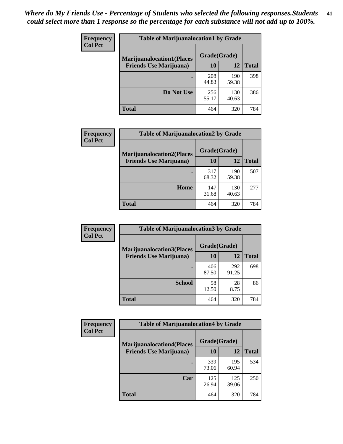| <b>Frequency</b> | <b>Table of Marijuanalocation1 by Grade</b> |              |              |              |
|------------------|---------------------------------------------|--------------|--------------|--------------|
| <b>Col Pct</b>   | <b>Marijuanalocation1(Places</b>            | Grade(Grade) |              |              |
|                  | <b>Friends Use Marijuana</b> )              | <b>10</b>    | 12           | <b>Total</b> |
|                  |                                             | 208<br>44.83 | 190<br>59.38 | 398          |
|                  | Do Not Use                                  | 256<br>55.17 | 130<br>40.63 | 386          |
|                  | <b>Total</b>                                | 464          | 320          | 784          |

| <b>Frequency</b> | <b>Table of Marijuanalocation2 by Grade</b>                        |                    |              |              |
|------------------|--------------------------------------------------------------------|--------------------|--------------|--------------|
| <b>Col Pct</b>   | <b>Marijuanalocation2(Places</b><br><b>Friends Use Marijuana</b> ) | Grade(Grade)<br>10 | 12           | <b>Total</b> |
|                  |                                                                    | 317<br>68.32       | 190<br>59.38 | 507          |
|                  | Home                                                               | 147<br>31.68       | 130<br>40.63 | 277          |
|                  | <b>Total</b>                                                       | 464                | 320          | 784          |

| <b>Frequency</b><br><b>Col Pct</b> | <b>Table of Marijuanalocation3 by Grade</b> |              |              |              |
|------------------------------------|---------------------------------------------|--------------|--------------|--------------|
|                                    | <b>Marijuanalocation3</b> (Places           | Grade(Grade) |              |              |
|                                    | <b>Friends Use Marijuana</b> )              | <b>10</b>    | 12           | <b>Total</b> |
|                                    |                                             | 406<br>87.50 | 292<br>91.25 | 698          |
|                                    | <b>School</b>                               | 58<br>12.50  | 28<br>8.75   | 86           |
|                                    | <b>Total</b>                                | 464          | 320          | 784          |

| Frequency                      | <b>Table of Marijuanalocation4 by Grade</b> |              |              |     |  |
|--------------------------------|---------------------------------------------|--------------|--------------|-----|--|
| <b>Col Pct</b>                 | <b>Marijuanalocation4(Places</b>            | Grade(Grade) |              |     |  |
| <b>Friends Use Marijuana</b> ) | <b>10</b>                                   | 12           | <b>Total</b> |     |  |
|                                |                                             | 339<br>73.06 | 195<br>60.94 | 534 |  |
|                                | Car                                         | 125<br>26.94 | 125<br>39.06 | 250 |  |
|                                | Total                                       | 464          | 320          | 784 |  |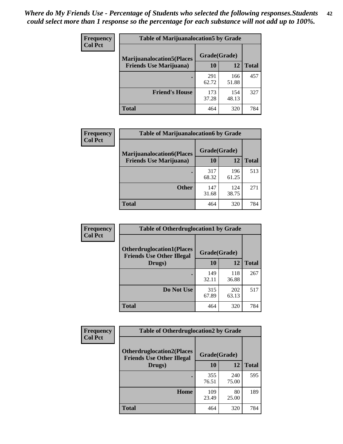| <b>Frequency</b> | <b>Table of Marijuanalocation5 by Grade</b> |              |              |              |
|------------------|---------------------------------------------|--------------|--------------|--------------|
| <b>Col Pct</b>   | <b>Marijuanalocation5</b> (Places           | Grade(Grade) |              |              |
|                  | <b>Friends Use Marijuana</b> )              | 10           | 12           | <b>Total</b> |
|                  |                                             | 291<br>62.72 | 166<br>51.88 | 457          |
|                  | <b>Friend's House</b>                       | 173<br>37.28 | 154<br>48.13 | 327          |
|                  | <b>Total</b>                                | 464          | 320          | 784          |

| <b>Frequency</b> | <b>Table of Marijuanalocation6 by Grade</b>                        |                    |              |              |
|------------------|--------------------------------------------------------------------|--------------------|--------------|--------------|
| <b>Col Pct</b>   | <b>Marijuanalocation6(Places</b><br><b>Friends Use Marijuana</b> ) | Grade(Grade)<br>10 | 12           | <b>Total</b> |
|                  |                                                                    | 317<br>68.32       | 196<br>61.25 | 513          |
|                  | <b>Other</b>                                                       | 147<br>31.68       | 124<br>38.75 | 271          |
|                  | <b>Total</b>                                                       | 464                | 320          | 784          |

| <b>Frequency</b> | <b>Table of Otherdruglocation1 by Grade</b>                          |              |              |              |
|------------------|----------------------------------------------------------------------|--------------|--------------|--------------|
| <b>Col Pct</b>   | <b>Otherdruglocation1(Places</b><br><b>Friends Use Other Illegal</b> | Grade(Grade) |              |              |
|                  | Drugs)                                                               | 10           | 12           | <b>Total</b> |
|                  |                                                                      | 149<br>32.11 | 118<br>36.88 | 267          |
|                  | Do Not Use                                                           | 315<br>67.89 | 202<br>63.13 | 517          |
|                  | <b>Total</b>                                                         | 464          | 320          | 784          |

| Frequency      | <b>Table of Otherdruglocation2 by Grade</b>                           |              |              |              |
|----------------|-----------------------------------------------------------------------|--------------|--------------|--------------|
| <b>Col Pct</b> | <b>Otherdruglocation2(Places)</b><br><b>Friends Use Other Illegal</b> | Grade(Grade) |              |              |
|                | Drugs)                                                                | 10           | 12           | <b>Total</b> |
|                |                                                                       | 355<br>76.51 | 240<br>75.00 | 595          |
|                | <b>Home</b>                                                           | 109<br>23.49 | 80<br>25.00  | 189          |
|                | <b>Total</b>                                                          | 464          | 320          | 784          |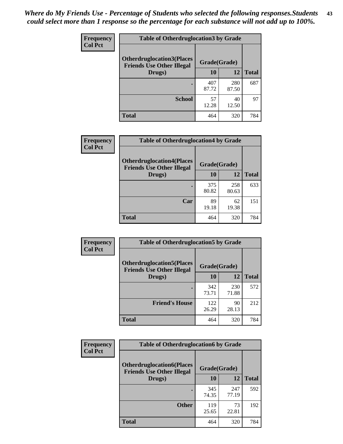| <b>Frequency</b> | <b>Table of Otherdruglocation 3 by Grade</b>                          |              |              |              |
|------------------|-----------------------------------------------------------------------|--------------|--------------|--------------|
| <b>Col Pct</b>   | <b>Otherdruglocation3(Places)</b><br><b>Friends Use Other Illegal</b> | Grade(Grade) |              |              |
|                  | Drugs)                                                                | 10           | 12           | <b>Total</b> |
|                  | ٠                                                                     | 407<br>87.72 | 280<br>87.50 | 687          |
|                  | <b>School</b>                                                         | 57<br>12.28  | 40<br>12.50  | 97           |
|                  | <b>Total</b>                                                          | 464          | 320          | 784          |

| Frequency      | <b>Table of Otherdruglocation4 by Grade</b>                          |              |              |              |
|----------------|----------------------------------------------------------------------|--------------|--------------|--------------|
| <b>Col Pct</b> | <b>Otherdruglocation4(Places</b><br><b>Friends Use Other Illegal</b> | Grade(Grade) |              |              |
|                | Drugs)                                                               | 10           | 12           | <b>Total</b> |
|                |                                                                      | 375<br>80.82 | 258<br>80.63 | 633          |
|                | Car                                                                  | 89<br>19.18  | 62<br>19.38  | 151          |
|                | <b>Total</b>                                                         | 464          | 320          | 784          |

| <b>Frequency</b> | <b>Table of Otherdruglocation5 by Grade</b>                          |              |              |              |
|------------------|----------------------------------------------------------------------|--------------|--------------|--------------|
| <b>Col Pct</b>   | <b>Otherdruglocation5(Places</b><br><b>Friends Use Other Illegal</b> | Grade(Grade) |              |              |
|                  | Drugs)                                                               | 10           | 12           | <b>Total</b> |
|                  |                                                                      | 342<br>73.71 | 230<br>71.88 | 572          |
|                  | <b>Friend's House</b>                                                | 122<br>26.29 | 90<br>28.13  | 212          |
|                  | <b>Total</b>                                                         | 464          | 320          | 784          |

| <b>Frequency</b> | <b>Table of Otherdruglocation6 by Grade</b>                          |              |              |              |
|------------------|----------------------------------------------------------------------|--------------|--------------|--------------|
| <b>Col Pct</b>   | <b>Otherdruglocation6(Places</b><br><b>Friends Use Other Illegal</b> | Grade(Grade) |              |              |
|                  | Drugs)                                                               | 10           | 12           | <b>Total</b> |
|                  |                                                                      | 345<br>74.35 | 247<br>77.19 | 592          |
|                  | <b>Other</b>                                                         | 119<br>25.65 | 73<br>22.81  | 192          |
|                  | <b>Total</b>                                                         | 464          | 320          | 784          |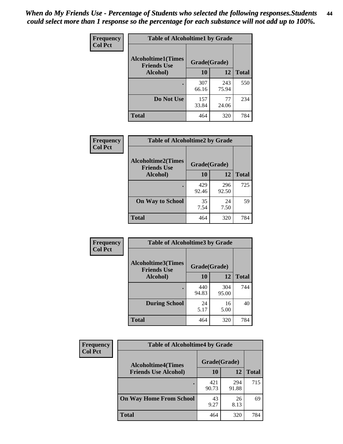| <b>Frequency</b> | <b>Table of Alcoholtime1 by Grade</b>           |              |              |              |  |
|------------------|-------------------------------------------------|--------------|--------------|--------------|--|
| <b>Col Pct</b>   | <b>Alcoholtime1(Times</b><br><b>Friends Use</b> | Grade(Grade) |              |              |  |
|                  | Alcohol)                                        | 10           | 12           | <b>Total</b> |  |
|                  |                                                 | 307<br>66.16 | 243<br>75.94 | 550          |  |
|                  | Do Not Use                                      | 157<br>33.84 | 77<br>24.06  | 234          |  |
|                  | <b>Total</b>                                    | 464          | 320          | 784          |  |

| Frequency      | <b>Table of Alcoholtime2 by Grade</b>           |              |              |              |
|----------------|-------------------------------------------------|--------------|--------------|--------------|
| <b>Col Pct</b> | <b>Alcoholtime2(Times</b><br><b>Friends Use</b> | Grade(Grade) |              |              |
|                | Alcohol)                                        | 10           | 12           | <b>Total</b> |
|                |                                                 | 429<br>92.46 | 296<br>92.50 | 725          |
|                | <b>On Way to School</b>                         | 35<br>7.54   | 24<br>7.50   | 59           |
|                | <b>Total</b>                                    | 464          | 320          | 784          |

| Frequency<br><b>Col Pct</b> | <b>Table of Alcoholtime3 by Grade</b>                    |              |              |              |  |
|-----------------------------|----------------------------------------------------------|--------------|--------------|--------------|--|
|                             | Alcoholtime3(Times<br>Grade(Grade)<br><b>Friends Use</b> |              |              |              |  |
|                             | Alcohol)                                                 | 10           | 12           | <b>Total</b> |  |
|                             |                                                          | 440<br>94.83 | 304<br>95.00 | 744          |  |
|                             | <b>During School</b>                                     | 24<br>5.17   | 16<br>5.00   | 40           |  |
|                             | <b>Total</b>                                             | 464          | 320          | 784          |  |

| <b>Frequency</b><br><b>Col Pct</b> | <b>Table of Alcoholtime4 by Grade</b> |              |              |              |
|------------------------------------|---------------------------------------|--------------|--------------|--------------|
|                                    | <b>Alcoholtime4(Times</b>             | Grade(Grade) |              |              |
|                                    | <b>Friends Use Alcohol)</b>           | 10           | 12           | <b>Total</b> |
|                                    |                                       | 421<br>90.73 | 294<br>91.88 | 715          |
|                                    | <b>On Way Home From School</b>        | 43<br>9.27   | 26<br>8.13   | 69           |
|                                    | <b>Total</b>                          | 464          | 320          | 784          |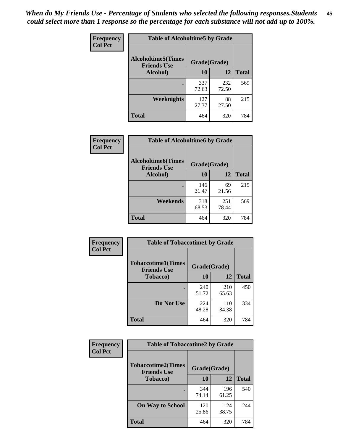*When do My Friends Use - Percentage of Students who selected the following responses.Students could select more than 1 response so the percentage for each substance will not add up to 100%.* **45**

| Frequency      | <b>Table of Alcoholtime5 by Grade</b>           |              |              |              |
|----------------|-------------------------------------------------|--------------|--------------|--------------|
| <b>Col Pct</b> | <b>Alcoholtime5(Times</b><br><b>Friends Use</b> | Grade(Grade) |              |              |
|                | Alcohol)                                        | 10           | 12           | <b>Total</b> |
|                |                                                 | 337<br>72.63 | 232<br>72.50 | 569          |
|                | Weeknights                                      | 127<br>27.37 | 88<br>27.50  | 215          |
|                | <b>Total</b>                                    | 464          | 320          | 784          |

| <b>Frequency</b> | <b>Table of Alcoholtime6 by Grade</b>           |              |              |              |  |
|------------------|-------------------------------------------------|--------------|--------------|--------------|--|
| <b>Col Pct</b>   | <b>Alcoholtime6(Times</b><br><b>Friends Use</b> | Grade(Grade) |              |              |  |
|                  | Alcohol)                                        | 10           | 12           | <b>Total</b> |  |
|                  |                                                 | 146<br>31.47 | 69<br>21.56  | 215          |  |
|                  | Weekends                                        | 318<br>68.53 | 251<br>78.44 | 569          |  |
|                  | <b>Total</b>                                    | 464          | 320          | 784          |  |

| <b>Frequency</b> | <b>Table of Tobaccotime1 by Grade</b>           |              |              |              |
|------------------|-------------------------------------------------|--------------|--------------|--------------|
| <b>Col Pct</b>   | <b>Tobaccotime1(Times</b><br><b>Friends Use</b> | Grade(Grade) |              |              |
|                  | <b>Tobacco</b> )                                | 10           | 12           | <b>Total</b> |
|                  |                                                 | 240<br>51.72 | 210<br>65.63 | 450          |
|                  | Do Not Use                                      | 224<br>48.28 | 110<br>34.38 | 334          |
|                  | <b>Total</b>                                    | 464          | 320          | 784          |

| <b>Frequency</b> | <b>Table of Tobaccotime2 by Grade</b>           |              |              |              |
|------------------|-------------------------------------------------|--------------|--------------|--------------|
| <b>Col Pct</b>   | <b>Tobaccotime2(Times</b><br><b>Friends Use</b> | Grade(Grade) |              |              |
|                  | Tobacco)                                        | 10           | 12           | <b>Total</b> |
|                  |                                                 | 344<br>74.14 | 196<br>61.25 | 540          |
|                  | <b>On Way to School</b>                         | 120<br>25.86 | 124<br>38.75 | 244          |
|                  | <b>Total</b>                                    | 464          | 320          | 784          |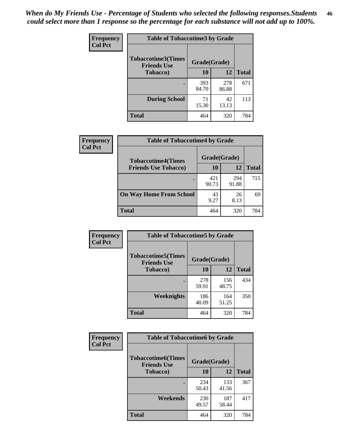| <b>Frequency</b> | <b>Table of Tobaccotime3 by Grade</b>           |              |              |              |  |
|------------------|-------------------------------------------------|--------------|--------------|--------------|--|
| <b>Col Pct</b>   | <b>Tobaccotime3(Times</b><br><b>Friends Use</b> | Grade(Grade) |              |              |  |
|                  | <b>Tobacco</b> )                                | 10           | 12           | <b>Total</b> |  |
|                  |                                                 | 393<br>84.70 | 278<br>86.88 | 671          |  |
|                  | <b>During School</b>                            | 71<br>15.30  | 42<br>13.13  | 113          |  |
|                  | <b>Total</b>                                    | 464          | 320          | 784          |  |

| <b>Frequency</b><br><b>Col Pct</b> | <b>Table of Tobaccotime4 by Grade</b> |              |              |              |
|------------------------------------|---------------------------------------|--------------|--------------|--------------|
|                                    | <b>Tobaccotime4(Times</b>             | Grade(Grade) |              |              |
|                                    | <b>Friends Use Tobacco)</b>           | 10           | 12           | <b>Total</b> |
|                                    |                                       | 421<br>90.73 | 294<br>91.88 | 715          |
|                                    | <b>On Way Home From School</b>        | 43<br>9.27   | 26<br>8.13   | 69           |
|                                    | <b>Total</b>                          | 464          | 320          | 784          |

| Frequency      | <b>Table of Tobaccotime5 by Grade</b>           |              |              |              |
|----------------|-------------------------------------------------|--------------|--------------|--------------|
| <b>Col Pct</b> | <b>Tobaccotime5(Times</b><br><b>Friends Use</b> | Grade(Grade) |              |              |
|                | <b>Tobacco</b> )                                | 10           | 12           | <b>Total</b> |
|                |                                                 | 278<br>59.91 | 156<br>48.75 | 434          |
|                | Weeknights                                      | 186<br>40.09 | 164<br>51.25 | 350          |
|                | <b>Total</b>                                    | 464          | 320          | 784          |

| Frequency      | <b>Table of Tobaccotime6 by Grade</b>           |              |              |              |
|----------------|-------------------------------------------------|--------------|--------------|--------------|
| <b>Col Pct</b> | <b>Tobaccotime6(Times</b><br><b>Friends Use</b> | Grade(Grade) |              |              |
|                | <b>Tobacco</b> )                                | 10           | 12           | <b>Total</b> |
|                |                                                 | 234<br>50.43 | 133<br>41.56 | 367          |
|                | Weekends                                        | 230<br>49.57 | 187<br>58.44 | 417          |
|                | <b>Total</b>                                    | 464          | 320          | 784          |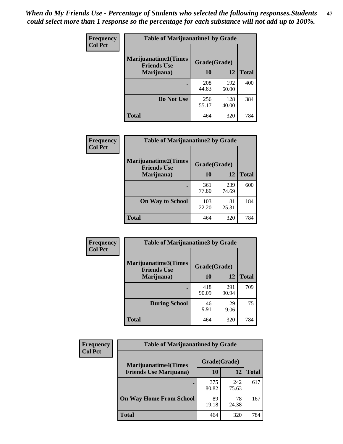| Frequency      | <b>Table of Marijuanatime1 by Grade</b>           |              |              |              |
|----------------|---------------------------------------------------|--------------|--------------|--------------|
| <b>Col Pct</b> | <b>Marijuanatime1(Times</b><br><b>Friends Use</b> | Grade(Grade) |              |              |
|                | Marijuana)                                        | 10           | 12           | <b>Total</b> |
|                |                                                   | 208<br>44.83 | 192<br>60.00 | 400          |
|                | Do Not Use                                        | 256<br>55.17 | 128<br>40.00 | 384          |
|                | <b>Total</b>                                      | 464          | 320          | 784          |

| <b>Frequency</b> | <b>Table of Marijuanatime2 by Grade</b>           |              |              |              |
|------------------|---------------------------------------------------|--------------|--------------|--------------|
| <b>Col Pct</b>   | <b>Marijuanatime2(Times</b><br><b>Friends Use</b> | Grade(Grade) |              |              |
|                  | Marijuana)                                        | 10           | 12           | <b>Total</b> |
|                  | $\bullet$                                         | 361<br>77.80 | 239<br>74.69 | 600          |
|                  | <b>On Way to School</b>                           | 103<br>22.20 | 81<br>25.31  | 184          |
|                  | <b>Total</b>                                      | 464          | 320          | 784          |

| Frequency      | <b>Table of Marijuanatime3 by Grade</b>    |              |              |              |
|----------------|--------------------------------------------|--------------|--------------|--------------|
| <b>Col Pct</b> | Marijuanatime3(Times<br><b>Friends Use</b> | Grade(Grade) |              |              |
|                | Marijuana)                                 | 10           | 12           | <b>Total</b> |
|                |                                            | 418<br>90.09 | 291<br>90.94 | 709          |
|                | <b>During School</b>                       | 46<br>9.91   | 29<br>9.06   | 75           |
|                | <b>Total</b>                               | 464          | 320          | 784          |

| <b>Frequency</b> | <b>Table of Marijuanatime4 by Grade</b> |              |              |              |
|------------------|-----------------------------------------|--------------|--------------|--------------|
| <b>Col Pct</b>   | <b>Marijuanatime4(Times</b>             | Grade(Grade) |              |              |
|                  | <b>Friends Use Marijuana</b> )          | 10           | 12           | <b>Total</b> |
|                  |                                         | 375<br>80.82 | 242<br>75.63 | 617          |
|                  | <b>On Way Home From School</b>          | 89<br>19.18  | 78<br>24.38  | 167          |
|                  | <b>Total</b>                            | 464          | 320          | 784          |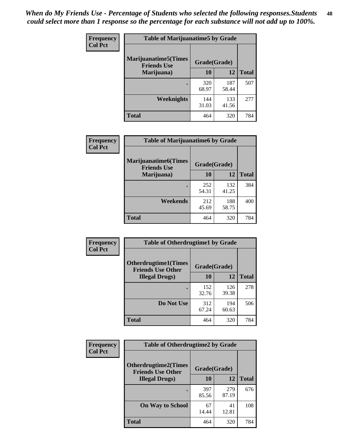| Frequency      | <b>Table of Marijuanatime5 by Grade</b>            |              |              |              |  |
|----------------|----------------------------------------------------|--------------|--------------|--------------|--|
| <b>Col Pct</b> | <b>Marijuanatime5</b> (Times<br><b>Friends Use</b> | Grade(Grade) |              |              |  |
|                | Marijuana)                                         | 10           | 12           | <b>Total</b> |  |
|                |                                                    | 320<br>68.97 | 187<br>58.44 | 507          |  |
|                | Weeknights                                         | 144<br>31.03 | 133<br>41.56 | 277          |  |
|                | <b>Total</b>                                       | 464          | 320          | 784          |  |

| Frequency      | <b>Table of Marijuanatime6 by Grade</b>            |              |              |              |
|----------------|----------------------------------------------------|--------------|--------------|--------------|
| <b>Col Pct</b> | <b>Marijuanatime6</b> (Times<br><b>Friends Use</b> | Grade(Grade) |              |              |
|                | Marijuana)                                         | 10           | 12           | <b>Total</b> |
|                |                                                    | 252<br>54.31 | 132<br>41.25 | 384          |
|                | Weekends                                           | 212<br>45.69 | 188<br>58.75 | 400          |
|                | <b>Total</b>                                       | 464          | 320          | 784          |

| <b>Frequency</b> | <b>Table of Otherdrugtime1 by Grade</b>                 |              |              |              |  |
|------------------|---------------------------------------------------------|--------------|--------------|--------------|--|
| <b>Col Pct</b>   | <b>Otherdrugtime1(Times</b><br><b>Friends Use Other</b> | Grade(Grade) |              |              |  |
|                  | <b>Illegal Drugs</b> )                                  | 10           | 12           | <b>Total</b> |  |
|                  |                                                         | 152<br>32.76 | 126<br>39.38 | 278          |  |
|                  | Do Not Use                                              | 312<br>67.24 | 194<br>60.63 | 506          |  |
|                  | <b>Total</b>                                            | 464          | 320          | 784          |  |

| Frequency      | <b>Table of Otherdrugtime2 by Grade</b>                 |              |              |              |
|----------------|---------------------------------------------------------|--------------|--------------|--------------|
| <b>Col Pct</b> | <b>Otherdrugtime2(Times</b><br><b>Friends Use Other</b> | Grade(Grade) |              |              |
|                | <b>Illegal Drugs</b> )                                  | 10           | 12           | <b>Total</b> |
|                |                                                         | 397<br>85.56 | 279<br>87.19 | 676          |
|                | <b>On Way to School</b>                                 | 67<br>14.44  | 41<br>12.81  | 108          |
|                | Total                                                   | 464          | 320          | 784          |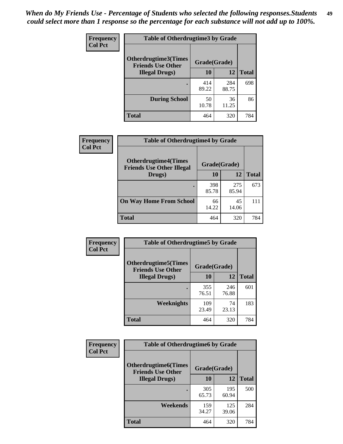| <b>Frequency</b> | <b>Table of Otherdrugtime3 by Grade</b>          |              |              |              |
|------------------|--------------------------------------------------|--------------|--------------|--------------|
| <b>Col Pct</b>   | Otherdrugtime3(Times<br><b>Friends Use Other</b> | Grade(Grade) |              |              |
|                  | <b>Illegal Drugs</b> )                           | 10           | 12           | <b>Total</b> |
|                  |                                                  | 414<br>89.22 | 284<br>88.75 | 698          |
|                  | <b>During School</b>                             | 50<br>10.78  | 36<br>11.25  | 86           |
|                  | <b>Total</b>                                     | 464          | 320          | 784          |

| <b>Frequency</b> | <b>Table of Otherdrugtime4 by Grade</b>                         |              |              |              |
|------------------|-----------------------------------------------------------------|--------------|--------------|--------------|
| <b>Col Pct</b>   | <b>Otherdrugtime4(Times</b><br><b>Friends Use Other Illegal</b> | Grade(Grade) |              |              |
|                  | Drugs)                                                          | 10           | 12           | <b>Total</b> |
|                  | $\bullet$                                                       | 398<br>85.78 | 275<br>85.94 | 673          |
|                  | <b>On Way Home From School</b>                                  | 66<br>14.22  | 45<br>14.06  | 111          |
|                  | <b>Total</b>                                                    | 464          | 320          | 784          |

| <b>Frequency</b><br><b>Col Pct</b> | <b>Table of Otherdrugtime5 by Grade</b>                 |              |              |              |  |  |
|------------------------------------|---------------------------------------------------------|--------------|--------------|--------------|--|--|
|                                    | <b>Otherdrugtime5(Times</b><br><b>Friends Use Other</b> | Grade(Grade) |              |              |  |  |
|                                    | <b>Illegal Drugs</b> )                                  | 10           | 12           | <b>Total</b> |  |  |
|                                    |                                                         | 355<br>76.51 | 246<br>76.88 | 601          |  |  |
|                                    | Weeknights                                              | 109<br>23.49 | 74<br>23.13  | 183          |  |  |
|                                    | Total                                                   | 464          | 320          | 784          |  |  |

| <b>Frequency</b> | <b>Table of Otherdrugtime6 by Grade</b>                  |              |              |              |  |  |
|------------------|----------------------------------------------------------|--------------|--------------|--------------|--|--|
| <b>Col Pct</b>   | <b>Otherdrugtime6</b> (Times<br><b>Friends Use Other</b> | Grade(Grade) |              |              |  |  |
|                  | <b>Illegal Drugs</b> )                                   | 10           | 12           | <b>Total</b> |  |  |
|                  |                                                          | 305<br>65.73 | 195<br>60.94 | 500          |  |  |
|                  | Weekends                                                 | 159<br>34.27 | 125<br>39.06 | 284          |  |  |
|                  | <b>Total</b>                                             | 464          | 320          | 784          |  |  |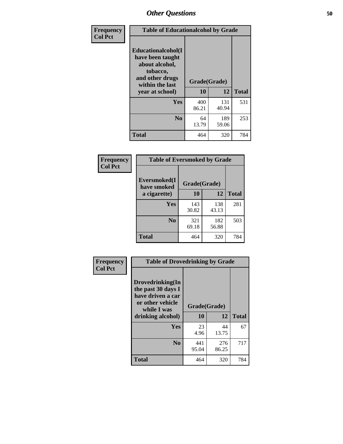| Frequency      | <b>Table of Educationalcohol by Grade</b>                                                                  |              |              |              |  |  |
|----------------|------------------------------------------------------------------------------------------------------------|--------------|--------------|--------------|--|--|
| <b>Col Pct</b> | Educationalcohol(I<br>have been taught<br>about alcohol,<br>tobacco,<br>and other drugs<br>within the last | Grade(Grade) |              |              |  |  |
|                | year at school)                                                                                            | 10           | 12           | <b>Total</b> |  |  |
|                | Yes                                                                                                        | 400<br>86.21 | 131<br>40.94 | 531          |  |  |
|                | N <sub>0</sub>                                                                                             | 64<br>13.79  | 189<br>59.06 | 253          |  |  |
|                | <b>Total</b>                                                                                               | 464          | 320          | 784          |  |  |

| Frequency      | <b>Table of Eversmoked by Grade</b> |              |              |              |  |  |
|----------------|-------------------------------------|--------------|--------------|--------------|--|--|
| <b>Col Pct</b> | Eversmoked(I<br>have smoked         | Grade(Grade) |              |              |  |  |
|                | a cigarette)                        | 10           | 12           | <b>Total</b> |  |  |
|                | <b>Yes</b>                          | 143<br>30.82 | 138<br>43.13 | 281          |  |  |
|                | N <sub>0</sub>                      | 321<br>69.18 | 182<br>56.88 | 503          |  |  |
|                | <b>Total</b>                        | 464          | 320          | 784          |  |  |

| Frequency      | <b>Table of Drovedrinking by Grade</b>                                                                              |                    |              |              |  |  |
|----------------|---------------------------------------------------------------------------------------------------------------------|--------------------|--------------|--------------|--|--|
| <b>Col Pct</b> | Drovedrinking(In<br>the past 30 days I<br>have driven a car<br>or other vehicle<br>while I was<br>drinking alcohol) | Grade(Grade)<br>10 | 12           | <b>Total</b> |  |  |
|                | Yes                                                                                                                 | 23<br>4.96         | 44<br>13.75  | 67           |  |  |
|                | N <sub>0</sub>                                                                                                      | 441<br>95.04       | 276<br>86.25 | 717          |  |  |
|                | <b>Total</b>                                                                                                        | 464                | 320          | 784          |  |  |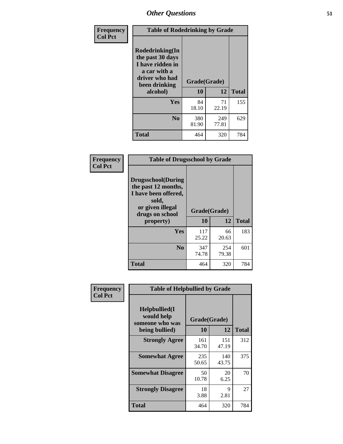| Frequency<br><b>Col Pct</b> | <b>Table of Rodedrinking by Grade</b>                                                                      |              |              |              |  |  |  |
|-----------------------------|------------------------------------------------------------------------------------------------------------|--------------|--------------|--------------|--|--|--|
|                             | Rodedrinking(In<br>the past 30 days<br>I have ridden in<br>a car with a<br>driver who had<br>been drinking | Grade(Grade) |              |              |  |  |  |
|                             | alcohol)                                                                                                   | 10           | 12           | <b>Total</b> |  |  |  |
|                             | <b>Yes</b>                                                                                                 | 84<br>18.10  | 71<br>22.19  | 155          |  |  |  |
|                             | N <sub>0</sub>                                                                                             | 380<br>81.90 | 249<br>77.81 | 629          |  |  |  |
|                             | <b>Total</b>                                                                                               | 464          | 320          | 784          |  |  |  |

#### **Frequency Col Pct**

| <b>Table of Drugsschool by Grade</b>                                                                                      |              |              |              |  |  |  |  |
|---------------------------------------------------------------------------------------------------------------------------|--------------|--------------|--------------|--|--|--|--|
| <b>Drugsschool</b> (During<br>the past 12 months,<br>I have been offered,<br>sold,<br>or given illegal<br>drugs on school | Grade(Grade) |              |              |  |  |  |  |
| property)                                                                                                                 | 10           | 12           | <b>Total</b> |  |  |  |  |
| Yes                                                                                                                       | 117<br>25.22 | 66<br>20.63  | 183          |  |  |  |  |
| N <sub>0</sub>                                                                                                            | 347<br>74.78 | 254<br>79.38 | 601          |  |  |  |  |
| <b>Total</b>                                                                                                              | 464          | 320          | 784          |  |  |  |  |

| Frequency      | <b>Table of Helpbullied by Grade</b>                 |              |              |              |  |  |  |
|----------------|------------------------------------------------------|--------------|--------------|--------------|--|--|--|
| <b>Col Pct</b> | $Helpb$ ullied $(I$<br>would help<br>someone who was | Grade(Grade) |              |              |  |  |  |
|                | being bullied)                                       | 10           | 12           | <b>Total</b> |  |  |  |
|                | <b>Strongly Agree</b>                                | 161<br>34.70 | 151<br>47.19 | 312          |  |  |  |
|                | <b>Somewhat Agree</b>                                | 235<br>50.65 | 140<br>43.75 | 375          |  |  |  |
|                | <b>Somewhat Disagree</b>                             | 50<br>10.78  | 20<br>6.25   | 70           |  |  |  |
|                | <b>Strongly Disagree</b>                             | 18<br>3.88   | 9<br>2.81    | 27           |  |  |  |
|                | <b>Total</b>                                         | 464          | 320          | 784          |  |  |  |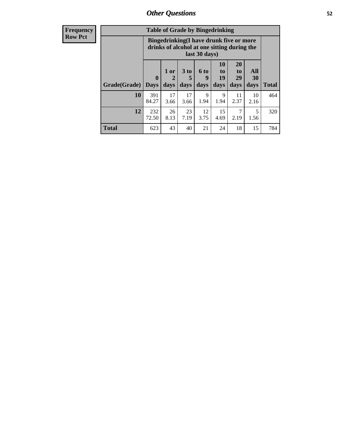26 8.13

23 7.19

**Total** 623 43 40 21 24 18 15 784

12 3.75

15 4.69

7 2.19

| <b>Frequency</b> | <b>Table of Grade by Bingedrinking</b> |                                                                                                         |                        |                      |                  |                       |                       |                  |
|------------------|----------------------------------------|---------------------------------------------------------------------------------------------------------|------------------------|----------------------|------------------|-----------------------|-----------------------|------------------|
| <b>Row Pct</b>   |                                        | Bingedrinking(I have drunk five or more<br>drinks of alcohol at one sitting during the<br>last 30 days) |                        |                      |                  |                       |                       |                  |
|                  |                                        | $\bf{0}$                                                                                                | 1 or<br>$\overline{2}$ | 3 <sub>to</sub><br>5 | <b>6 to</b><br>9 | <b>10</b><br>to<br>19 | <b>20</b><br>to<br>29 | All<br><b>30</b> |
|                  | Grade(Grade)                           | <b>Days</b>                                                                                             | days                   | days                 | days             | days                  | days                  | days             |
|                  | 10                                     | 391<br>84.27                                                                                            | 17<br>3.66             | 17<br>3.66           | 9<br>1.94        | Q<br>1.94             | 11<br>2.37            | 10<br>2.16       |
|                  |                                        |                                                                                                         |                        |                      |                  |                       |                       |                  |

**12** 232 72.50 **Total**

464

320

5 1.56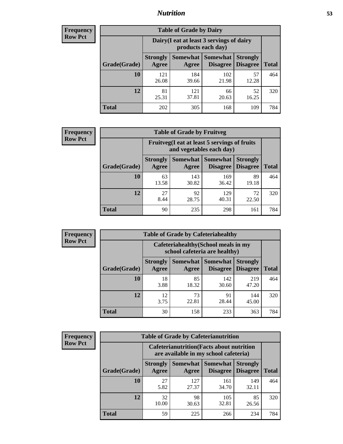## *Nutrition* **53**

| <b>Frequency</b><br>Row Pct |
|-----------------------------|
|                             |

| <b>Table of Grade by Dairy</b> |                                                                                                                                             |              |              |             |     |  |  |
|--------------------------------|---------------------------------------------------------------------------------------------------------------------------------------------|--------------|--------------|-------------|-----|--|--|
|                                | Dairy (I eat at least 3 servings of dairy<br>products each day)                                                                             |              |              |             |     |  |  |
| Grade(Grade)                   | Somewhat  <br><b>Strongly</b><br><b>Somewhat</b><br><b>Strongly</b><br><b>Disagree</b><br><b>Disagree</b><br><b>Total</b><br>Agree<br>Agree |              |              |             |     |  |  |
| 10                             | 121<br>26.08                                                                                                                                | 184<br>39.66 | 102<br>21.98 | 57<br>12.28 | 464 |  |  |
| 12                             | 81<br>25.31                                                                                                                                 | 121<br>37.81 | 66<br>20.63  | 52<br>16.25 | 320 |  |  |
| <b>Total</b>                   | 202                                                                                                                                         | 305          | 168          | 109         | 784 |  |  |

| Frequency      | <b>Table of Grade by Fruitveg</b> |                          |                                   |                                                                          |                                    |              |  |
|----------------|-----------------------------------|--------------------------|-----------------------------------|--------------------------------------------------------------------------|------------------------------------|--------------|--|
| <b>Row Pct</b> |                                   |                          |                                   | Fruitveg(I eat at least 5 servings of fruits<br>and vegetables each day) |                                    |              |  |
|                | Grade(Grade)                      | <b>Strongly</b><br>Agree | <b>Somewhat Somewhat</b><br>Agree | <b>Disagree</b>                                                          | <b>Strongly</b><br><b>Disagree</b> | <b>Total</b> |  |
|                | 10                                | 63<br>13.58              | 143<br>30.82                      | 169<br>36.42                                                             | 89<br>19.18                        | 464          |  |
|                | 12                                | 27<br>8.44               | 92<br>28.75                       | 129<br>40.31                                                             | 72<br>22.50                        | 320          |  |
|                | <b>Total</b>                      | 90                       | 235                               | 298                                                                      | 161                                | 784          |  |

| <b>Frequency</b> | <b>Table of Grade by Cafeteriahealthy</b> |                          |                                                                       |                                      |                                    |              |  |  |
|------------------|-------------------------------------------|--------------------------|-----------------------------------------------------------------------|--------------------------------------|------------------------------------|--------------|--|--|
| <b>Row Pct</b>   |                                           |                          | Cafeteriahealthy (School meals in my<br>school cafeteria are healthy) |                                      |                                    |              |  |  |
|                  | Grade(Grade)                              | <b>Strongly</b><br>Agree | Agree                                                                 | Somewhat Somewhat<br><b>Disagree</b> | <b>Strongly</b><br><b>Disagree</b> | <b>Total</b> |  |  |
|                  | 10                                        | 18<br>3.88               | 85<br>18.32                                                           | 142<br>30.60                         | 219<br>47.20                       | 464          |  |  |
|                  | 12                                        | 12<br>3.75               | 73<br>22.81                                                           | 91<br>28.44                          | 144<br>45.00                       | 320          |  |  |
|                  | <b>Total</b>                              | 30                       | 158                                                                   | 233                                  | 363                                | 784          |  |  |

**Total** 59 225 266 234 784

**Total**

464

320

| <b>Frequency</b> | <b>Table of Grade by Cafeterianutrition</b> |                                                                                           |                                   |              |                                    |  |  |
|------------------|---------------------------------------------|-------------------------------------------------------------------------------------------|-----------------------------------|--------------|------------------------------------|--|--|
| <b>Row Pct</b>   |                                             | <b>Cafeterianutrition</b> (Facts about nutrition<br>are available in my school cafeteria) |                                   |              |                                    |  |  |
|                  | Grade(Grade)                                | <b>Strongly</b><br>Agree                                                                  | <b>Somewhat</b> Somewhat<br>Agree | Disagree     | <b>Strongly</b><br><b>Disagree</b> |  |  |
|                  | 10                                          | 27<br>5.82                                                                                | 127<br>27.37                      | 161<br>34.70 | 149<br>32.11                       |  |  |
|                  | 12                                          | 32<br>10.00                                                                               | 98<br>30.63                       | 105<br>32.81 | 85<br>26.56                        |  |  |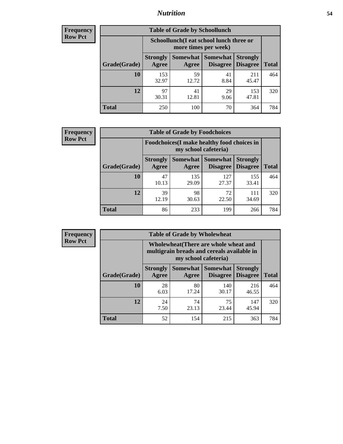## *Nutrition* **54**

| Frequency      |
|----------------|
| <b>Row Pct</b> |

| <b>Table of Grade by Schoollunch</b> |                          |                                                                 |                      |                                    |              |  |
|--------------------------------------|--------------------------|-----------------------------------------------------------------|----------------------|------------------------------------|--------------|--|
|                                      |                          | Schoollunch(I eat school lunch three or<br>more times per week) |                      |                                    |              |  |
| Grade(Grade)                         | <b>Strongly</b><br>Agree | Somewhat  <br>Agree                                             | Somewhat<br>Disagree | <b>Strongly</b><br><b>Disagree</b> | <b>Total</b> |  |
| 10                                   | 153<br>32.97             | 59<br>12.72                                                     | 41<br>8.84           | 211<br>45.47                       | 464          |  |
| 12                                   | 97<br>30.31              | 41<br>12.81                                                     | 29<br>9.06           | 153<br>47.81                       | 320          |  |
| <b>Total</b>                         | 250                      | 100                                                             | 70                   | 364                                | 784          |  |

| <b>Frequency</b> |  |
|------------------|--|
| <b>Row Pct</b>   |  |

| <b>Table of Grade by Foodchoices</b> |                          |                                                                     |                                          |                                    |              |  |
|--------------------------------------|--------------------------|---------------------------------------------------------------------|------------------------------------------|------------------------------------|--------------|--|
|                                      |                          | Foodchoices (I make healthy food choices in<br>my school cafeteria) |                                          |                                    |              |  |
| Grade(Grade)                         | <b>Strongly</b><br>Agree | Agree                                                               | Somewhat   Somewhat  <br><b>Disagree</b> | <b>Strongly</b><br><b>Disagree</b> | <b>Total</b> |  |
| 10                                   | 47<br>10.13              | 135<br>29.09                                                        | 127<br>27.37                             | 155<br>33.41                       | 464          |  |
| 12                                   | 39<br>12.19              | 98<br>30.63                                                         | 72<br>22.50                              | 111<br>34.69                       | 320          |  |
| <b>Total</b>                         | 86                       | 233                                                                 | 199                                      | 266                                | 784          |  |

| <b>Frequency</b><br><b>Row Pct</b> |  |
|------------------------------------|--|
|------------------------------------|--|

| V | <b>Table of Grade by Wholewheat</b> |                          |                                                                                                             |                                        |                                    |              |  |
|---|-------------------------------------|--------------------------|-------------------------------------------------------------------------------------------------------------|----------------------------------------|------------------------------------|--------------|--|
|   |                                     |                          | Wholewheat (There are whole wheat and<br>multigrain breads and cereals available in<br>my school cafeteria) |                                        |                                    |              |  |
|   | Grade(Grade)                        | <b>Strongly</b><br>Agree | Agree                                                                                                       | Somewhat   Somewhat<br><b>Disagree</b> | <b>Strongly</b><br><b>Disagree</b> | <b>Total</b> |  |
|   | 10                                  | 28<br>6.03               | 80<br>17.24                                                                                                 | 140<br>30.17                           | 216<br>46.55                       | 464          |  |
|   | 12                                  | 24<br>7.50               | 74<br>23.13                                                                                                 | 75<br>23.44                            | 147<br>45.94                       | 320          |  |
|   | <b>Total</b>                        | 52                       | 154                                                                                                         | 215                                    | 363                                | 784          |  |

 $\blacksquare$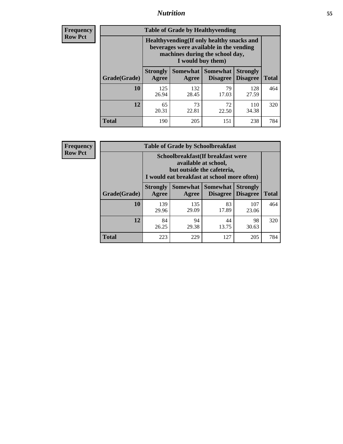## *Nutrition* **55**

**Frequency Row Pct**

| <b>Table of Grade by Healthyvending</b> |                                                                                                                                               |                          |                                    |                                    |              |  |
|-----------------------------------------|-----------------------------------------------------------------------------------------------------------------------------------------------|--------------------------|------------------------------------|------------------------------------|--------------|--|
|                                         | Healthyvending (If only healthy snacks and<br>beverages were available in the vending<br>machines during the school day,<br>I would buy them) |                          |                                    |                                    |              |  |
| Grade(Grade)                            | <b>Strongly</b><br>Agree                                                                                                                      | <b>Somewhat</b><br>Agree | <b>Somewhat</b><br><b>Disagree</b> | <b>Strongly</b><br><b>Disagree</b> | <b>Total</b> |  |
| 10                                      | 125<br>26.94                                                                                                                                  | 132<br>28.45             | 79<br>17.03                        | 128<br>27.59                       | 464          |  |
| 12                                      | 65<br>20.31                                                                                                                                   | 73<br>22.81              | 72<br>22.50                        | 110<br>34.38                       | 320          |  |
| <b>Total</b>                            | 190                                                                                                                                           | 205                      | 151                                | 238                                | 784          |  |

**Frequency Row Pct**

| <b>Table of Grade by Schoolbreakfast</b> |                                                                                                                                         |                     |                                    |                                    |              |  |
|------------------------------------------|-----------------------------------------------------------------------------------------------------------------------------------------|---------------------|------------------------------------|------------------------------------|--------------|--|
|                                          | Schoolbreakfast (If breakfast were<br>available at school,<br>but outside the cafeteria,<br>I would eat breakfast at school more often) |                     |                                    |                                    |              |  |
| Grade(Grade)                             | <b>Strongly</b><br>Agree                                                                                                                | Somewhat  <br>Agree | <b>Somewhat</b><br><b>Disagree</b> | <b>Strongly</b><br><b>Disagree</b> | <b>Total</b> |  |
| 10                                       | 139<br>29.96                                                                                                                            | 135<br>29.09        | 83<br>17.89                        | 107<br>23.06                       | 464          |  |
| 12                                       | 84<br>26.25                                                                                                                             | 94<br>29.38         | 44<br>13.75                        | 98<br>30.63                        | 320          |  |
| <b>Total</b>                             | 223                                                                                                                                     | 229                 | 127                                | 205                                | 784          |  |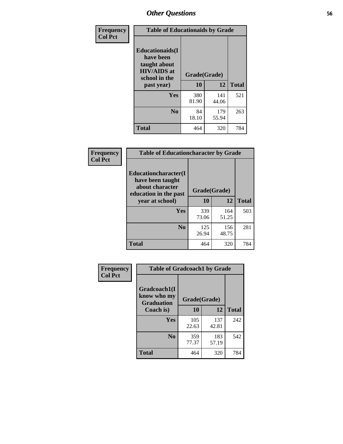| Frequency<br><b>Col Pct</b> | <b>Table of Educationaids by Grade</b>                                                                    |                    |              |     |  |  |
|-----------------------------|-----------------------------------------------------------------------------------------------------------|--------------------|--------------|-----|--|--|
|                             | <b>Educationaids</b> (I<br>have been<br>taught about<br><b>HIV/AIDS</b> at<br>school in the<br>past year) | Grade(Grade)<br>10 | <b>Total</b> |     |  |  |
|                             | Yes                                                                                                       | 380<br>81.90       | 141<br>44.06 | 521 |  |  |
|                             | N <sub>0</sub>                                                                                            | 84<br>18.10        | 179<br>55.94 | 263 |  |  |
|                             | <b>Total</b>                                                                                              | 464                | 320          | 784 |  |  |

| Frequency      | <b>Table of Educationcharacter by Grade</b>                                                  |              |              |              |  |  |  |
|----------------|----------------------------------------------------------------------------------------------|--------------|--------------|--------------|--|--|--|
| <b>Col Pct</b> | <b>Educationcharacter(I)</b><br>have been taught<br>about character<br>education in the past | Grade(Grade) |              |              |  |  |  |
|                | year at school)                                                                              | 10           | 12           | <b>Total</b> |  |  |  |
|                | Yes                                                                                          | 339<br>73.06 | 164<br>51.25 | 503          |  |  |  |
|                | N <sub>0</sub>                                                                               | 125<br>26.94 | 156<br>48.75 | 281          |  |  |  |
|                | <b>Total</b>                                                                                 | 464          | 320          | 784          |  |  |  |

| Frequency<br><b>Col Pct</b> | <b>Table of Gradcoach1 by Grade</b>              |              |              |              |  |
|-----------------------------|--------------------------------------------------|--------------|--------------|--------------|--|
|                             | Gradcoach1(I<br>know who my<br><b>Graduation</b> | Grade(Grade) |              |              |  |
|                             | Coach is)                                        | 10           | 12           | <b>Total</b> |  |
|                             | Yes                                              | 105<br>22.63 | 137<br>42.81 | 242          |  |
|                             | N <sub>0</sub>                                   | 359<br>77.37 | 183<br>57.19 | 542          |  |
|                             | <b>Total</b>                                     | 464          | 320          | 784          |  |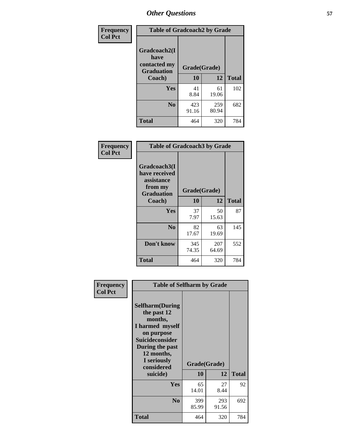| Frequency      | <b>Table of Gradcoach2 by Grade</b> |              |              |              |
|----------------|-------------------------------------|--------------|--------------|--------------|
| <b>Col Pct</b> |                                     |              |              |              |
|                | Gradcoach2(I<br>have                |              |              |              |
|                | contacted my<br><b>Graduation</b>   | Grade(Grade) |              |              |
|                | Coach)                              | 10           | 12           | <b>Total</b> |
|                | Yes                                 | 41<br>8.84   | 61<br>19.06  | 102          |
|                | N <sub>0</sub>                      | 423<br>91.16 | 259<br>80.94 | 682          |
|                | <b>Total</b>                        | 464          | 320          | 784          |

| Frequency<br><b>Col Pct</b> | <b>Table of Gradcoach3 by Grade</b>                                         |              |              |              |
|-----------------------------|-----------------------------------------------------------------------------|--------------|--------------|--------------|
|                             | Gradcoach3(I<br>have received<br>assistance<br>from my<br><b>Graduation</b> | Grade(Grade) |              |              |
|                             | Coach)                                                                      | 10           | 12           | <b>Total</b> |
|                             | Yes                                                                         | 37<br>7.97   | 50<br>15.63  | 87           |
|                             | N <sub>0</sub>                                                              | 82<br>17.67  | 63<br>19.69  | 145          |
|                             | Don't know                                                                  | 345<br>74.35 | 207<br>64.69 | 552          |
|                             | <b>Total</b>                                                                | 464          | 320          | 784          |

| Frequency      | <b>Table of Selfharm by Grade</b>                                                                                                                                                      |                    |              |              |
|----------------|----------------------------------------------------------------------------------------------------------------------------------------------------------------------------------------|--------------------|--------------|--------------|
| <b>Col Pct</b> | <b>Selfharm</b> (During<br>the past 12<br>months,<br>I harmed myself<br>on purpose<br><b>Suicideconsider</b><br>During the past<br>12 months,<br>I seriously<br>considered<br>suicide) | Grade(Grade)<br>10 | 12           | <b>Total</b> |
|                |                                                                                                                                                                                        |                    |              |              |
|                | Yes                                                                                                                                                                                    | 65<br>14.01        | 27<br>8.44   | 92           |
|                | N <sub>0</sub>                                                                                                                                                                         | 399<br>85.99       | 293<br>91.56 | 692          |
|                | <b>Total</b>                                                                                                                                                                           | 464                | 320          | 784          |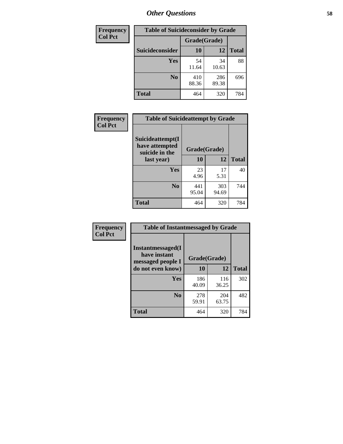| Frequency      | <b>Table of Suicideconsider by Grade</b> |              |              |              |  |
|----------------|------------------------------------------|--------------|--------------|--------------|--|
| <b>Col Pct</b> |                                          | Grade(Grade) |              |              |  |
|                | <b>Suicideconsider</b>                   | 10           | 12           | <b>Total</b> |  |
|                | Yes                                      | 54<br>11.64  | 34<br>10.63  | 88           |  |
|                | N <sub>0</sub>                           | 410<br>88.36 | 286<br>89.38 | 696          |  |
|                | Total                                    | 464          | 320          | 784          |  |

| Frequency      | <b>Table of Suicideattempt by Grade</b>              |              |              |              |
|----------------|------------------------------------------------------|--------------|--------------|--------------|
| <b>Col Pct</b> | Suicideattempt(I<br>have attempted<br>suicide in the | Grade(Grade) |              |              |
|                | last year)                                           | <b>10</b>    | 12           | <b>Total</b> |
|                | Yes                                                  | 23<br>4.96   | 17<br>5.31   | 40           |
|                | N <sub>0</sub>                                       | 441<br>95.04 | 303<br>94.69 | 744          |
|                | <b>Total</b>                                         | 464          | 320          | 784          |

| Frequency      | <b>Table of Instantmessaged by Grade</b>               |              |              |              |
|----------------|--------------------------------------------------------|--------------|--------------|--------------|
| <b>Col Pct</b> | Instantmessaged(I<br>have instant<br>messaged people I | Grade(Grade) |              |              |
|                | do not even know)                                      | 10           | 12           | <b>Total</b> |
|                | Yes                                                    | 186<br>40.09 | 116<br>36.25 | 302          |
|                | N <sub>0</sub>                                         | 278<br>59.91 | 204<br>63.75 | 482          |
|                | <b>Total</b>                                           | 464          | 320          | 784          |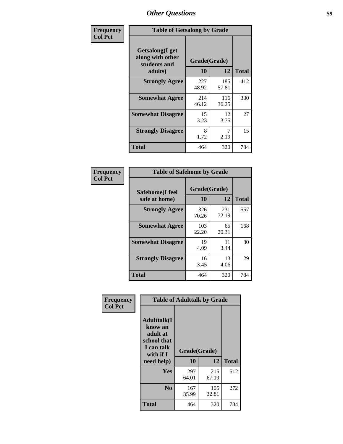| Frequency      | <b>Table of Getsalong by Grade</b>                          |              |              |              |  |
|----------------|-------------------------------------------------------------|--------------|--------------|--------------|--|
| <b>Col Pct</b> | <b>Getsalong</b> (I get<br>along with other<br>students and | Grade(Grade) |              |              |  |
|                | adults)                                                     | 10           | 12           | <b>Total</b> |  |
|                | <b>Strongly Agree</b>                                       | 227<br>48.92 | 185<br>57.81 | 412          |  |
|                | <b>Somewhat Agree</b>                                       | 214<br>46.12 | 116<br>36.25 | 330          |  |
|                | <b>Somewhat Disagree</b>                                    | 15<br>3.23   | 12<br>3.75   | 27           |  |
|                | <b>Strongly Disagree</b>                                    | 8<br>1.72    | 7<br>2.19    | 15           |  |
|                | Total                                                       | 464          | 320          | 784          |  |

| Frequency      |
|----------------|
| <b>Col Pct</b> |

| <b>Table of Safehome by Grade</b> |                    |              |     |  |  |  |
|-----------------------------------|--------------------|--------------|-----|--|--|--|
| Safehome(I feel<br>safe at home)  | Grade(Grade)<br>10 | <b>Total</b> |     |  |  |  |
| <b>Strongly Agree</b>             | 326<br>70.26       | 231<br>72.19 | 557 |  |  |  |
| <b>Somewhat Agree</b>             | 103<br>22.20       | 65<br>20.31  | 168 |  |  |  |
| <b>Somewhat Disagree</b>          | 19<br>4.09         | 11<br>3.44   | 30  |  |  |  |
| <b>Strongly Disagree</b>          | 16<br>3.45         | 13<br>4.06   | 29  |  |  |  |
| <b>Total</b>                      | 464                | 320          | 784 |  |  |  |

| Frequency      | <b>Table of Adulttalk by Grade</b>                                                                 |                    |              |              |  |  |
|----------------|----------------------------------------------------------------------------------------------------|--------------------|--------------|--------------|--|--|
| <b>Col Pct</b> | <b>Adulttalk</b> (I<br>know an<br>adult at<br>school that<br>I can talk<br>with if I<br>need help) | Grade(Grade)<br>10 | 12           | <b>Total</b> |  |  |
|                | <b>Yes</b>                                                                                         | 297<br>64.01       | 215<br>67.19 | 512          |  |  |
|                | N <sub>0</sub>                                                                                     | 167<br>35.99       | 105<br>32.81 | 272          |  |  |
|                | <b>Total</b>                                                                                       | 464                | 320          | 784          |  |  |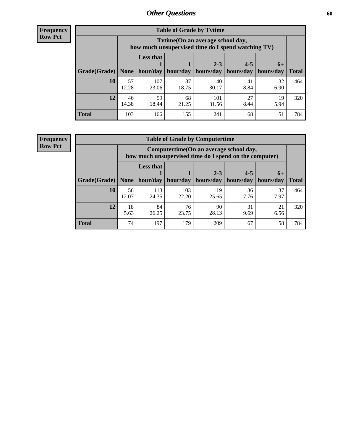**Frequency Row Pct**

| <b>Table of Grade by Tytime</b> |             |                                                                                        |                     |              |            |            |              |  |
|---------------------------------|-------------|----------------------------------------------------------------------------------------|---------------------|--------------|------------|------------|--------------|--|
|                                 |             | Tvtime(On an average school day,<br>how much unsupervised time do I spend watching TV) |                     |              |            |            |              |  |
|                                 |             | <b>Less that</b><br>$2 - 3$<br>$4 - 5$<br>$6+$                                         |                     |              |            |            |              |  |
| Grade(Grade)   None             |             |                                                                                        | hour/day   hour/day | hours/day    | hours/day  | hours/day  | <b>Total</b> |  |
| 10                              | 57<br>12.28 | 107<br>23.06                                                                           | 87<br>18.75         | 140<br>30.17 | 41<br>8.84 | 32<br>6.90 | 464          |  |
| 12                              | 46<br>14.38 | 59<br>18.44                                                                            | 68<br>21.25         | 101<br>31.56 | 27<br>8.44 | 19<br>5.94 | 320          |  |
| <b>Total</b>                    | 103         | 166                                                                                    | 155                 | 241          | 68         | 51         | 784          |  |

**Frequency Row Pct**

| <b>Table of Grade by Computertime</b> |             |                                                                                                   |              |                      |                      |                   |              |  |
|---------------------------------------|-------------|---------------------------------------------------------------------------------------------------|--------------|----------------------|----------------------|-------------------|--------------|--|
|                                       |             | Computertime (On an average school day,<br>how much unsupervised time do I spend on the computer) |              |                      |                      |                   |              |  |
| Grade(Grade)                          | None        | <b>Less that</b><br>hour/day                                                                      | hour/day     | $2 - 3$<br>hours/day | $4 - 5$<br>hours/day | $6+$<br>hours/day | <b>Total</b> |  |
| 10                                    | 56<br>12.07 | 113<br>24.35                                                                                      | 103<br>22.20 | 119<br>25.65         | 36<br>7.76           | 37<br>7.97        | 464          |  |
| 12                                    | 18<br>5.63  | 76<br>90<br>84<br>31<br>21<br>28.13<br>26.25<br>6.56<br>23.75<br>9.69                             |              |                      |                      |                   |              |  |
| <b>Total</b>                          | 74          | 197                                                                                               | 179          | 209                  | 67                   | 58                | 784          |  |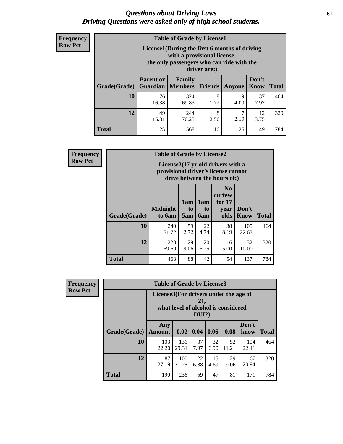### *Questions about Driving Laws* **61** *Driving Questions were asked only of high school students.*

| <b>Frequency</b> |
|------------------|
| <b>Row Pct</b>   |

| <b>Table of Grade by License1</b> |                                                                     |                                                                                                                                           |                |            |               |              |  |  |  |
|-----------------------------------|---------------------------------------------------------------------|-------------------------------------------------------------------------------------------------------------------------------------------|----------------|------------|---------------|--------------|--|--|--|
|                                   |                                                                     | License1(During the first 6 months of driving<br>with a provisional license,<br>the only passengers who can ride with the<br>driver are:) |                |            |               |              |  |  |  |
| Grade(Grade)                      | <b>Parent or</b><br><b>Guardian</b>                                 | Family<br><b>Members</b>                                                                                                                  | <b>Friends</b> | Anyone     | Don't<br>Know | <b>Total</b> |  |  |  |
| 10                                | 76<br>16.38                                                         | 324<br>69.83                                                                                                                              | 8<br>1.72      | 19<br>4.09 | 37<br>7.97    | 464          |  |  |  |
| 12                                | 7<br>49<br>8<br>12<br>244<br>2.19<br>76.25<br>3.75<br>15.31<br>2.50 |                                                                                                                                           |                |            |               |              |  |  |  |
| Total                             | 125                                                                 | 568                                                                                                                                       | 16             | 26         | 49            | 784          |  |  |  |

| Frequency      |              | <b>Table of Grade by License2</b>                                                                        |                  |                  |                                                      |                      |              |
|----------------|--------------|----------------------------------------------------------------------------------------------------------|------------------|------------------|------------------------------------------------------|----------------------|--------------|
| <b>Row Pct</b> |              | License2(17 yr old drivers with a<br>provisional driver's license cannot<br>drive between the hours of:) |                  |                  |                                                      |                      |              |
|                | Grade(Grade) | <b>Midnight</b><br>to 6am                                                                                | 1am<br>to<br>5am | 1am<br>to<br>6am | N <sub>0</sub><br>curfew<br>for $17$<br>year<br>olds | Don't<br><b>Know</b> | <b>Total</b> |
|                | 10           | 240<br>51.72                                                                                             | 59<br>12.72      | 22<br>4.74       | 38<br>8.19                                           | 105<br>22.63         | 464          |
|                | 12           | 223<br>69.69                                                                                             | 29<br>9.06       | 20<br>6.25       | 16<br>5.00                                           | 32<br>10.00          | 320          |
|                | <b>Total</b> | 463                                                                                                      | 88               | 42               | 54                                                   | 137                  | 784          |

| Frequency                                                                                                         |              | <b>Table of Grade by License3</b> |              |            |            |             |               |              |
|-------------------------------------------------------------------------------------------------------------------|--------------|-----------------------------------|--------------|------------|------------|-------------|---------------|--------------|
| <b>Row Pct</b><br>License3(For drivers under the age of<br>21,<br>what level of alcohol is considered<br>$DUI$ ?) |              |                                   |              |            |            |             |               |              |
|                                                                                                                   | Grade(Grade) | Any<br><b>Amount</b>              | 0.02         | 0.04       | 0.06       | 0.08        | Don't<br>know | <b>Total</b> |
|                                                                                                                   | 10           | 103<br>22.20                      | 136<br>29.31 | 37<br>7.97 | 32<br>6.90 | 52<br>11.21 | 104<br>22.41  | 464          |
|                                                                                                                   | 12           | 87<br>27.19                       | 100<br>31.25 | 22<br>6.88 | 15<br>4.69 | 29<br>9.06  | 67<br>20.94   | 320          |
|                                                                                                                   | <b>Total</b> | 190                               | 236          | 59         | 47         | 81          | 171           | 784          |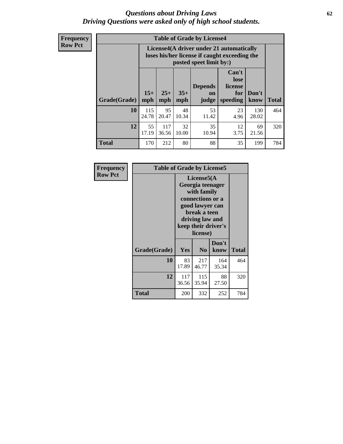### *Questions about Driving Laws* **62** *Driving Questions were asked only of high school students.*

**Frequency Row Pct**

| <b>Table of Grade by License4</b> |              |                                                                                                                                                                                                                                                                                |             |             |            |              |     |  |
|-----------------------------------|--------------|--------------------------------------------------------------------------------------------------------------------------------------------------------------------------------------------------------------------------------------------------------------------------------|-------------|-------------|------------|--------------|-----|--|
|                                   |              | License4(A driver under 21 automatically<br>loses his/her license if caught exceeding the<br>posted speet limit by:)<br>Can't<br>lose<br><b>Depends</b><br>license<br>$15+$<br>$25+$<br>$35+$<br>Don't<br>for<br>on<br><b>Total</b><br>mph<br>speeding<br>know<br>mph<br>judge |             |             |            |              |     |  |
| Grade(Grade)                      | mph          |                                                                                                                                                                                                                                                                                |             |             |            |              |     |  |
| 10                                | 115<br>24.78 | 95<br>20.47                                                                                                                                                                                                                                                                    | 48<br>10.34 | 53<br>11.42 | 23<br>4.96 | 130<br>28.02 | 464 |  |
| 12                                | 55<br>17.19  | 117<br>36.56                                                                                                                                                                                                                                                                   | 32<br>10.00 | 35<br>10.94 | 12<br>3.75 | 69<br>21.56  | 320 |  |
| <b>Total</b>                      | 170          | 212                                                                                                                                                                                                                                                                            | 80          | 88          | 35         | 199          | 784 |  |

| Frequency      | <b>Table of Grade by License5</b> |                                                                                                                                                             |                |               |       |
|----------------|-----------------------------------|-------------------------------------------------------------------------------------------------------------------------------------------------------------|----------------|---------------|-------|
| <b>Row Pct</b> |                                   | License5(A)<br>Georgia teenager<br>with family<br>connections or a<br>good lawyer can<br>break a teen<br>driving law and<br>keep their driver's<br>license) |                |               |       |
|                | Grade(Grade)                      | <b>Yes</b>                                                                                                                                                  | N <sub>0</sub> | Don't<br>know | Total |
|                | 10                                | 83<br>17.89                                                                                                                                                 | 217<br>46.77   | 164<br>35.34  | 464   |
|                | 12                                | 117<br>36.56                                                                                                                                                | 115<br>35.94   | 88<br>27.50   | 320   |
|                | Total                             | 200                                                                                                                                                         | 332            | 252           | 784   |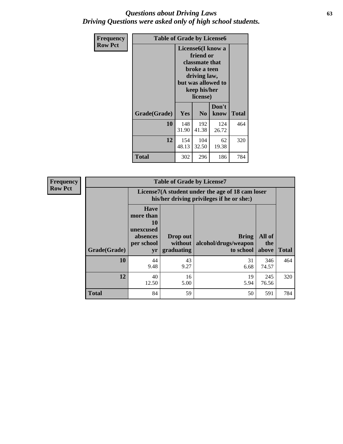### *Questions about Driving Laws* **63** *Driving Questions were asked only of high school students.*

| <b>Frequency</b> | <b>Table of Grade by License6</b> |                                                                                                                                                        |                |               |              |  |
|------------------|-----------------------------------|--------------------------------------------------------------------------------------------------------------------------------------------------------|----------------|---------------|--------------|--|
| <b>Row Pct</b>   |                                   | License <sub>6</sub> (I know a<br>friend or<br><b>classmate that</b><br>broke a teen<br>driving law,<br>but was allowed to<br>keep his/her<br>license) |                |               |              |  |
|                  | Grade(Grade)                      | <b>Yes</b>                                                                                                                                             | N <sub>0</sub> | Don't<br>know | <b>Total</b> |  |
|                  | 10                                | 148<br>31.90                                                                                                                                           | 192<br>41.38   | 124<br>26.72  | 464          |  |
|                  | 12                                | 154<br>48.13                                                                                                                                           | 104<br>32.50   | 62<br>19.38   | 320          |  |
|                  | Total                             | 302                                                                                                                                                    | 296            | 186           | 784          |  |

| Frequency      |              |                                                                                               | <b>Table of Grade by License7</b>   |                                                   |                        |              |  |
|----------------|--------------|-----------------------------------------------------------------------------------------------|-------------------------------------|---------------------------------------------------|------------------------|--------------|--|
| <b>Row Pct</b> |              | License7(A student under the age of 18 cam loser<br>his/her driving privileges if he or she:) |                                     |                                                   |                        |              |  |
|                | Grade(Grade) | <b>Have</b><br>more than<br>10<br>unexcused<br>absences<br>per school<br>yr                   | Drop out<br>without  <br>graduating | <b>Bring</b><br>alcohol/drugs/weapon<br>to school | All of<br>the<br>above | <b>Total</b> |  |
|                | 10           | 44<br>9.48                                                                                    | 43<br>9.27                          | 31<br>6.68                                        | 346<br>74.57           | 464          |  |
|                | 12           | 40<br>12.50                                                                                   | 16<br>5.00                          | 19<br>5.94                                        | 245<br>76.56           | 320          |  |
|                | <b>Total</b> | 84                                                                                            | 59                                  | 50                                                | 591                    | 784          |  |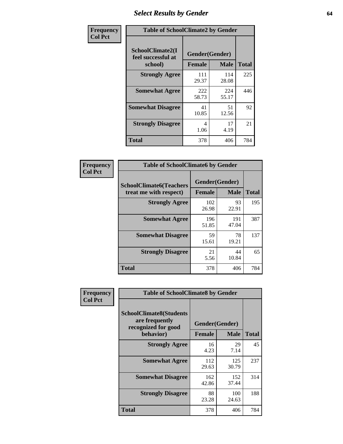# *Select Results by Gender* **64**

| Frequency      | <b>Table of SchoolClimate2 by Gender</b>          |                                 |              |              |  |  |
|----------------|---------------------------------------------------|---------------------------------|--------------|--------------|--|--|
| <b>Col Pct</b> | SchoolClimate2(I<br>feel successful at<br>school) | Gender(Gender)<br><b>Female</b> | <b>Male</b>  | <b>Total</b> |  |  |
|                | <b>Strongly Agree</b>                             | 111<br>29.37                    | 114<br>28.08 | 225          |  |  |
|                | <b>Somewhat Agree</b>                             | 222<br>58.73                    | 224<br>55.17 | 446          |  |  |
|                | <b>Somewhat Disagree</b>                          | 41<br>10.85                     | 51<br>12.56  | 92           |  |  |
|                | <b>Strongly Disagree</b>                          | 4<br>1.06                       | 17<br>4.19   | 21           |  |  |
|                | <b>Total</b>                                      | 378                             | 406          | 784          |  |  |

| Frequency      | <b>Table of SchoolClimate6 by Gender</b>                 |                                 |              |              |  |  |  |
|----------------|----------------------------------------------------------|---------------------------------|--------------|--------------|--|--|--|
| <b>Col Pct</b> | <b>SchoolClimate6(Teachers</b><br>treat me with respect) | Gender(Gender)<br><b>Female</b> | <b>Male</b>  | <b>Total</b> |  |  |  |
|                | <b>Strongly Agree</b>                                    | 102<br>26.98                    | 93<br>22.91  | 195          |  |  |  |
|                | <b>Somewhat Agree</b>                                    | 196<br>51.85                    | 191<br>47.04 | 387          |  |  |  |
|                | <b>Somewhat Disagree</b>                                 | 59<br>15.61                     | 78<br>19.21  | 137          |  |  |  |
|                | <b>Strongly Disagree</b>                                 | 21<br>5.56                      | 44<br>10.84  | 65           |  |  |  |
|                | <b>Total</b>                                             | 378                             | 406          | 784          |  |  |  |

| <b>Frequency</b> | <b>Table of SchoolClimate8 by Gender</b>                                             |                                 |              |     |
|------------------|--------------------------------------------------------------------------------------|---------------------------------|--------------|-----|
| <b>Col Pct</b>   | <b>SchoolClimate8(Students</b><br>are frequently<br>recognized for good<br>behavior) | Gender(Gender)<br><b>Female</b> | <b>Total</b> |     |
|                  |                                                                                      |                                 | <b>Male</b>  |     |
|                  | <b>Strongly Agree</b>                                                                | 16<br>4.23                      | 29<br>7.14   | 45  |
|                  | <b>Somewhat Agree</b>                                                                | 112<br>29.63                    | 125<br>30.79 | 237 |
|                  | <b>Somewhat Disagree</b>                                                             | 162<br>42.86                    | 152<br>37.44 | 314 |
|                  | <b>Strongly Disagree</b>                                                             | 88<br>23.28                     | 100<br>24.63 | 188 |
|                  | Total                                                                                | 378                             | 406          | 784 |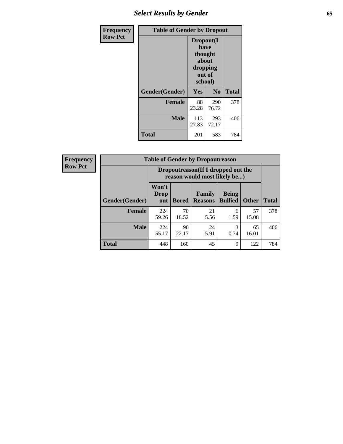# *Select Results by Gender* **65**

| Frequency      | <b>Table of Gender by Dropout</b> |                                                                        |              |              |
|----------------|-----------------------------------|------------------------------------------------------------------------|--------------|--------------|
| <b>Row Pct</b> |                                   | Dropout(I<br>have<br>thought<br>about<br>dropping<br>out of<br>school) |              |              |
|                | Gender(Gender)                    | Yes                                                                    | No           | <b>Total</b> |
|                | <b>Female</b>                     | 88<br>23.28                                                            | 290<br>76.72 | 378          |
|                | <b>Male</b>                       | 113<br>27.83                                                           | 293<br>72.17 | 406          |
|                | <b>Total</b>                      | 201                                                                    | 583          | 784          |

| <b>Frequency</b> | <b>Table of Gender by Dropoutreason</b> |                                                                     |              |                                 |                                |              |              |
|------------------|-----------------------------------------|---------------------------------------------------------------------|--------------|---------------------------------|--------------------------------|--------------|--------------|
| <b>Row Pct</b>   |                                         | Dropoutreason (If I dropped out the<br>reason would most likely be) |              |                                 |                                |              |              |
|                  | Gender(Gender)                          | Won't<br>Drop<br>out                                                | <b>Bored</b> | <b>Family</b><br><b>Reasons</b> | <b>Being</b><br><b>Bullied</b> | <b>Other</b> | <b>Total</b> |
|                  | <b>Female</b>                           | 224<br>59.26                                                        | 70<br>18.52  | 21<br>5.56                      | 6<br>1.59                      | 57<br>15.08  | 378          |
|                  | <b>Male</b>                             | 224<br>55.17                                                        | 90<br>22.17  | 24<br>5.91                      | 3<br>0.74                      | 65<br>16.01  | 406          |
|                  | <b>Total</b>                            | 448                                                                 | 160          | 45                              | 9                              | 122          | 784          |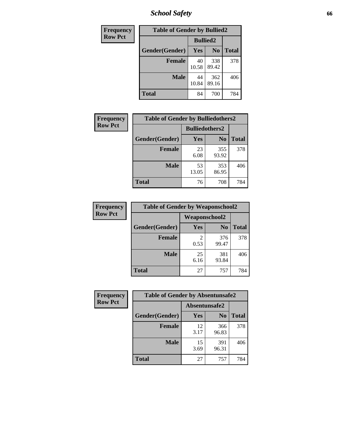*School Safety* **66**

| Frequency      | <b>Table of Gender by Bullied2</b> |                 |                |              |
|----------------|------------------------------------|-----------------|----------------|--------------|
| <b>Row Pct</b> |                                    | <b>Bullied2</b> |                |              |
|                | Gender(Gender)                     | <b>Yes</b>      | N <sub>0</sub> | <b>Total</b> |
|                | <b>Female</b>                      | 40<br>10.58     | 338<br>89.42   | 378          |
|                | <b>Male</b>                        | 44<br>10.84     | 362<br>89.16   | 406          |
|                | <b>Total</b>                       | 84              | 700            | 784          |

| Frequency      | <b>Table of Gender by Bulliedothers2</b> |                       |                |              |  |
|----------------|------------------------------------------|-----------------------|----------------|--------------|--|
| <b>Row Pct</b> |                                          | <b>Bulliedothers2</b> |                |              |  |
|                | Gender(Gender)                           | Yes                   | N <sub>0</sub> | <b>Total</b> |  |
|                | <b>Female</b>                            | 23<br>6.08            | 355<br>93.92   | 378          |  |
|                | <b>Male</b>                              | 53<br>13.05           | 353<br>86.95   | 406          |  |
|                | <b>Total</b>                             | 76                    | 708            | 784          |  |

| Frequency      | <b>Table of Gender by Weaponschool2</b> |               |                |              |
|----------------|-----------------------------------------|---------------|----------------|--------------|
| <b>Row Pct</b> |                                         | Weaponschool2 |                |              |
|                | Gender(Gender)                          | Yes           | N <sub>0</sub> | <b>Total</b> |
|                | <b>Female</b>                           | 0.53          | 376<br>99.47   | 378          |
|                | <b>Male</b>                             | 25<br>6.16    | 381<br>93.84   | 406          |
|                | <b>Total</b>                            | 27            | 757            | 784          |

| Frequency      | <b>Table of Gender by Absentunsafe2</b> |               |                |              |
|----------------|-----------------------------------------|---------------|----------------|--------------|
| <b>Row Pct</b> |                                         | Absentunsafe2 |                |              |
|                | Gender(Gender)                          | Yes           | N <sub>0</sub> | <b>Total</b> |
|                | <b>Female</b>                           | 12<br>3.17    | 366<br>96.83   | 378          |
|                | <b>Male</b>                             | 15<br>3.69    | 391<br>96.31   | 406          |
|                | <b>Total</b>                            | 27            | 757            | 784          |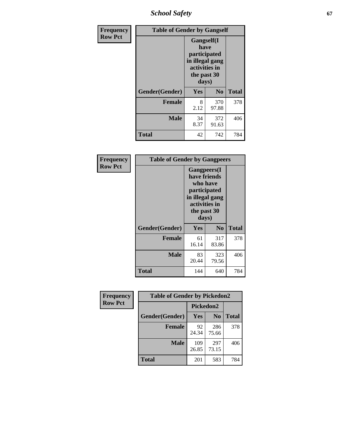*School Safety* **67**

| Frequency      | <b>Table of Gender by Gangself</b> |                                                                                                        |                |              |
|----------------|------------------------------------|--------------------------------------------------------------------------------------------------------|----------------|--------------|
| <b>Row Pct</b> |                                    | <b>Gangself</b> (I<br>have<br>participated<br>in illegal gang<br>activities in<br>the past 30<br>days) |                |              |
|                | Gender(Gender)                     | Yes                                                                                                    | N <sub>0</sub> | <b>Total</b> |
|                | <b>Female</b>                      | 8<br>2.12                                                                                              | 370<br>97.88   | 378          |
|                | <b>Male</b>                        | 34<br>8.37                                                                                             | 372<br>91.63   | 406          |
|                | <b>Total</b>                       | 42                                                                                                     | 742            | 784          |

| Frequency      | <b>Table of Gender by Gangpeers</b> |                                                                                                                             |                |              |
|----------------|-------------------------------------|-----------------------------------------------------------------------------------------------------------------------------|----------------|--------------|
| <b>Row Pct</b> |                                     | <b>Gangpeers</b> (I<br>have friends<br>who have<br>participated<br>in illegal gang<br>activities in<br>the past 30<br>days) |                |              |
|                | Gender(Gender)                      | Yes                                                                                                                         | N <sub>0</sub> | <b>Total</b> |
|                | <b>Female</b>                       | 61<br>16.14                                                                                                                 | 317<br>83.86   | 378          |
|                | <b>Male</b>                         | 83<br>20.44                                                                                                                 | 323<br>79.56   | 406          |
|                | <b>Total</b>                        | 144                                                                                                                         | 640            | 784          |

| Frequency      | <b>Table of Gender by Pickedon2</b> |              |                |              |
|----------------|-------------------------------------|--------------|----------------|--------------|
| <b>Row Pct</b> |                                     | Pickedon2    |                |              |
|                | Gender(Gender)                      | Yes          | N <sub>0</sub> | <b>Total</b> |
|                | <b>Female</b>                       | 92<br>24.34  | 286<br>75.66   | 378          |
|                | <b>Male</b>                         | 109<br>26.85 | 297<br>73.15   | 406          |
|                | <b>Total</b>                        | 201          | 583            | 784          |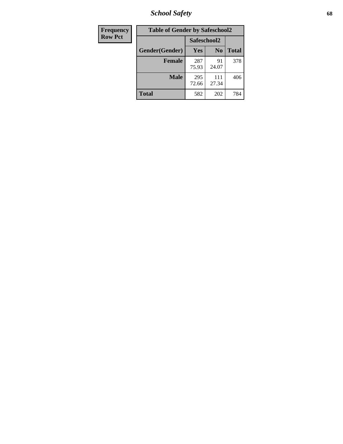*School Safety* **68**

| Frequency      | <b>Table of Gender by Safeschool2</b> |              |                |              |
|----------------|---------------------------------------|--------------|----------------|--------------|
| <b>Row Pct</b> |                                       | Safeschool2  |                |              |
|                | Gender(Gender)                        | Yes          | N <sub>0</sub> | <b>Total</b> |
|                | <b>Female</b>                         | 287<br>75.93 | 91<br>24.07    | 378          |
|                | <b>Male</b>                           | 295<br>72.66 | 111<br>27.34   | 406          |
|                | <b>Total</b>                          | 582          | 202            | 784          |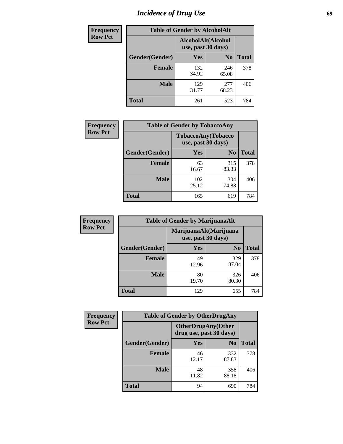# *Incidence of Drug Use* 69

| <b>Frequency</b> | <b>Table of Gender by AlcoholAlt</b> |                                          |                |              |  |
|------------------|--------------------------------------|------------------------------------------|----------------|--------------|--|
| <b>Row Pct</b>   |                                      | AlcoholAlt(Alcohol<br>use, past 30 days) |                |              |  |
|                  | Gender(Gender)                       | <b>Yes</b>                               | N <sub>0</sub> | <b>Total</b> |  |
|                  | <b>Female</b>                        | 132<br>34.92                             | 246<br>65.08   | 378          |  |
|                  | <b>Male</b>                          | 129<br>31.77                             | 277<br>68.23   | 406          |  |
|                  | <b>Total</b>                         | 261                                      | 523            | 784          |  |

| Frequency      | <b>Table of Gender by TobaccoAny</b> |                                          |                |              |  |
|----------------|--------------------------------------|------------------------------------------|----------------|--------------|--|
| <b>Row Pct</b> |                                      | TobaccoAny(Tobacco<br>use, past 30 days) |                |              |  |
|                | Gender(Gender)                       | Yes                                      | N <sub>0</sub> | <b>Total</b> |  |
|                | <b>Female</b>                        | 63<br>16.67                              | 315<br>83.33   | 378          |  |
|                | <b>Male</b>                          | 102<br>25.12                             | 304<br>74.88   | 406          |  |
|                | Total                                | 165                                      | 619            | 784          |  |

| <b>Frequency</b> | <b>Table of Gender by MarijuanaAlt</b> |                                              |                |              |
|------------------|----------------------------------------|----------------------------------------------|----------------|--------------|
| <b>Row Pct</b>   |                                        | MarijuanaAlt(Marijuana<br>use, past 30 days) |                |              |
|                  | Gender(Gender)                         | <b>Yes</b>                                   | N <sub>0</sub> | <b>Total</b> |
|                  | Female                                 | 49<br>12.96                                  | 329<br>87.04   | 378          |
|                  | <b>Male</b>                            | 80<br>19.70                                  | 326<br>80.30   | 406          |
|                  | <b>Total</b>                           | 129                                          | 655            | 784          |

| <b>Frequency</b> | <b>Table of Gender by OtherDrugAny</b> |                         |                            |              |
|------------------|----------------------------------------|-------------------------|----------------------------|--------------|
| <b>Row Pct</b>   |                                        | drug use, past 30 days) | <b>OtherDrugAny</b> (Other |              |
|                  | Gender(Gender)                         | <b>Yes</b>              | N <sub>0</sub>             | <b>Total</b> |
|                  | <b>Female</b>                          | 46<br>12.17             | 332<br>87.83               | 378          |
|                  | <b>Male</b>                            | 48<br>11.82             | 358<br>88.18               | 406          |
|                  | <b>Total</b>                           | 94                      | 690                        | 784          |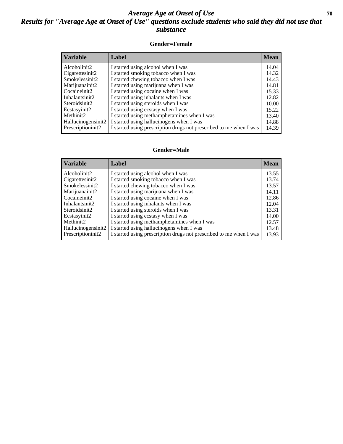## *Average Age at Onset of Use* 70 *Results for "Average Age at Onset of Use" questions exclude students who said they did not use that substance*

#### **Gender=Female**

| <b>Variable</b>    | Label                                                              | <b>Mean</b> |
|--------------------|--------------------------------------------------------------------|-------------|
| Alcoholinit2       | I started using alcohol when I was                                 | 14.04       |
| Cigarettesinit2    | I started smoking tobacco when I was                               | 14.32       |
| Smokelessinit2     | I started chewing tobacco when I was                               | 14.43       |
| Marijuanainit2     | I started using marijuana when I was                               | 14.81       |
| Cocaineinit2       | I started using cocaine when I was                                 | 15.33       |
| Inhalantsinit2     | I started using inhalants when I was                               | 12.82       |
| Steroidsinit2      | I started using steroids when I was                                | 10.00       |
| Ecstasyinit2       | I started using ecstasy when I was                                 | 15.22       |
| Methinit2          | I started using methamphetamines when I was                        | 13.40       |
| Hallucinogensinit2 | I started using hallucinogens when I was                           | 14.88       |
| Prescriptioninit2  | I started using prescription drugs not prescribed to me when I was | 14.39       |

#### **Gender=Male**

| <b>Variable</b>                   | Label                                                                             | <b>Mean</b>    |
|-----------------------------------|-----------------------------------------------------------------------------------|----------------|
| Alcoholinit2                      | I started using alcohol when I was                                                | 13.55<br>13.74 |
| Cigarettesinit2<br>Smokelessinit2 | I started smoking tobacco when I was<br>I started chewing tobacco when I was      | 13.57          |
| Marijuanainit2                    | I started using marijuana when I was                                              | 14.11          |
| Cocaineinit2<br>Inhalantsinit2    | I started using cocaine when I was<br>I started using inhalants when I was        | 12.86<br>12.04 |
| Steroidsinit2                     | I started using steroids when I was                                               | 13.31          |
| Ecstasyinit2<br>Methinit2         | I started using ecstasy when I was<br>I started using methamphetamines when I was | 14.00          |
| Hallucinogensinit2                | I started using hallucinogens when I was                                          | 12.57<br>13.48 |
| Prescription in it <sub>2</sub>   | I started using prescription drugs not prescribed to me when I was                | 13.93          |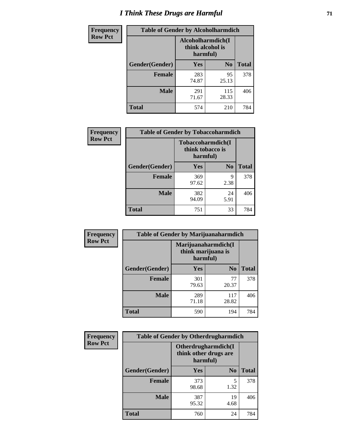# *I Think These Drugs are Harmful* **71**

| <b>Frequency</b> | <b>Table of Gender by Alcoholharmdich</b> |                                                   |                |              |
|------------------|-------------------------------------------|---------------------------------------------------|----------------|--------------|
| <b>Row Pct</b>   |                                           | Alcoholharmdich(I<br>think alcohol is<br>harmful) |                |              |
|                  | Gender(Gender)                            | <b>Yes</b>                                        | N <sub>0</sub> | <b>Total</b> |
|                  | <b>Female</b>                             | 283<br>74.87                                      | 95<br>25.13    | 378          |
|                  | <b>Male</b>                               | 291<br>71.67                                      | 115<br>28.33   | 406          |
|                  | <b>Total</b>                              | 574                                               | 210            | 784          |

| Frequency      | <b>Table of Gender by Tobaccoharmdich</b> |                              |                   |              |
|----------------|-------------------------------------------|------------------------------|-------------------|--------------|
| <b>Row Pct</b> |                                           | think tobacco is<br>harmful) | Tobaccoharmdich(I |              |
|                | Gender(Gender)                            | Yes                          | N <sub>0</sub>    | <b>Total</b> |
|                | <b>Female</b>                             | 369<br>97.62                 | 9<br>2.38         | 378          |
|                | <b>Male</b>                               | 382<br>94.09                 | 24<br>5.91        | 406          |
|                | Total                                     | 751                          | 33                | 784          |

| Frequency      | <b>Table of Gender by Marijuanaharmdich</b> |              |                                           |              |  |
|----------------|---------------------------------------------|--------------|-------------------------------------------|--------------|--|
| <b>Row Pct</b> |                                             | harmful)     | Marijuanaharmdich(I<br>think marijuana is |              |  |
|                | Gender(Gender)                              | <b>Yes</b>   | N <sub>0</sub>                            | <b>Total</b> |  |
|                | <b>Female</b>                               | 301<br>79.63 | 77<br>20.37                               | 378          |  |
|                | <b>Male</b>                                 | 289<br>71.18 | 117<br>28.82                              | 406          |  |
|                | <b>Total</b>                                | 590          | 194                                       | 784          |  |

| Frequency      | <b>Table of Gender by Otherdrugharmdich</b> |                                                          |                |              |
|----------------|---------------------------------------------|----------------------------------------------------------|----------------|--------------|
| <b>Row Pct</b> |                                             | Otherdrugharmdich(I<br>think other drugs are<br>harmful) |                |              |
|                | Gender(Gender)                              | <b>Yes</b>                                               | N <sub>0</sub> | <b>Total</b> |
|                | <b>Female</b>                               | 373<br>98.68                                             | 5<br>1.32      | 378          |
|                | <b>Male</b>                                 | 387<br>95.32                                             | 19<br>4.68     | 406          |
|                | <b>Total</b>                                | 760                                                      | 24             | 784          |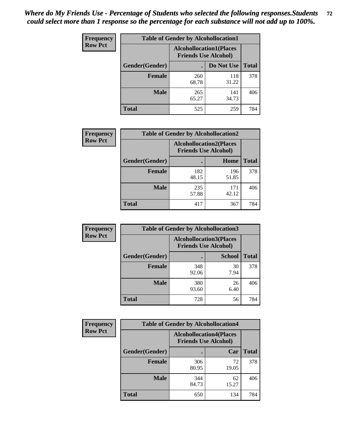| <b>Frequency</b> | <b>Table of Gender by Alcohollocation1</b> |                                                               |              |              |
|------------------|--------------------------------------------|---------------------------------------------------------------|--------------|--------------|
| <b>Row Pct</b>   |                                            | <b>Alcohollocation1(Places</b><br><b>Friends Use Alcohol)</b> |              |              |
|                  | Gender(Gender)                             |                                                               | Do Not Use   | <b>Total</b> |
|                  | <b>Female</b>                              | 260<br>68.78                                                  | 118<br>31.22 | 378          |
|                  | <b>Male</b>                                | 265<br>65.27                                                  | 141<br>34.73 | 406          |
|                  | <b>Total</b>                               | 525                                                           | 259          | 784          |

| <b>Frequency</b> | <b>Table of Gender by Alcohollocation2</b> |              |                                                               |              |
|------------------|--------------------------------------------|--------------|---------------------------------------------------------------|--------------|
| <b>Row Pct</b>   |                                            |              | <b>Alcohollocation2(Places</b><br><b>Friends Use Alcohol)</b> |              |
|                  | Gender(Gender)                             |              | Home                                                          | <b>Total</b> |
|                  | <b>Female</b>                              | 182<br>48.15 | 196<br>51.85                                                  | 378          |
|                  | <b>Male</b>                                | 235<br>57.88 | 171<br>42.12                                                  | 406          |
|                  | <b>Total</b>                               | 417          | 367                                                           | 784          |

| Frequency      | <b>Table of Gender by Alcohollocation3</b> |                                                               |               |              |
|----------------|--------------------------------------------|---------------------------------------------------------------|---------------|--------------|
| <b>Row Pct</b> |                                            | <b>Alcohollocation3(Places</b><br><b>Friends Use Alcohol)</b> |               |              |
|                | Gender(Gender)                             |                                                               | <b>School</b> | <b>Total</b> |
|                | <b>Female</b>                              | 348<br>92.06                                                  | 30<br>7.94    | 378          |
|                | <b>Male</b>                                | 380<br>93.60                                                  | 26<br>6.40    | 406          |
|                | <b>Total</b>                               | 728                                                           | 56            | 784          |

| Frequency      | <b>Table of Gender by Alcohollocation4</b> |                                                               |             |              |
|----------------|--------------------------------------------|---------------------------------------------------------------|-------------|--------------|
| <b>Row Pct</b> |                                            | <b>Alcohollocation4(Places</b><br><b>Friends Use Alcohol)</b> |             |              |
|                | Gender(Gender)                             |                                                               | Car         | <b>Total</b> |
|                | <b>Female</b>                              | 306<br>80.95                                                  | 72<br>19.05 | 378          |
|                | <b>Male</b>                                | 344<br>84.73                                                  | 62<br>15.27 | 406          |
|                | <b>Total</b>                               | 650                                                           | 134         | 784          |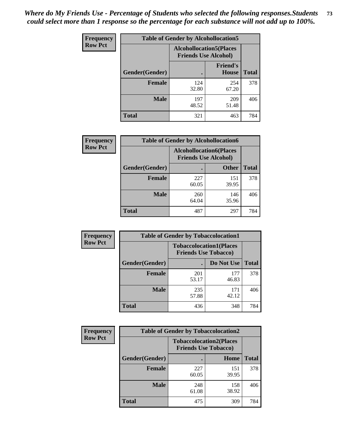| <b>Frequency</b> | <b>Table of Gender by Alcohollocation5</b> |                                                               |                                 |              |
|------------------|--------------------------------------------|---------------------------------------------------------------|---------------------------------|--------------|
| <b>Row Pct</b>   |                                            | <b>Alcohollocation5(Places</b><br><b>Friends Use Alcohol)</b> |                                 |              |
|                  | Gender(Gender)                             |                                                               | <b>Friend's</b><br><b>House</b> | <b>Total</b> |
|                  | <b>Female</b>                              | 124<br>32.80                                                  | 254<br>67.20                    | 378          |
|                  | <b>Male</b>                                | 197<br>48.52                                                  | 209<br>51.48                    | 406          |
|                  | <b>Total</b>                               | 321                                                           | 463                             | 784          |

| <b>Frequency</b> | <b>Table of Gender by Alcohollocation6</b> |                                                               |              |              |
|------------------|--------------------------------------------|---------------------------------------------------------------|--------------|--------------|
| <b>Row Pct</b>   |                                            | <b>Alcohollocation6(Places</b><br><b>Friends Use Alcohol)</b> |              |              |
|                  | Gender(Gender)                             |                                                               | <b>Other</b> | <b>Total</b> |
|                  | <b>Female</b>                              | 227<br>60.05                                                  | 151<br>39.95 | 378          |
|                  | <b>Male</b>                                | 260<br>64.04                                                  | 146<br>35.96 | 406          |
|                  | <b>Total</b>                               | 487                                                           | 297          | 784          |

| Frequency      | <b>Table of Gender by Tobaccolocation1</b> |                                                               |              |              |  |
|----------------|--------------------------------------------|---------------------------------------------------------------|--------------|--------------|--|
| <b>Row Pct</b> |                                            | <b>Tobaccolocation1(Places</b><br><b>Friends Use Tobacco)</b> |              |              |  |
|                | Gender(Gender)                             |                                                               | Do Not Use   | <b>Total</b> |  |
|                | <b>Female</b>                              | 201<br>53.17                                                  | 177<br>46.83 | 378          |  |
|                | <b>Male</b>                                | 235<br>57.88                                                  | 171<br>42.12 | 406          |  |
|                | <b>Total</b>                               | 436                                                           | 348          | 784          |  |

| Frequency      | <b>Table of Gender by Tobaccolocation2</b> |                                                               |              |              |
|----------------|--------------------------------------------|---------------------------------------------------------------|--------------|--------------|
| <b>Row Pct</b> |                                            | <b>Tobaccolocation2(Places</b><br><b>Friends Use Tobacco)</b> |              |              |
|                | Gender(Gender)                             |                                                               | Home         | <b>Total</b> |
|                | Female                                     | 227<br>60.05                                                  | 151<br>39.95 | 378          |
|                | <b>Male</b>                                | 248<br>61.08                                                  | 158<br>38.92 | 406          |
|                | <b>Total</b>                               | 475                                                           | 309          | 784          |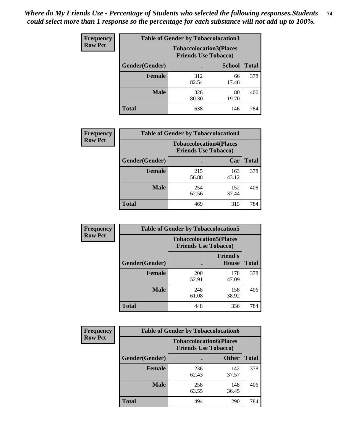| <b>Frequency</b> | <b>Table of Gender by Tobaccolocation3</b> |                                                               |               |              |  |
|------------------|--------------------------------------------|---------------------------------------------------------------|---------------|--------------|--|
| <b>Row Pct</b>   |                                            | <b>Tobaccolocation3(Places</b><br><b>Friends Use Tobacco)</b> |               |              |  |
|                  | Gender(Gender)                             |                                                               | <b>School</b> | <b>Total</b> |  |
|                  | <b>Female</b>                              | 312<br>82.54                                                  | 66<br>17.46   | 378          |  |
|                  | <b>Male</b>                                | 326<br>80.30                                                  | 80<br>19.70   | 406          |  |
|                  | <b>Total</b>                               | 638                                                           | 146           | 784          |  |

| <b>Frequency</b> |                | <b>Table of Gender by Tobaccolocation4</b> |                                                               |              |
|------------------|----------------|--------------------------------------------|---------------------------------------------------------------|--------------|
| <b>Row Pct</b>   |                |                                            | <b>Tobaccolocation4(Places</b><br><b>Friends Use Tobacco)</b> |              |
|                  | Gender(Gender) |                                            | Car                                                           | <b>Total</b> |
|                  | <b>Female</b>  | 215<br>56.88                               | 163<br>43.12                                                  | 378          |
|                  | <b>Male</b>    | 254<br>62.56                               | 152<br>37.44                                                  | 406          |
|                  | <b>Total</b>   | 469                                        | 315                                                           | 784          |

| <b>Frequency</b> | <b>Table of Gender by Tobaccolocation5</b> |                                                               |                          |              |  |
|------------------|--------------------------------------------|---------------------------------------------------------------|--------------------------|--------------|--|
| <b>Row Pct</b>   |                                            | <b>Tobaccolocation5(Places</b><br><b>Friends Use Tobacco)</b> |                          |              |  |
|                  | Gender(Gender)                             |                                                               | <b>Friend's</b><br>House | <b>Total</b> |  |
|                  | <b>Female</b>                              | 200<br>52.91                                                  | 178<br>47.09             | 378          |  |
|                  | <b>Male</b>                                | 248<br>61.08                                                  | 158<br>38.92             | 406          |  |
|                  | <b>Total</b>                               | 448                                                           | 336                      | 784          |  |

| <b>Frequency</b> | <b>Table of Gender by Tobaccolocation6</b> |                             |                                |              |
|------------------|--------------------------------------------|-----------------------------|--------------------------------|--------------|
| <b>Row Pct</b>   |                                            | <b>Friends Use Tobacco)</b> | <b>Tobaccolocation6(Places</b> |              |
|                  | Gender(Gender)                             |                             | <b>Other</b>                   | <b>Total</b> |
|                  | <b>Female</b>                              | 236<br>62.43                | 142<br>37.57                   | 378          |
|                  | <b>Male</b>                                | 258<br>63.55                | 148<br>36.45                   | 406          |
|                  | <b>Total</b>                               | 494                         | 290                            | 784          |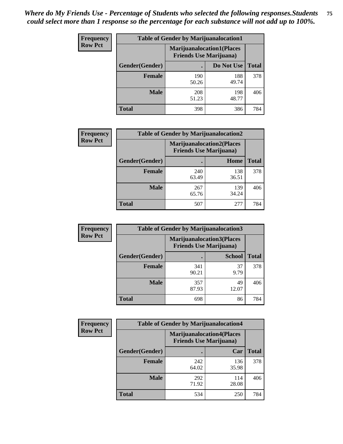| <b>Frequency</b> | <b>Table of Gender by Marijuanalocation1</b> |                                                                    |              |              |  |
|------------------|----------------------------------------------|--------------------------------------------------------------------|--------------|--------------|--|
| <b>Row Pct</b>   |                                              | <b>Marijuanalocation1(Places</b><br><b>Friends Use Marijuana</b> ) |              |              |  |
|                  | Gender(Gender)                               |                                                                    | Do Not Use   | <b>Total</b> |  |
|                  | <b>Female</b>                                | 190<br>50.26                                                       | 188<br>49.74 | 378          |  |
|                  | <b>Male</b>                                  | 208<br>51.23                                                       | 198<br>48.77 | 406          |  |
|                  | <b>Total</b>                                 | 398                                                                | 386          | 784          |  |

| <b>Frequency</b> | <b>Table of Gender by Marijuanalocation2</b> |                                                                    |              |              |
|------------------|----------------------------------------------|--------------------------------------------------------------------|--------------|--------------|
| <b>Row Pct</b>   |                                              | <b>Marijuanalocation2(Places</b><br><b>Friends Use Marijuana</b> ) |              |              |
|                  | Gender(Gender)                               |                                                                    | Home         | <b>Total</b> |
|                  | Female                                       | 240<br>63.49                                                       | 138<br>36.51 | 378          |
|                  | <b>Male</b>                                  | 267<br>65.76                                                       | 139<br>34.24 | 406          |
|                  | <b>Total</b>                                 | 507                                                                | 277          | 784          |

| Frequency      | <b>Table of Gender by Marijuanalocation3</b> |                                                                    |               |              |
|----------------|----------------------------------------------|--------------------------------------------------------------------|---------------|--------------|
| <b>Row Pct</b> |                                              | <b>Marijuanalocation3(Places</b><br><b>Friends Use Marijuana</b> ) |               |              |
|                | Gender(Gender)                               |                                                                    | <b>School</b> | <b>Total</b> |
|                | Female                                       | 341<br>90.21                                                       | 37<br>9.79    | 378          |
|                | <b>Male</b>                                  | 357<br>87.93                                                       | 49<br>12.07   | 406          |
|                | <b>Total</b>                                 | 698                                                                | 86            | 784          |

| Frequency      | <b>Table of Gender by Marijuanalocation4</b> |                                                                    |              |              |  |
|----------------|----------------------------------------------|--------------------------------------------------------------------|--------------|--------------|--|
| <b>Row Pct</b> |                                              | <b>Marijuanalocation4(Places</b><br><b>Friends Use Marijuana</b> ) |              |              |  |
|                | Gender(Gender)                               |                                                                    | Car          | <b>Total</b> |  |
|                | <b>Female</b>                                | 242<br>64.02                                                       | 136<br>35.98 | 378          |  |
|                | <b>Male</b>                                  | 292<br>71.92                                                       | 114<br>28.08 | 406          |  |
|                | <b>Total</b>                                 | 534                                                                | 250          | 784          |  |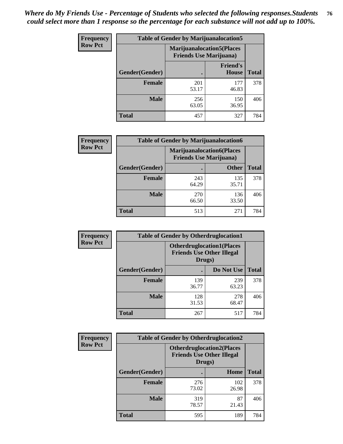| <b>Frequency</b> | <b>Table of Gender by Marijuanalocation5</b> |                                                                    |                          |              |
|------------------|----------------------------------------------|--------------------------------------------------------------------|--------------------------|--------------|
| <b>Row Pct</b>   |                                              | <b>Marijuanalocation5(Places</b><br><b>Friends Use Marijuana</b> ) |                          |              |
|                  | <b>Gender</b> (Gender)                       |                                                                    | <b>Friend's</b><br>House | <b>Total</b> |
|                  | <b>Female</b>                                | 201<br>53.17                                                       | 177<br>46.83             | 378          |
|                  | <b>Male</b>                                  | 256<br>63.05                                                       | 150<br>36.95             | 406          |
|                  | <b>Total</b>                                 | 457                                                                | 327                      | 784          |

| <b>Frequency</b> | <b>Table of Gender by Marijuanalocation6</b> |                                |                                  |              |
|------------------|----------------------------------------------|--------------------------------|----------------------------------|--------------|
| <b>Row Pct</b>   |                                              | <b>Friends Use Marijuana</b> ) | <b>Marijuanalocation6(Places</b> |              |
|                  | <b>Gender</b> (Gender)                       |                                | <b>Other</b>                     | <b>Total</b> |
|                  | Female                                       | 243<br>64.29                   | 135<br>35.71                     | 378          |
|                  | <b>Male</b>                                  | 270<br>66.50                   | 136<br>33.50                     | 406          |
|                  | Total                                        | 513                            | 271                              | 784          |

| <b>Frequency</b> | <b>Table of Gender by Otherdruglocation1</b> |                                                                                |              |              |
|------------------|----------------------------------------------|--------------------------------------------------------------------------------|--------------|--------------|
| <b>Row Pct</b>   |                                              | <b>Otherdruglocation1(Places</b><br><b>Friends Use Other Illegal</b><br>Drugs) |              |              |
|                  | Gender(Gender)                               |                                                                                | Do Not Use   | <b>Total</b> |
|                  | <b>Female</b>                                | 139<br>36.77                                                                   | 239<br>63.23 | 378          |
|                  | <b>Male</b>                                  | 128<br>31.53                                                                   | 278<br>68.47 | 406          |
|                  | <b>Total</b>                                 | 267                                                                            | 517          | 784          |

| <b>Frequency</b> | <b>Table of Gender by Otherdruglocation2</b> |                                            |                                   |              |
|------------------|----------------------------------------------|--------------------------------------------|-----------------------------------|--------------|
| <b>Row Pct</b>   |                                              | <b>Friends Use Other Illegal</b><br>Drugs) | <b>Otherdruglocation2(Places)</b> |              |
|                  | Gender(Gender)                               |                                            | <b>Home</b>                       | <b>Total</b> |
|                  | <b>Female</b>                                | 276<br>73.02                               | 102<br>26.98                      | 378          |
|                  | <b>Male</b>                                  | 319<br>78.57                               | 87<br>21.43                       | 406          |
|                  | <b>Total</b>                                 | 595                                        | 189                               | 784          |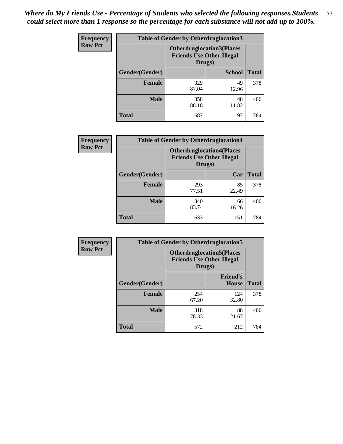| Frequency      | <b>Table of Gender by Otherdruglocation3</b> |                                                                                |               |              |
|----------------|----------------------------------------------|--------------------------------------------------------------------------------|---------------|--------------|
| <b>Row Pct</b> |                                              | <b>Otherdruglocation3(Places</b><br><b>Friends Use Other Illegal</b><br>Drugs) |               |              |
|                | Gender(Gender)                               |                                                                                | <b>School</b> | <b>Total</b> |
|                | Female                                       | 329<br>87.04                                                                   | 49<br>12.96   | 378          |
|                | <b>Male</b>                                  | 358<br>88.18                                                                   | 48<br>11.82   | 406          |
|                | <b>Total</b>                                 | 687                                                                            | 97            | 784          |

| <b>Frequency</b> | <b>Table of Gender by Otherdruglocation4</b> |                                                                                |             |              |
|------------------|----------------------------------------------|--------------------------------------------------------------------------------|-------------|--------------|
| <b>Row Pct</b>   |                                              | <b>Otherdruglocation4(Places</b><br><b>Friends Use Other Illegal</b><br>Drugs) |             |              |
|                  | Gender(Gender)                               |                                                                                | Car         | <b>Total</b> |
|                  | <b>Female</b>                                | 293<br>77.51                                                                   | 85<br>22.49 | 378          |
|                  | <b>Male</b>                                  | 340<br>83.74                                                                   | 66<br>16.26 | 406          |
|                  | <b>Total</b>                                 | 633                                                                            | 151         | 784          |

| Frequency      | <b>Table of Gender by Otherdruglocation5</b>                                   |              |                                 |              |
|----------------|--------------------------------------------------------------------------------|--------------|---------------------------------|--------------|
| <b>Row Pct</b> | <b>Otherdruglocation5(Places</b><br><b>Friends Use Other Illegal</b><br>Drugs) |              |                                 |              |
|                | Gender(Gender)                                                                 |              | <b>Friend's</b><br><b>House</b> | <b>Total</b> |
|                | <b>Female</b>                                                                  | 254<br>67.20 | 124<br>32.80                    | 378          |
|                | <b>Male</b>                                                                    | 318<br>78.33 | 88<br>21.67                     | 406          |
|                | <b>Total</b>                                                                   | 572          | 212                             | 784          |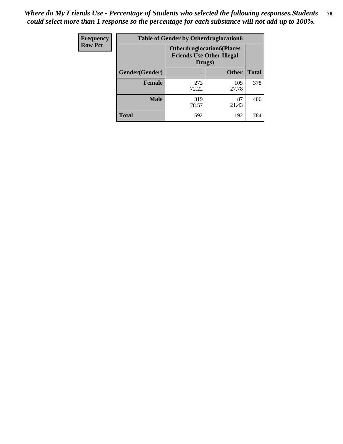| Frequency      | <b>Table of Gender by Otherdruglocation6</b> |                                            |                                  |              |
|----------------|----------------------------------------------|--------------------------------------------|----------------------------------|--------------|
| <b>Row Pct</b> |                                              | <b>Friends Use Other Illegal</b><br>Drugs) | <b>Otherdruglocation6(Places</b> |              |
|                | Gender(Gender)                               |                                            | <b>Other</b>                     | <b>Total</b> |
|                | <b>Female</b>                                | 273<br>72.22                               | 105<br>27.78                     | 378          |
|                | <b>Male</b>                                  | 319<br>78.57                               | 87<br>21.43                      | 406          |
|                | <b>Total</b>                                 | 592                                        | 192                              | 784          |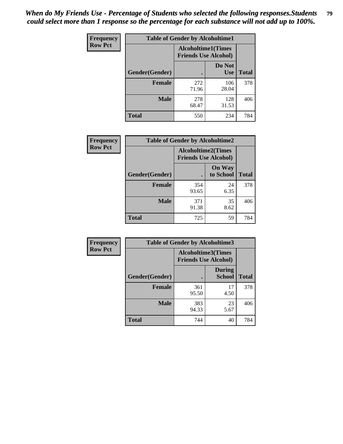| <b>Frequency</b> | <b>Table of Gender by Alcoholtime1</b> |                                                          |                      |              |
|------------------|----------------------------------------|----------------------------------------------------------|----------------------|--------------|
| <b>Row Pct</b>   |                                        | <b>Alcoholtime1(Times</b><br><b>Friends Use Alcohol)</b> |                      |              |
|                  | Gender(Gender)                         | ٠                                                        | Do Not<br><b>Use</b> | <b>Total</b> |
|                  | <b>Female</b>                          | 272<br>71.96                                             | 106<br>28.04         | 378          |
|                  | <b>Male</b>                            | 278<br>68.47                                             | 128<br>31.53         | 406          |
|                  | <b>Total</b>                           | 550                                                      | 234                  | 784          |

| <b>Frequency</b> |                | <b>Table of Gender by Alcoholtime2</b>                   |                            |              |  |
|------------------|----------------|----------------------------------------------------------|----------------------------|--------------|--|
| <b>Row Pct</b>   |                | <b>Alcoholtime2(Times</b><br><b>Friends Use Alcohol)</b> |                            |              |  |
|                  | Gender(Gender) |                                                          | <b>On Way</b><br>to School | <b>Total</b> |  |
|                  | <b>Female</b>  | 354<br>93.65                                             | 24<br>6.35                 | 378          |  |
|                  | <b>Male</b>    | 371<br>91.38                                             | 35<br>8.62                 | 406          |  |
|                  | <b>Total</b>   | 725                                                      | 59                         | 784          |  |

| <b>Frequency</b> | <b>Table of Gender by Alcoholtime3</b> |                                                   |                                |              |
|------------------|----------------------------------------|---------------------------------------------------|--------------------------------|--------------|
| <b>Row Pct</b>   |                                        | Alcoholtime3(Times<br><b>Friends Use Alcohol)</b> |                                |              |
|                  | Gender(Gender)                         |                                                   | <b>During</b><br><b>School</b> | <b>Total</b> |
|                  | Female                                 | 361<br>95.50                                      | 17<br>4.50                     | 378          |
|                  | <b>Male</b>                            | 383<br>94.33                                      | 23<br>5.67                     | 406          |
|                  | <b>Total</b>                           | 744                                               | 40                             | 784          |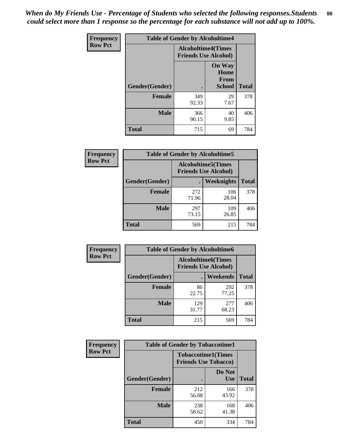*When do My Friends Use - Percentage of Students who selected the following responses.Students could select more than 1 response so the percentage for each substance will not add up to 100%.* **80**

| <b>Frequency</b> | <b>Table of Gender by Alcoholtime4</b> |                                                          |                                                |              |
|------------------|----------------------------------------|----------------------------------------------------------|------------------------------------------------|--------------|
| <b>Row Pct</b>   |                                        | <b>Alcoholtime4(Times</b><br><b>Friends Use Alcohol)</b> |                                                |              |
|                  | Gender(Gender)                         |                                                          | <b>On Way</b><br>Home<br>From<br><b>School</b> | <b>Total</b> |
|                  | <b>Female</b>                          | 349<br>92.33                                             | 29<br>7.67                                     | 378          |
|                  | <b>Male</b>                            | 366<br>90.15                                             | 40<br>9.85                                     | 406          |
|                  | <b>Total</b>                           | 715                                                      | 69                                             | 784          |

| <b>Frequency</b> | <b>Table of Gender by Alcoholtime5</b> |                                                           |                   |              |
|------------------|----------------------------------------|-----------------------------------------------------------|-------------------|--------------|
| <b>Row Pct</b>   |                                        | <b>Alcoholtime5</b> (Times<br><b>Friends Use Alcohol)</b> |                   |              |
|                  | Gender(Gender)                         |                                                           | <b>Weeknights</b> | <b>Total</b> |
|                  | <b>Female</b>                          | 272<br>71.96                                              | 106<br>28.04      | 378          |
|                  | <b>Male</b>                            | 297<br>73.15                                              | 109<br>26.85      | 406          |
|                  | <b>Total</b>                           | 569                                                       | 215               | 784          |

| <b>Frequency</b> | <b>Table of Gender by Alcoholtime6</b> |                                                           |              |              |
|------------------|----------------------------------------|-----------------------------------------------------------|--------------|--------------|
| <b>Row Pct</b>   |                                        | <b>Alcoholtime6</b> (Times<br><b>Friends Use Alcohol)</b> |              |              |
|                  | Gender(Gender)                         |                                                           | Weekends     | <b>Total</b> |
|                  | <b>Female</b>                          | 86<br>22.75                                               | 292<br>77.25 | 378          |
|                  | <b>Male</b>                            | 129<br>31.77                                              | 277<br>68.23 | 406          |
|                  | <b>Total</b>                           | 215                                                       | 569          | 784          |

| Frequency      | <b>Table of Gender by Tobaccotime1</b> |                                                          |                      |              |
|----------------|----------------------------------------|----------------------------------------------------------|----------------------|--------------|
| <b>Row Pct</b> |                                        | <b>Tobaccotime1(Times</b><br><b>Friends Use Tobacco)</b> |                      |              |
|                | Gender(Gender)                         |                                                          | Do Not<br><b>Use</b> | <b>Total</b> |
|                | Female                                 | 212<br>56.08                                             | 166<br>43.92         | 378          |
|                | <b>Male</b>                            | 238<br>58.62                                             | 168<br>41.38         | 406          |
|                | <b>Total</b>                           | 450                                                      | 334                  | 784          |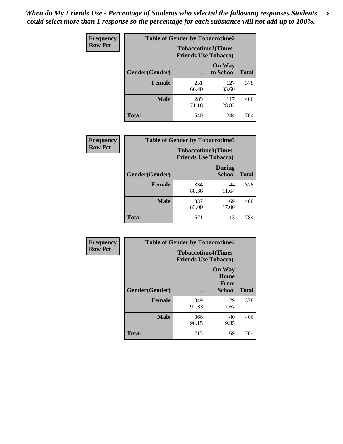*When do My Friends Use - Percentage of Students who selected the following responses.Students could select more than 1 response so the percentage for each substance will not add up to 100%.* **81**

| Frequency      | <b>Table of Gender by Tobaccotime2</b> |                                                          |                            |              |
|----------------|----------------------------------------|----------------------------------------------------------|----------------------------|--------------|
| <b>Row Pct</b> |                                        | <b>Tobaccotime2(Times</b><br><b>Friends Use Tobacco)</b> |                            |              |
|                | Gender(Gender)                         | $\bullet$                                                | <b>On Way</b><br>to School | <b>Total</b> |
|                | <b>Female</b>                          | 251<br>66.40                                             | 127<br>33.60               | 378          |
|                | <b>Male</b>                            | 289<br>71.18                                             | 117<br>28.82               | 406          |
|                | <b>Total</b>                           | 540                                                      | 244                        | 784          |

| Frequency      | <b>Table of Gender by Tobaccotime3</b> |                             |                                |              |
|----------------|----------------------------------------|-----------------------------|--------------------------------|--------------|
| <b>Row Pct</b> |                                        | <b>Friends Use Tobacco)</b> | <b>Tobaccotime3(Times</b>      |              |
|                | Gender(Gender)                         |                             | <b>During</b><br><b>School</b> | <b>Total</b> |
|                | <b>Female</b>                          | 334<br>88.36                | 44<br>11.64                    | 378          |
|                | <b>Male</b>                            | 337<br>83.00                | 69<br>17.00                    | 406          |
|                | <b>Total</b>                           | 671                         | 113                            | 784          |

| Frequency      | <b>Table of Gender by Tobaccotime4</b> |                                                          |                                                |              |
|----------------|----------------------------------------|----------------------------------------------------------|------------------------------------------------|--------------|
| <b>Row Pct</b> |                                        | <b>Tobaccotime4(Times</b><br><b>Friends Use Tobacco)</b> |                                                |              |
|                | Gender(Gender)                         |                                                          | <b>On Way</b><br>Home<br>From<br><b>School</b> | <b>Total</b> |
|                | <b>Female</b>                          | 349<br>92.33                                             | 29<br>7.67                                     | 378          |
|                | <b>Male</b>                            | 366<br>90.15                                             | 40<br>9.85                                     | 406          |
|                | <b>Total</b>                           | 715                                                      | 69                                             | 784          |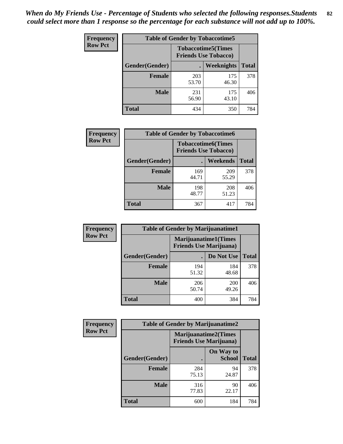| <b>Frequency</b> | <b>Table of Gender by Tobaccotime5</b> |                                                          |                   |              |  |
|------------------|----------------------------------------|----------------------------------------------------------|-------------------|--------------|--|
| <b>Row Pct</b>   |                                        | <b>Tobaccotime5(Times</b><br><b>Friends Use Tobacco)</b> |                   |              |  |
|                  | Gender(Gender)                         |                                                          | <b>Weeknights</b> | <b>Total</b> |  |
|                  | <b>Female</b>                          | 203<br>53.70                                             | 175<br>46.30      | 378          |  |
|                  | <b>Male</b>                            | 231<br>56.90                                             | 175<br>43.10      | 406          |  |
|                  | <b>Total</b>                           | 434                                                      | 350               | 784          |  |

| Frequency      |                | <b>Table of Gender by Tobaccotime6</b> |                           |              |
|----------------|----------------|----------------------------------------|---------------------------|--------------|
| <b>Row Pct</b> |                | <b>Friends Use Tobacco)</b>            | <b>Tobaccotime6(Times</b> |              |
|                | Gender(Gender) |                                        | <b>Weekends</b>           | <b>Total</b> |
|                | Female         | 169<br>44.71                           | 209<br>55.29              | 378          |
|                | <b>Male</b>    | 198<br>48.77                           | 208<br>51.23              | 406          |
|                | <b>Total</b>   | 367                                    | 417                       | 784          |

| <b>Frequency</b> | <b>Table of Gender by Marijuanatime1</b>                      |              |                     |              |
|------------------|---------------------------------------------------------------|--------------|---------------------|--------------|
| <b>Row Pct</b>   | <b>Marijuanatime1(Times</b><br><b>Friends Use Marijuana</b> ) |              |                     |              |
|                  | Gender(Gender)                                                |              | Do Not Use          | <b>Total</b> |
|                  | <b>Female</b>                                                 | 194<br>51.32 | 184<br>48.68        | 378          |
|                  | <b>Male</b>                                                   | 206<br>50.74 | <b>200</b><br>49.26 | 406          |
|                  | <b>Total</b>                                                  | 400          | 384                 | 784          |

| <b>Frequency</b> | <b>Table of Gender by Marijuanatime2</b>                      |              |                            |              |
|------------------|---------------------------------------------------------------|--------------|----------------------------|--------------|
| <b>Row Pct</b>   | <b>Marijuanatime2(Times</b><br><b>Friends Use Marijuana</b> ) |              |                            |              |
|                  | Gender(Gender)                                                |              | On Way to<br><b>School</b> | <b>Total</b> |
|                  | Female                                                        | 284<br>75.13 | 94<br>24.87                | 378          |
|                  | <b>Male</b>                                                   | 316<br>77.83 | 90<br>22.17                | 406          |
|                  | <b>Total</b>                                                  | 600          | 184                        | 784          |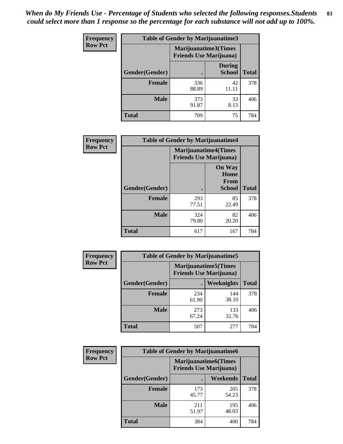*When do My Friends Use - Percentage of Students who selected the following responses.Students could select more than 1 response so the percentage for each substance will not add up to 100%.* **83**

| <b>Frequency</b> | Table of Gender by Marijuanatime3 |                                                        |                                |              |
|------------------|-----------------------------------|--------------------------------------------------------|--------------------------------|--------------|
| <b>Row Pct</b>   |                                   | Marijuanatime3(Times<br><b>Friends Use Marijuana</b> ) |                                |              |
|                  | Gender(Gender)                    |                                                        | <b>During</b><br><b>School</b> | <b>Total</b> |
|                  | <b>Female</b>                     | 336<br>88.89                                           | 42<br>11.11                    | 378          |
|                  | <b>Male</b>                       | 373<br>91.87                                           | 33<br>8.13                     | 406          |
|                  | <b>Total</b>                      | 709                                                    | 75                             | 784          |

| Frequency      | <b>Table of Gender by Marijuanatime4</b> |                             |                                                       |              |
|----------------|------------------------------------------|-----------------------------|-------------------------------------------------------|--------------|
| <b>Row Pct</b> |                                          | <b>Marijuanatime4(Times</b> | <b>Friends Use Marijuana</b> )                        |              |
|                | <b>Gender</b> (Gender)                   |                             | <b>On Way</b><br>Home<br><b>From</b><br><b>School</b> | <b>Total</b> |
|                | <b>Female</b>                            | 293<br>77.51                | 85<br>22.49                                           | 378          |
|                | <b>Male</b>                              | 324<br>79.80                | 82<br>20.20                                           | 406          |
|                | <b>Total</b>                             | 617                         | 167                                                   | 784          |

| <b>Frequency</b> | <b>Table of Gender by Marijuanatime5</b> |                                                                |              |              |
|------------------|------------------------------------------|----------------------------------------------------------------|--------------|--------------|
| <b>Row Pct</b>   |                                          | <b>Marijuanatime5</b> (Times<br><b>Friends Use Marijuana</b> ) |              |              |
|                  | Gender(Gender)                           |                                                                | Weeknights   | <b>Total</b> |
|                  | <b>Female</b>                            | 234<br>61.90                                                   | 144<br>38.10 | 378          |
|                  | <b>Male</b>                              | 273<br>67.24                                                   | 133<br>32.76 | 406          |
|                  | <b>Total</b>                             | 507                                                            | 277          | 784          |

| <b>Frequency</b> | <b>Table of Gender by Marijuanatime6</b> |                                                               |              |              |  |
|------------------|------------------------------------------|---------------------------------------------------------------|--------------|--------------|--|
| <b>Row Pct</b>   |                                          | <b>Marijuanatime6(Times</b><br><b>Friends Use Marijuana</b> ) |              |              |  |
|                  | Gender(Gender)                           |                                                               | Weekends     | <b>Total</b> |  |
|                  | <b>Female</b>                            | 173<br>45.77                                                  | 205<br>54.23 | 378          |  |
|                  | <b>Male</b>                              | 211<br>51.97                                                  | 195<br>48.03 | 406          |  |
|                  | <b>Total</b>                             | 384                                                           | 400          | 784          |  |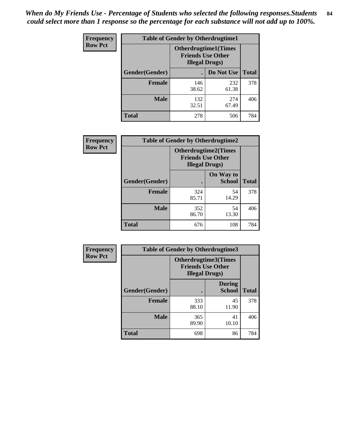*When do My Friends Use - Percentage of Students who selected the following responses.Students could select more than 1 response so the percentage for each substance will not add up to 100%.* **84**

| <b>Frequency</b> | <b>Table of Gender by Otherdrugtime1</b> |                                                                                   |              |              |  |
|------------------|------------------------------------------|-----------------------------------------------------------------------------------|--------------|--------------|--|
| <b>Row Pct</b>   |                                          | <b>Otherdrugtime1(Times</b><br><b>Friends Use Other</b><br><b>Illegal Drugs</b> ) |              |              |  |
|                  | Gender(Gender)                           |                                                                                   | Do Not Use   | <b>Total</b> |  |
|                  | <b>Female</b>                            | 146<br>38.62                                                                      | 232<br>61.38 | 378          |  |
|                  | <b>Male</b>                              | 132<br>32.51                                                                      | 274<br>67.49 | 406          |  |
|                  | <b>Total</b>                             | 278                                                                               | 506          | 784          |  |

| Frequency      | <b>Table of Gender by Otherdrugtime2</b>                                          |              |                            |              |  |
|----------------|-----------------------------------------------------------------------------------|--------------|----------------------------|--------------|--|
| <b>Row Pct</b> | <b>Otherdrugtime2(Times</b><br><b>Friends Use Other</b><br><b>Illegal Drugs</b> ) |              |                            |              |  |
|                | Gender(Gender)                                                                    |              | On Way to<br><b>School</b> | <b>Total</b> |  |
|                | <b>Female</b>                                                                     | 324<br>85.71 | 54<br>14.29                | 378          |  |
|                | <b>Male</b>                                                                       | 352<br>86.70 | 54<br>13.30                | 406          |  |
|                | <b>Total</b>                                                                      | 676          | 108                        | 784          |  |

| <b>Frequency</b> | <b>Table of Gender by Otherdrugtime3</b> |                        |                                                         |              |  |
|------------------|------------------------------------------|------------------------|---------------------------------------------------------|--------------|--|
| <b>Row Pct</b>   |                                          | <b>Illegal Drugs</b> ) | <b>Otherdrugtime3(Times</b><br><b>Friends Use Other</b> |              |  |
|                  | Gender(Gender)                           |                        | <b>During</b><br><b>School</b>                          | <b>Total</b> |  |
|                  | <b>Female</b>                            | 333<br>88.10           | 45<br>11.90                                             | 378          |  |
|                  | <b>Male</b>                              | 365<br>89.90           | 41<br>10.10                                             | 406          |  |
|                  | <b>Total</b>                             | 698                    | 86                                                      | 784          |  |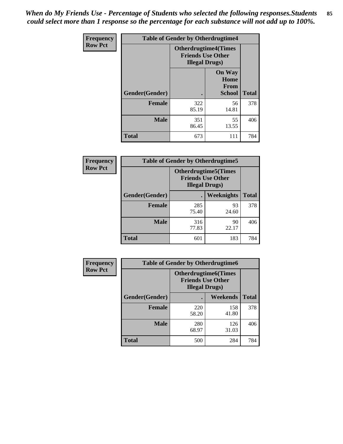*When do My Friends Use - Percentage of Students who selected the following responses.Students could select more than 1 response so the percentage for each substance will not add up to 100%.* **85**

| Frequency      |                | <b>Table of Gender by Otherdrugtime4</b>           |                                                       |              |
|----------------|----------------|----------------------------------------------------|-------------------------------------------------------|--------------|
| <b>Row Pct</b> |                | <b>Friends Use Other</b><br><b>Illegal Drugs</b> ) | <b>Otherdrugtime4(Times</b>                           |              |
|                | Gender(Gender) |                                                    | <b>On Way</b><br>Home<br><b>From</b><br><b>School</b> | <b>Total</b> |
|                | <b>Female</b>  | 322<br>85.19                                       | 56<br>14.81                                           | 378          |
|                | <b>Male</b>    | 351<br>86.45                                       | 55<br>13.55                                           | 406          |
|                | <b>Total</b>   | 673                                                | 111                                                   | 784          |

| <b>Frequency</b> | <b>Table of Gender by Otherdrugtime5</b> |              |                                                                                    |              |  |
|------------------|------------------------------------------|--------------|------------------------------------------------------------------------------------|--------------|--|
| <b>Row Pct</b>   |                                          |              | <b>Otherdrugtime5</b> (Times<br><b>Friends Use Other</b><br><b>Illegal Drugs</b> ) |              |  |
|                  | Gender(Gender)                           |              | <b>Weeknights</b>                                                                  | <b>Total</b> |  |
|                  | <b>Female</b>                            | 285<br>75.40 | 93<br>24.60                                                                        | 378          |  |
|                  | <b>Male</b>                              | 316<br>77.83 | 90<br>22.17                                                                        | 406          |  |
|                  | <b>Total</b>                             | 601          | 183                                                                                | 784          |  |

| <b>Frequency</b> | <b>Table of Gender by Otherdrugtime6</b> |                                                                                   |              |              |  |
|------------------|------------------------------------------|-----------------------------------------------------------------------------------|--------------|--------------|--|
| <b>Row Pct</b>   |                                          | <b>Otherdrugtime6(Times</b><br><b>Friends Use Other</b><br><b>Illegal Drugs</b> ) |              |              |  |
|                  | Gender(Gender)                           |                                                                                   | Weekends     | <b>Total</b> |  |
|                  | <b>Female</b>                            | 220<br>58.20                                                                      | 158<br>41.80 | 378          |  |
|                  | <b>Male</b>                              | 280<br>68.97                                                                      | 126<br>31.03 | 406          |  |
|                  | <b>Total</b>                             | 500                                                                               | 284          | 784          |  |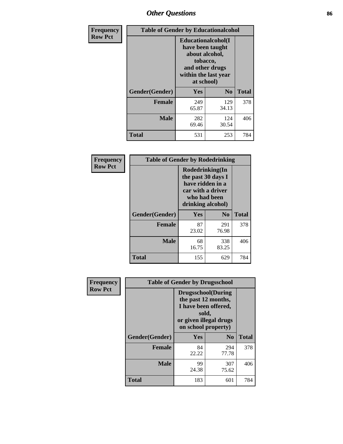# *Other Questions* **86**

| <b>Frequency</b> | <b>Table of Gender by Educationalcohol</b> |                                                                                                                                       |                |              |
|------------------|--------------------------------------------|---------------------------------------------------------------------------------------------------------------------------------------|----------------|--------------|
| <b>Row Pct</b>   |                                            | <b>Educationalcohol</b> (I<br>have been taught<br>about alcohol,<br>tobacco,<br>and other drugs<br>within the last year<br>at school) |                |              |
|                  | Gender(Gender)                             | <b>Yes</b>                                                                                                                            | N <sub>0</sub> | <b>Total</b> |
|                  | <b>Female</b>                              | 249<br>65.87                                                                                                                          | 129<br>34.13   | 378          |
|                  | <b>Male</b>                                | 282<br>69.46                                                                                                                          | 124<br>30.54   | 406          |
|                  | <b>Total</b>                               | 531                                                                                                                                   | 253            | 784          |

| Frequency      | <b>Table of Gender by Rodedrinking</b> |                                                                                                                     |                |              |
|----------------|----------------------------------------|---------------------------------------------------------------------------------------------------------------------|----------------|--------------|
| <b>Row Pct</b> |                                        | Rodedrinking(In<br>the past 30 days I<br>have ridden in a<br>car with a driver<br>who had been<br>drinking alcohol) |                |              |
|                | Gender(Gender)                         | Yes                                                                                                                 | N <sub>0</sub> | <b>Total</b> |
|                | <b>Female</b>                          | 87<br>23.02                                                                                                         | 291<br>76.98   | 378          |
|                | <b>Male</b>                            | 68<br>16.75                                                                                                         | 338<br>83.25   | 406          |
|                | <b>Total</b>                           | 155                                                                                                                 | 629            | 784          |

| Frequency      |                | <b>Table of Gender by Drugsschool</b>                                                                                               |                |              |  |
|----------------|----------------|-------------------------------------------------------------------------------------------------------------------------------------|----------------|--------------|--|
| <b>Row Pct</b> |                | <b>Drugsschool</b> (During<br>the past 12 months,<br>I have been offered,<br>sold,<br>or given illegal drugs<br>on school property) |                |              |  |
|                | Gender(Gender) | Yes                                                                                                                                 | N <sub>0</sub> | <b>Total</b> |  |
|                | <b>Female</b>  | 84<br>22.22                                                                                                                         | 294<br>77.78   | 378          |  |
|                | <b>Male</b>    | 99<br>24.38                                                                                                                         | 307<br>75.62   | 406          |  |
|                | <b>Total</b>   | 183                                                                                                                                 | 601            | 784          |  |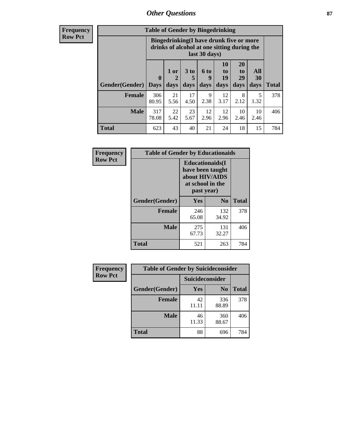### *Other Questions* **87**

**Frequency Row Pct**

| <b>Table of Gender by Bingedrinking</b> |                                                                                                         |                   |                   |                   |                        |                               |                          |              |
|-----------------------------------------|---------------------------------------------------------------------------------------------------------|-------------------|-------------------|-------------------|------------------------|-------------------------------|--------------------------|--------------|
|                                         | Bingedrinking(I have drunk five or more<br>drinks of alcohol at one sitting during the<br>last 30 days) |                   |                   |                   |                        |                               |                          |              |
| <b>Gender</b> (Gender)   Days           | $\mathbf 0$                                                                                             | 1 or<br>2<br>days | 3 to<br>5<br>days | 6 to<br>9<br>days | 10<br>to<br>19<br>days | <b>20</b><br>to<br>29<br>days | All<br><b>30</b><br>days | <b>Total</b> |
|                                         |                                                                                                         |                   |                   |                   |                        |                               |                          |              |
| <b>Female</b>                           | 306<br>80.95                                                                                            | 21<br>5.56        | 17<br>4.50        | 9<br>2.38         | 12<br>3.17             | 8<br>2.12                     | 5<br>1.32                | 378          |
| <b>Male</b>                             | 317<br>78.08                                                                                            | 22<br>5.42        | 23<br>5.67        | 12<br>2.96        | 12<br>2.96             | 10<br>2.46                    | 10<br>2.46               | 406          |

| Frequency      | <b>Table of Gender by Educationaids</b> |                                                                                                 |              |              |
|----------------|-----------------------------------------|-------------------------------------------------------------------------------------------------|--------------|--------------|
| <b>Row Pct</b> |                                         | <b>Educationaids</b> (I<br>have been taught<br>about HIV/AIDS<br>at school in the<br>past year) |              |              |
|                | Gender(Gender)                          | Yes                                                                                             | $\bf N_0$    | <b>Total</b> |
|                | <b>Female</b>                           | 246<br>65.08                                                                                    | 132<br>34.92 | 378          |
|                | <b>Male</b>                             | 275<br>67.73                                                                                    | 131<br>32.27 | 406          |
|                | <b>Total</b>                            | 521                                                                                             | 263          | 784          |

| Frequency      | <b>Table of Gender by Suicideconsider</b> |                 |                |              |
|----------------|-------------------------------------------|-----------------|----------------|--------------|
| <b>Row Pct</b> |                                           | Suicideconsider |                |              |
|                | Gender(Gender)                            | Yes             | N <sub>0</sub> | <b>Total</b> |
|                | <b>Female</b>                             | 42<br>11.11     | 336<br>88.89   | 378          |
|                | <b>Male</b>                               | 46<br>11.33     | 360<br>88.67   | 406          |
|                | Total                                     | 88              | 696            | 784          |